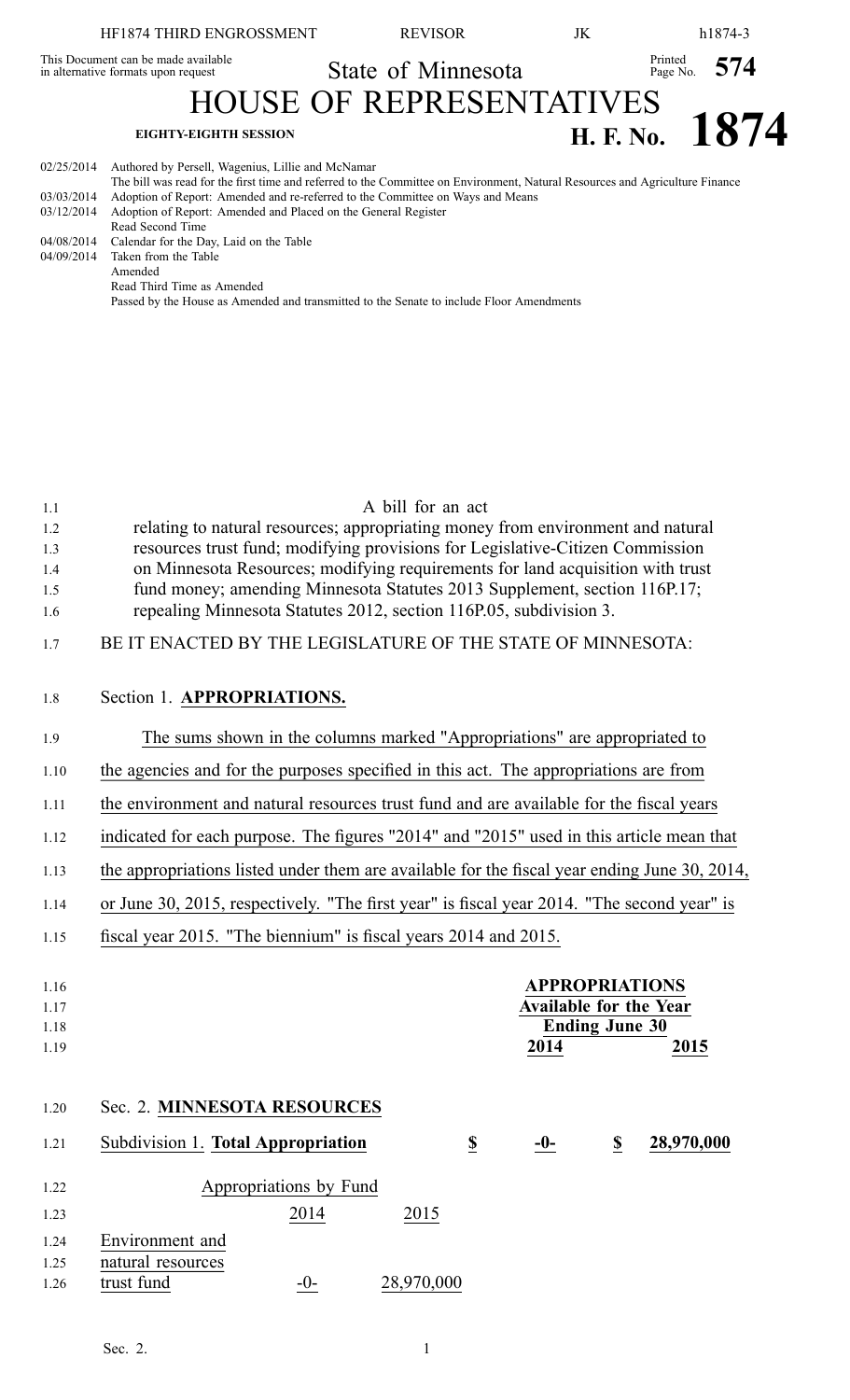|            | HF1874 THIRD ENGROSSMENT                                                   | <b>REVISOR</b>                                                                                                               | JK |               | h1874-3        |
|------------|----------------------------------------------------------------------------|------------------------------------------------------------------------------------------------------------------------------|----|---------------|----------------|
|            | This Document can be made available<br>in alternative formats upon request | State of Minnesota                                                                                                           |    | Printed $574$ |                |
|            |                                                                            | <b>HOUSE OF REPRESENTATIVES</b>                                                                                              |    |               |                |
|            | <b>EIGHTY-EIGHTH SESSION</b>                                               |                                                                                                                              |    |               | H. F. No. 1874 |
| 02/25/2014 | Authored by Persell, Wagenius, Lillie and McNamar                          | The bill was read for the first time and referred to the Committee on Environment, Natural Resources and Agriculture Finance |    |               |                |
| 03/03/2014 |                                                                            | Adoption of Report: Amended and re-referred to the Committee on Ways and Means                                               |    |               |                |
| 03/12/2014 | Adoption of Report: Amended and Placed on the General Register             |                                                                                                                              |    |               |                |

Passed by the House as Amended and transmitted to the Senate to include Floor Amendments

| 1.1  | A bill for an act                                                                                                    |  |  |  |  |
|------|----------------------------------------------------------------------------------------------------------------------|--|--|--|--|
| 1.2  | relating to natural resources; appropriating money from environment and natural                                      |  |  |  |  |
| 1.3  | resources trust fund; modifying provisions for Legislative-Citizen Commission                                        |  |  |  |  |
| 1.4  | on Minnesota Resources; modifying requirements for land acquisition with trust                                       |  |  |  |  |
| 1.5  | fund money; amending Minnesota Statutes 2013 Supplement, section 116P.17;                                            |  |  |  |  |
| 1.6  | repealing Minnesota Statutes 2012, section 116P.05, subdivision 3.                                                   |  |  |  |  |
| 1.7  | BE IT ENACTED BY THE LEGISLATURE OF THE STATE OF MINNESOTA:                                                          |  |  |  |  |
| 1.8  | Section 1. APPROPRIATIONS.                                                                                           |  |  |  |  |
| 1.9  | The sums shown in the columns marked "Appropriations" are appropriated to                                            |  |  |  |  |
| 1.10 | the agencies and for the purposes specified in this act. The appropriations are from                                 |  |  |  |  |
| 1.11 | the environment and natural resources trust fund and are available for the fiscal years                              |  |  |  |  |
| 1.12 | indicated for each purpose. The figures "2014" and "2015" used in this article mean that                             |  |  |  |  |
| 1.13 | the appropriations listed under them are available for the fiscal year ending June 30, 2014,                         |  |  |  |  |
| 1.14 | or June 30, 2015, respectively. "The first year" is fiscal year 2014. "The second year" is                           |  |  |  |  |
| 1.15 | fiscal year 2015. "The biennium" is fiscal years 2014 and 2015.                                                      |  |  |  |  |
| 1.16 | <b>APPROPRIATIONS</b>                                                                                                |  |  |  |  |
| 1.17 | <b>Available for the Year</b>                                                                                        |  |  |  |  |
| 1.18 | <b>Ending June 30</b>                                                                                                |  |  |  |  |
| 1.19 | 2014<br>2015                                                                                                         |  |  |  |  |
|      |                                                                                                                      |  |  |  |  |
| 1.20 | Sec. 2. MINNESOTA RESOURCES                                                                                          |  |  |  |  |
| 1.21 | Subdivision 1. Total Appropriation<br>28,970,000<br>$\underline{\underline{\$}}$<br>$\overline{\mathbf{S}}$<br>$-0-$ |  |  |  |  |
| 1.22 | Appropriations by Fund                                                                                               |  |  |  |  |
| 1.23 | 2014<br>2015                                                                                                         |  |  |  |  |
|      |                                                                                                                      |  |  |  |  |

1.25 natural resources

Read Second Time 04/08/2014 Calendar for the Day, Laid on the Table

Read Third Time as Amended

04/09/2014 Taken from the Table Amended

1.26 trust fund  $-0$ - 28,970,000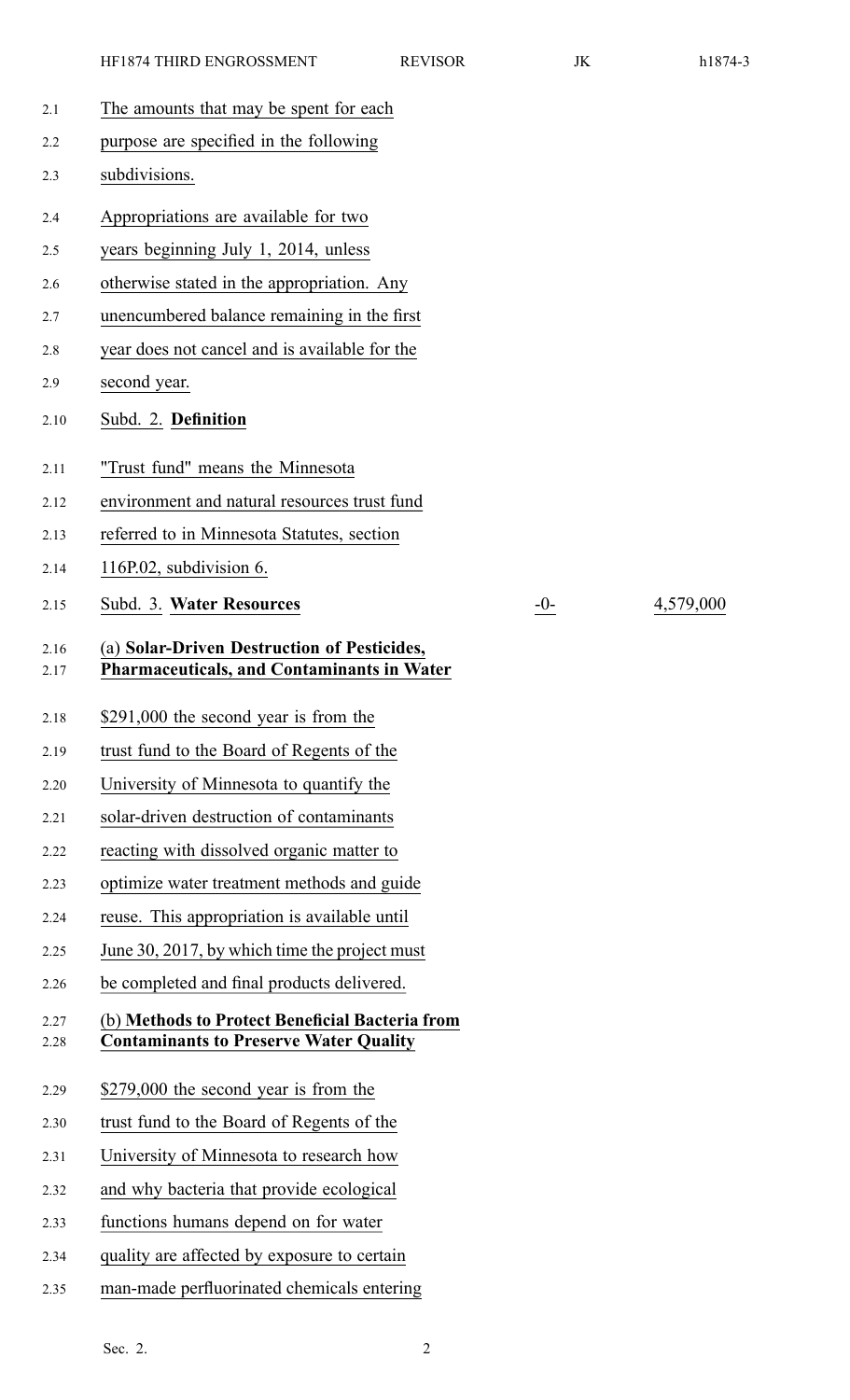| 2.1          | The amounts that may be spent for each                                                           |
|--------------|--------------------------------------------------------------------------------------------------|
| 2.2          | purpose are specified in the following                                                           |
| 2.3          | subdivisions.                                                                                    |
| 2.4          | Appropriations are available for two                                                             |
| 2.5          | years beginning July 1, 2014, unless                                                             |
| 2.6          | otherwise stated in the appropriation. Any                                                       |
| 2.7          | unencumbered balance remaining in the first                                                      |
| 2.8          | year does not cancel and is available for the                                                    |
| 2.9          | second year.                                                                                     |
| 2.10         | Subd. 2. Definition                                                                              |
| 2.11         | "Trust fund" means the Minnesota                                                                 |
| 2.12         | environment and natural resources trust fund                                                     |
| 2.13         | referred to in Minnesota Statutes, section                                                       |
| 2.14         | 116P.02, subdivision 6.                                                                          |
| 2.15         | Subd. 3. Water Resources                                                                         |
| 2.16<br>2.17 | (a) Solar-Driven Destruction of Pesticides,<br><b>Pharmaceuticals, and Contaminants in Water</b> |
| 2.18         | \$291,000 the second year is from the                                                            |
| 2.19         | trust fund to the Board of Regents of the                                                        |
| 2.20         | University of Minnesota to quantify the                                                          |
| 2.21         | solar-driven destruction of contaminants                                                         |
| 2.22         | reacting with dissolved organic matter to                                                        |
| 2.23         | optimize water treatment methods and guide                                                       |
| 2.24         | reuse. This appropriation is available until                                                     |
| 2.25         | June 30, 2017, by which time the project must                                                    |
| 2.26         | be completed and final products delivered.                                                       |
| 2.27<br>2.28 | (b) Methods to Protect Beneficial Bacteria from<br><b>Contaminants to Preserve Water Quality</b> |
| 2.29         | \$279,000 the second year is from the                                                            |
| 2.30         | trust fund to the Board of Regents of the                                                        |
| 2.31         | University of Minnesota to research how                                                          |
| 2.32         | and why bacteria that provide ecological                                                         |
| 2.33         | functions humans depend on for water                                                             |
| 2.34         | quality are affected by exposure to certain                                                      |
| 2.35         | man-made perfluorinated chemicals entering                                                       |

2.15 Subd. 3. **Water Resources** -0- 4,579,000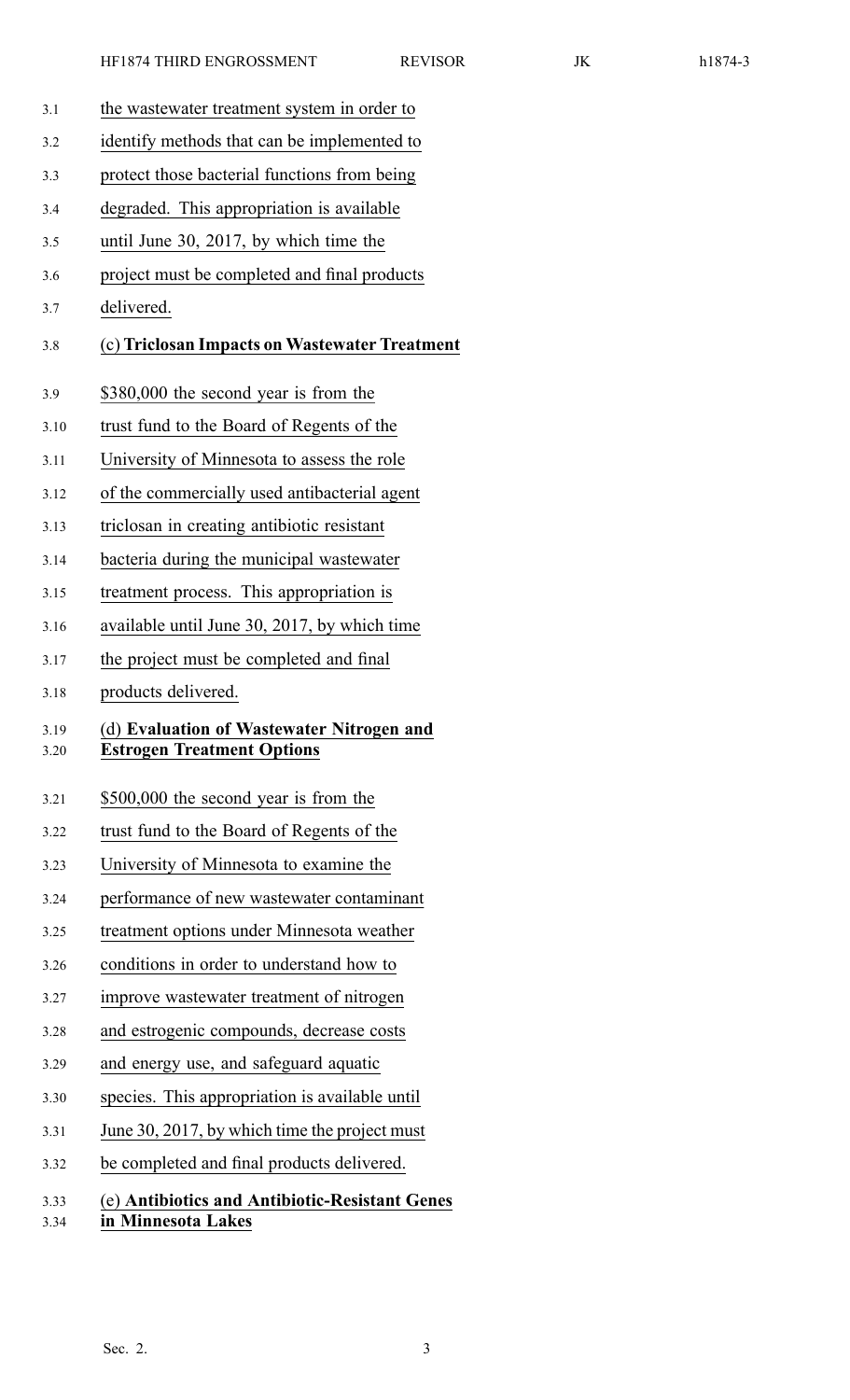3.1 the wastewater treatment system in order to 3.2 identify methods that can be implemented to 3.3 protect those bacterial functions from being 3.4 degraded. This appropriation is available 3.5 until June 30, 2017, by which time the 3.6 project must be completed and final products 3.7 delivered. 3.8 (c) **Triclosan Impacts on Wastewater Treatment** 3.9 \$380,000 the second year is from the 3.10 trust fund to the Board of Regents of the 3.11 University of Minnesota to assess the role 3.12 of the commercially used antibacterial agen<sup>t</sup> 3.13 triclosan in creating antibiotic resistant 3.14 bacteria during the municipal wastewater 3.15 treatment process. This appropriation is 3.16 available until June 30, 2017, by which time 3.17 the project must be completed and final 3.18 products delivered. 3.19 (d) **Evaluation of Wastewater Nitrogen and** 3.20 **Estrogen Treatment Options** 3.21 \$500,000 the second year is from the 3.22 trust fund to the Board of Regents of the 3.23 University of Minnesota to examine the 3.24 performance of new wastewater contaminant 3.25 treatment options under Minnesota weather 3.26 conditions in order to understand how to 3.27 improve wastewater treatment of nitrogen 3.28 and estrogenic compounds, decrease costs 3.29 and energy use, and safeguard aquatic 3.30 species. This appropriation is available until 3.31 June 30, 2017, by which time the project must 3.32 be completed and final products delivered. 3.33 (e) **Antibiotics and Antibiotic-Resistant Genes** 3.34 **in Minnesota Lakes**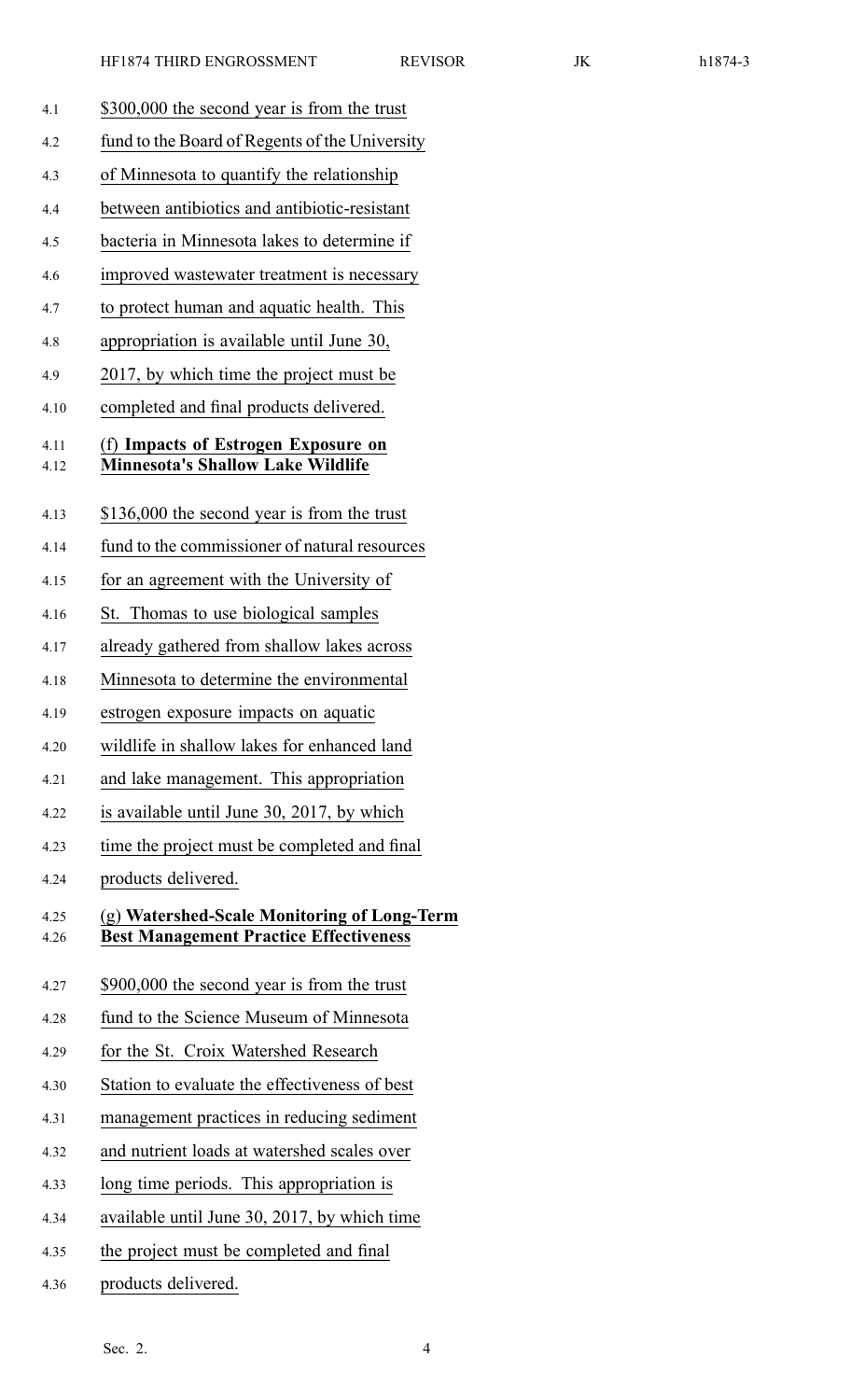- 4.1 \$300,000 the second year is from the trust 4.2 fund to the Board of Regents of the University 4.3 of Minnesota to quantify the relationship 4.4 between antibiotics and antibiotic-resistant 4.5 bacteria in Minnesota lakes to determine if 4.6 improved wastewater treatment is necessary 4.7 to protect human and aquatic health. This 4.8 appropriation is available until June 30, 4.9 2017, by which time the project must be 4.10 completed and final products delivered. 4.11 (f) **Impacts of Estrogen Exposure on** 4.12 **Minnesota's Shallow Lake Wildlife** 4.13 \$136,000 the second year is from the trust 4.14 fund to the commissioner of natural resources 4.15 for an agreemen<sup>t</sup> with the University of 4.16 St. Thomas to use biological samples 4.17 already gathered from shallow lakes across 4.18 Minnesota to determine the environmental 4.19 estrogen exposure impacts on aquatic 4.20 wildlife in shallow lakes for enhanced land 4.21 and lake management. This appropriation 4.22 is available until June 30, 2017, by which 4.23 time the project must be completed and final 4.24 products delivered. 4.25 (g) **Watershed-Scale Monitoring of Long-Term** 4.26 **Best Management Practice Effectiveness** 4.27 \$900,000 the second year is from the trust 4.28 fund to the Science Museum of Minnesota 4.29 for the St. Croix Watershed Research 4.30 Station to evaluate the effectiveness of best 4.31 managemen<sup>t</sup> practices in reducing sediment 4.32 and nutrient loads at watershed scales over 4.33 long time periods. This appropriation is 4.34 available until June 30, 2017, by which time 4.35 the project must be completed and final
- 4.36 products delivered.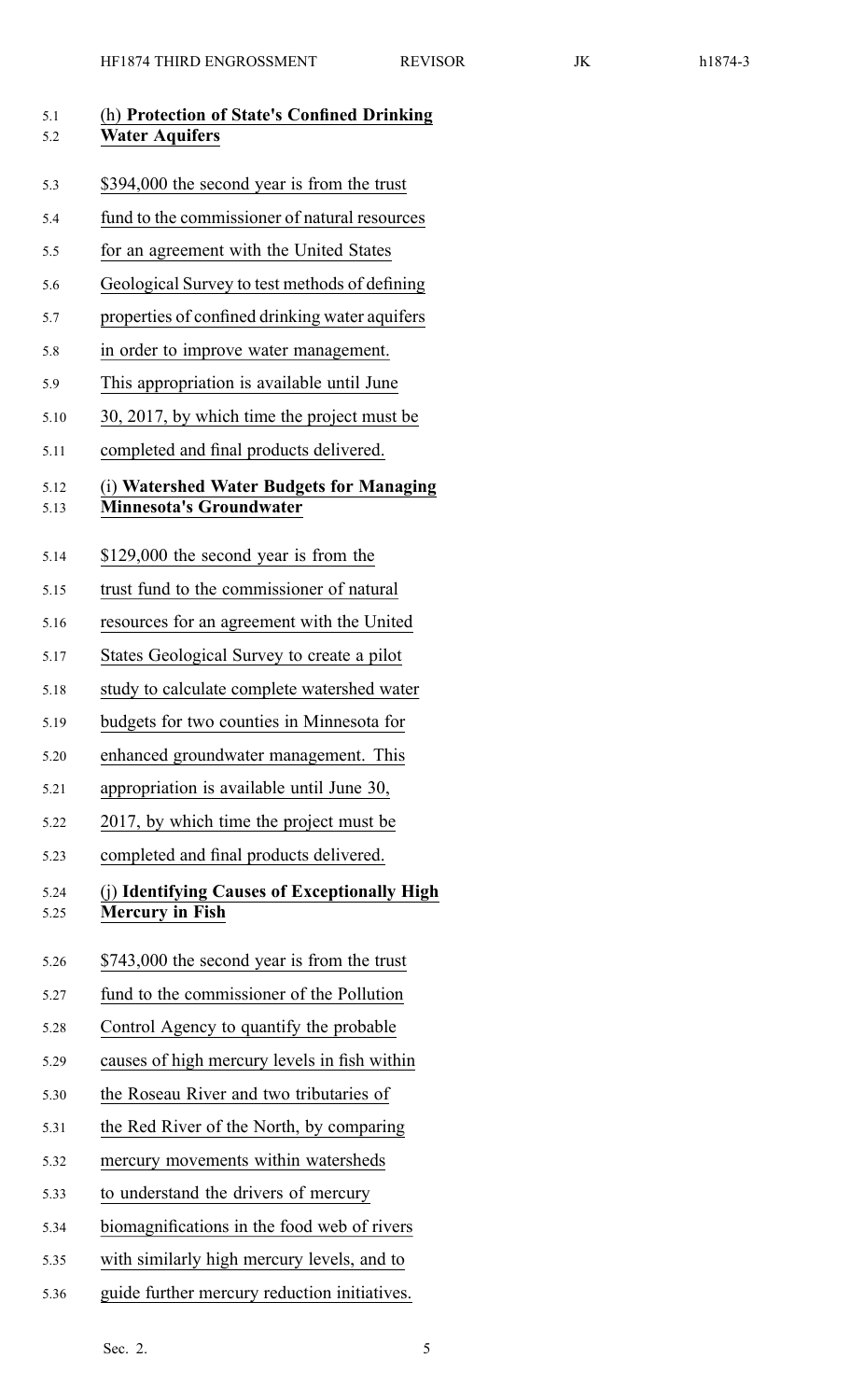|--|--|

| 5.1<br>5.2   | (h) Protection of State's Confined Drinking<br><b>Water Aquifers</b>       |  |  |  |
|--------------|----------------------------------------------------------------------------|--|--|--|
| 5.3          | \$394,000 the second year is from the trust                                |  |  |  |
| 5.4          | fund to the commissioner of natural resources                              |  |  |  |
| 5.5          | for an agreement with the United States                                    |  |  |  |
| 5.6          | Geological Survey to test methods of defining                              |  |  |  |
| 5.7          | properties of confined drinking water aquifers                             |  |  |  |
| 5.8          | in order to improve water management.                                      |  |  |  |
| 5.9          | This appropriation is available until June                                 |  |  |  |
| 5.10         | 30, 2017, by which time the project must be                                |  |  |  |
| 5.11         | completed and final products delivered.                                    |  |  |  |
| 5.12<br>5.13 | (i) Watershed Water Budgets for Managing<br><b>Minnesota's Groundwater</b> |  |  |  |
| 5.14         | \$129,000 the second year is from the                                      |  |  |  |
| 5.15         | trust fund to the commissioner of natural                                  |  |  |  |
| 5.16         | resources for an agreement with the United                                 |  |  |  |
| 5.17         | States Geological Survey to create a pilot                                 |  |  |  |
| 5.18         | study to calculate complete watershed water                                |  |  |  |
| 5.19         | budgets for two counties in Minnesota for                                  |  |  |  |
| 5.20         | enhanced groundwater management. This                                      |  |  |  |
| 5.21         | appropriation is available until June 30,                                  |  |  |  |
| 5.22         | 2017, by which time the project must be                                    |  |  |  |
| 5.23         | completed and final products delivered.                                    |  |  |  |
| 5.24<br>5.25 | (j) Identifying Causes of Exceptionally High<br><b>Mercury in Fish</b>     |  |  |  |
| 5.26         | \$743,000 the second year is from the trust                                |  |  |  |
| 5.27         | fund to the commissioner of the Pollution                                  |  |  |  |
| 5.28         | Control Agency to quantify the probable                                    |  |  |  |
| 5.29         | causes of high mercury levels in fish within                               |  |  |  |
| 5.30         | the Roseau River and two tributaries of                                    |  |  |  |
| 5.31         | the Red River of the North, by comparing                                   |  |  |  |
| 5.32         | mercury movements within watersheds                                        |  |  |  |
| 5.33         | to understand the drivers of mercury                                       |  |  |  |
| 5.34         | biomagnifications in the food web of rivers                                |  |  |  |
| 5.35         | with similarly high mercury levels, and to                                 |  |  |  |

5.36 guide further mercury reduction initiatives.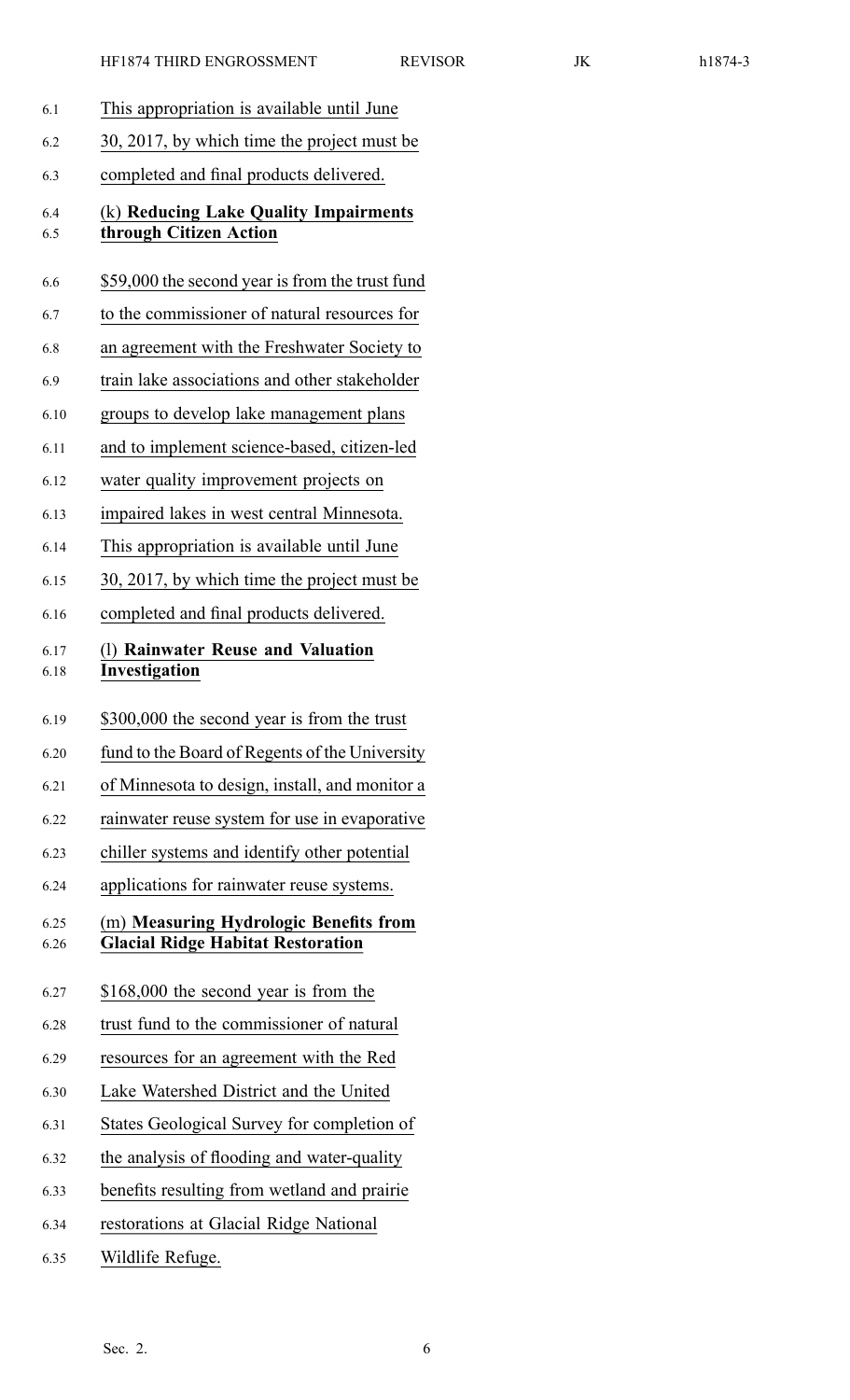|--|--|--|

| 6.1          | This appropriation is available until June                                         |
|--------------|------------------------------------------------------------------------------------|
| 6.2          | 30, 2017, by which time the project must be                                        |
| 6.3          | completed and final products delivered.                                            |
| 6.4<br>6.5   | (k) Reducing Lake Quality Impairments<br>through Citizen Action                    |
| 6.6          | \$59,000 the second year is from the trust fund                                    |
| 6.7          | to the commissioner of natural resources for                                       |
| 6.8          | an agreement with the Freshwater Society to                                        |
| 6.9          | train lake associations and other stakeholder                                      |
| 6.10         | groups to develop lake management plans                                            |
| 6.11         | and to implement science-based, citizen-led                                        |
| 6.12         | water quality improvement projects on                                              |
| 6.13         | impaired lakes in west central Minnesota.                                          |
| 6.14         | This appropriation is available until June                                         |
| 6.15         | 30, 2017, by which time the project must be                                        |
| 6.16         | completed and final products delivered.                                            |
| 6.17<br>6.18 | (1) Rainwater Reuse and Valuation<br>Investigation                                 |
|              |                                                                                    |
| 6.19         | \$300,000 the second year is from the trust                                        |
| 6.20         | fund to the Board of Regents of the University                                     |
| 6.21         | of Minnesota to design, install, and monitor a                                     |
| 6.22         | rainwater reuse system for use in evaporative                                      |
| 6.23         | chiller systems and identify other potential                                       |
| 6.24         | applications for rainwater reuse systems.                                          |
| 6.25<br>6.26 | (m) Measuring Hydrologic Benefits from<br><b>Glacial Ridge Habitat Restoration</b> |
| 6.27         | \$168,000 the second year is from the                                              |
| 6.28         | trust fund to the commissioner of natural                                          |
| 6.29         | resources for an agreement with the Red                                            |
| 6.30         | Lake Watershed District and the United                                             |
| 6.31         | States Geological Survey for completion of                                         |
| 6.32         | the analysis of flooding and water-quality                                         |
| 6.33         | benefits resulting from wetland and prairie                                        |
| 6.34         | restorations at Glacial Ridge National                                             |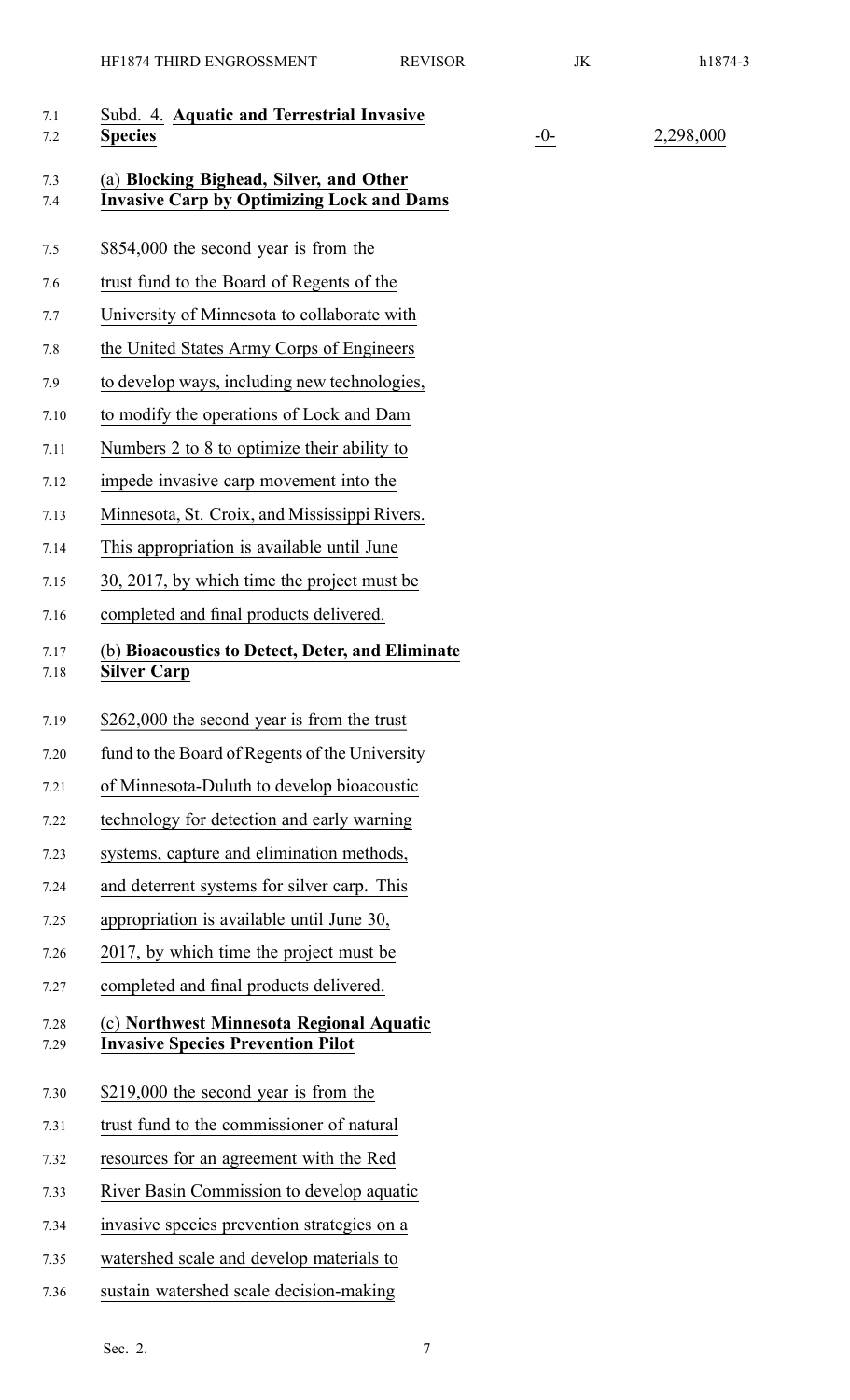| 7.1<br>7.2   | Subd. 4. Aquatic and Terrestrial Invasive<br><b>Species</b>                                 | $-0-$ | 2,298,000 |
|--------------|---------------------------------------------------------------------------------------------|-------|-----------|
| 7.3<br>7.4   | (a) Blocking Bighead, Silver, and Other<br><b>Invasive Carp by Optimizing Lock and Dams</b> |       |           |
| 7.5          | \$854,000 the second year is from the                                                       |       |           |
| 7.6          | trust fund to the Board of Regents of the                                                   |       |           |
| 7.7          | University of Minnesota to collaborate with                                                 |       |           |
| 7.8          | the United States Army Corps of Engineers                                                   |       |           |
| 7.9          | to develop ways, including new technologies,                                                |       |           |
| 7.10         | to modify the operations of Lock and Dam                                                    |       |           |
| 7.11         | Numbers 2 to 8 to optimize their ability to                                                 |       |           |
| 7.12         | impede invasive carp movement into the                                                      |       |           |
| 7.13         | Minnesota, St. Croix, and Mississippi Rivers.                                               |       |           |
| 7.14         | This appropriation is available until June                                                  |       |           |
| 7.15         | 30, 2017, by which time the project must be                                                 |       |           |
| 7.16         | completed and final products delivered.                                                     |       |           |
| 7.17<br>7.18 | (b) Bioacoustics to Detect, Deter, and Eliminate<br><b>Silver Carp</b>                      |       |           |
| 7.19         | \$262,000 the second year is from the trust                                                 |       |           |
| 7.20         | fund to the Board of Regents of the University                                              |       |           |
| 7.21         | of Minnesota-Duluth to develop bioacoustic                                                  |       |           |
| 7.22         | technology for detection and early warning                                                  |       |           |
| 7.23         | systems, capture and elimination methods,                                                   |       |           |
| 7.24         | and deterrent systems for silver carp. This                                                 |       |           |
| 7.25         | appropriation is available until June 30,                                                   |       |           |
| 7.26         | 2017, by which time the project must be                                                     |       |           |
| 7.27         | completed and final products delivered.                                                     |       |           |
| 7.28<br>7.29 | (c) Northwest Minnesota Regional Aquatic<br><b>Invasive Species Prevention Pilot</b>        |       |           |
| 7.30         | \$219,000 the second year is from the                                                       |       |           |
| 7.31         | trust fund to the commissioner of natural                                                   |       |           |
| 7.32         | resources for an agreement with the Red                                                     |       |           |
| 7.33         | River Basin Commission to develop aquatic                                                   |       |           |
| 7.34         | invasive species prevention strategies on a                                                 |       |           |
| 7.35         | watershed scale and develop materials to                                                    |       |           |
| 7.36         | sustain watershed scale decision-making                                                     |       |           |
|              |                                                                                             |       |           |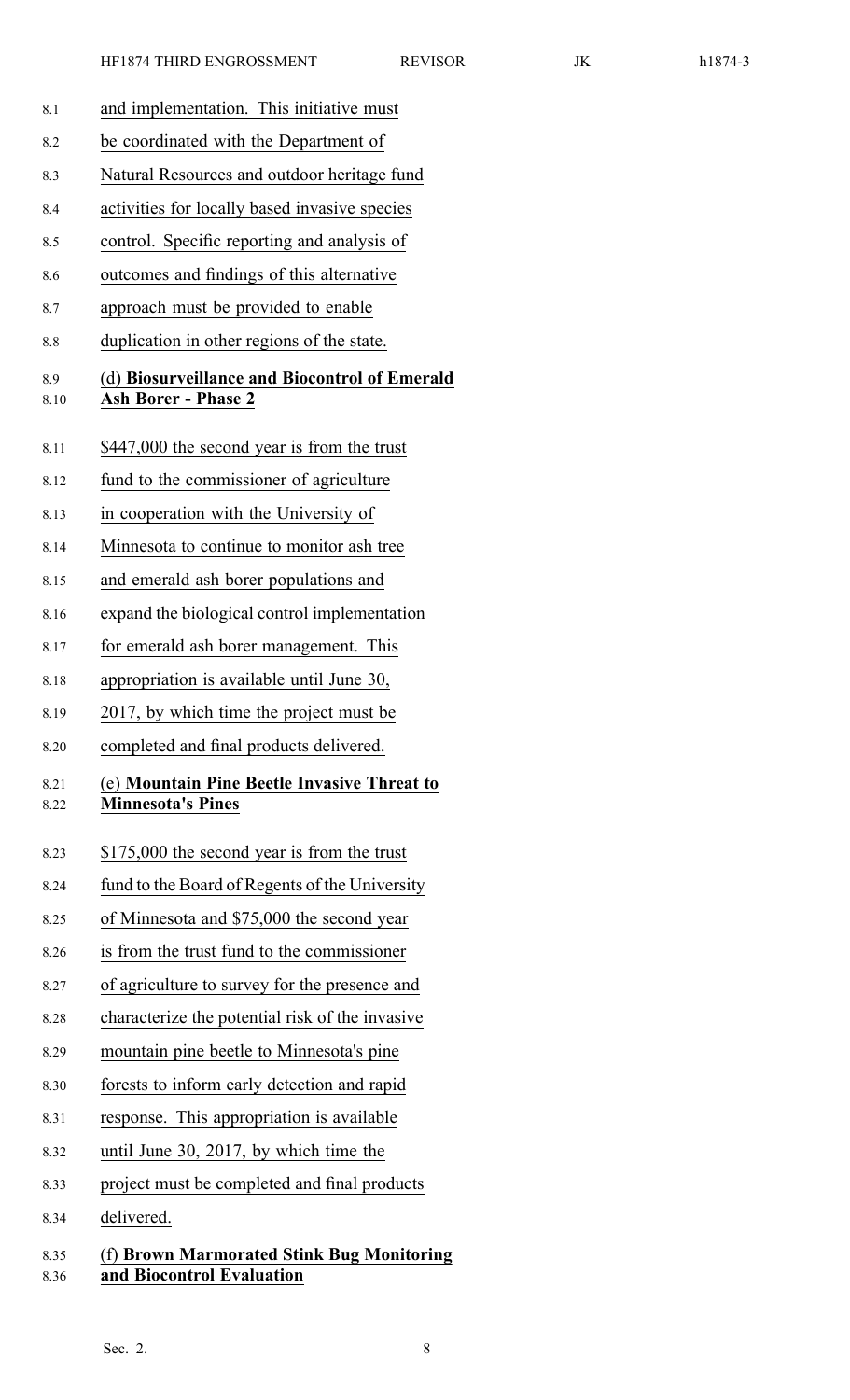| 8.1          | and implementation. This initiative must                                    |  |  |  |
|--------------|-----------------------------------------------------------------------------|--|--|--|
| 8.2          | be coordinated with the Department of                                       |  |  |  |
| 8.3          | Natural Resources and outdoor heritage fund                                 |  |  |  |
| 8.4          | activities for locally based invasive species                               |  |  |  |
| 8.5          | control. Specific reporting and analysis of                                 |  |  |  |
| 8.6          | outcomes and findings of this alternative                                   |  |  |  |
| 8.7          | approach must be provided to enable                                         |  |  |  |
| 8.8          | duplication in other regions of the state.                                  |  |  |  |
| 8.9<br>8.10  | (d) Biosurveillance and Biocontrol of Emerald<br><b>Ash Borer - Phase 2</b> |  |  |  |
| 8.11         | \$447,000 the second year is from the trust                                 |  |  |  |
| 8.12         | fund to the commissioner of agriculture                                     |  |  |  |
| 8.13         | in cooperation with the University of                                       |  |  |  |
| 8.14         | Minnesota to continue to monitor ash tree                                   |  |  |  |
| 8.15         | and emerald ash borer populations and                                       |  |  |  |
| 8.16         | expand the biological control implementation                                |  |  |  |
| 8.17         | for emerald ash borer management. This                                      |  |  |  |
| 8.18         | appropriation is available until June 30,                                   |  |  |  |
| 8.19         | 2017, by which time the project must be                                     |  |  |  |
| 8.20         | completed and final products delivered.                                     |  |  |  |
| 8.21<br>8.22 | (e) Mountain Pine Beetle Invasive Threat to<br><b>Minnesota's Pines</b>     |  |  |  |
| 8.23         | \$175,000 the second year is from the trust                                 |  |  |  |
| 8.24         | fund to the Board of Regents of the University                              |  |  |  |
| 8.25         | of Minnesota and \$75,000 the second year                                   |  |  |  |
| 8.26         | is from the trust fund to the commissioner                                  |  |  |  |
| 8.27         | of agriculture to survey for the presence and                               |  |  |  |
| 8.28         | characterize the potential risk of the invasive                             |  |  |  |
| 8.29         | mountain pine beetle to Minnesota's pine                                    |  |  |  |
| 8.30         | forests to inform early detection and rapid                                 |  |  |  |
| 8.31         | response. This appropriation is available                                   |  |  |  |
| 8.32         | until June 30, 2017, by which time the                                      |  |  |  |
| 8.33         | project must be completed and final products                                |  |  |  |
| 8.34         | delivered.                                                                  |  |  |  |
| 8.35         | (f) Brown Marmorated Stink Bug Monitoring                                   |  |  |  |

# 8.36 **and Biocontrol Evaluation**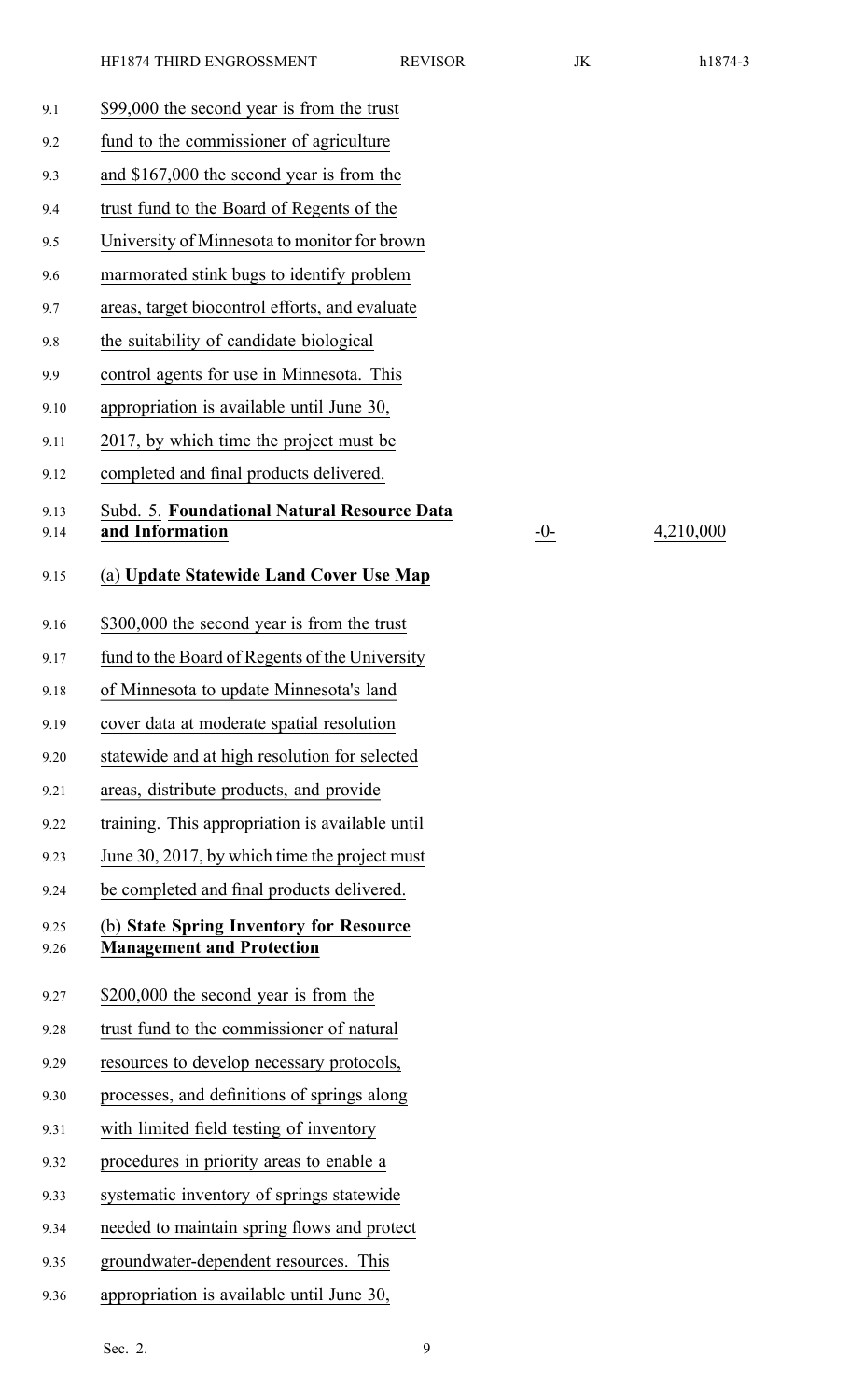9.14 **and Information** -0- 4,210,000

| 9.1          | \$99,000 the second year is from the trust                     |
|--------------|----------------------------------------------------------------|
| 9.2          | fund to the commissioner of agriculture                        |
| 9.3          | and \$167,000 the second year is from the                      |
| 9.4          | trust fund to the Board of Regents of the                      |
| 9.5          | University of Minnesota to monitor for brown                   |
| 9.6          | marmorated stink bugs to identify problem                      |
| 9.7          | areas, target biocontrol efforts, and evaluate                 |
| 9.8          | the suitability of candidate biological                        |
| 9.9          | control agents for use in Minnesota. This                      |
| 9.10         | appropriation is available until June 30,                      |
| 9.11         | 2017, by which time the project must be                        |
| 9.12         | completed and final products delivered.                        |
| 9.13<br>9.14 | Subd. 5. Foundational Natural Resource Data<br>and Information |
| 9.15         | (a) Update Statewide Land Cover Use Map                        |
| 9.16         | \$300,000 the second year is from the trust                    |
| 9.17         | fund to the Board of Regents of the University                 |
| 9.18         | of Minnesota to update Minnesota's land                        |
| 9.19         | cover data at moderate spatial resolution                      |
| 9.20         | statewide and at high resolution for selected                  |
| 9.21         | areas, distribute products, and provide                        |
| 9.22         | training. This appropriation is available until                |
| 9.23         | June 30, 2017, by which time the project must                  |
| 9.24         | be completed and final products delivered.                     |
| 9.25         | (b) State Spring Inventory for Resource                        |
| 9.26         | <b>Management and Protection</b>                               |
| 9.27         | \$200,000 the second year is from the                          |
| 9.28         | trust fund to the commissioner of natural                      |
| 9.29         | resources to develop necessary protocols,                      |
| 9.30         | processes, and definitions of springs along                    |
| 9.31         | with limited field testing of inventory                        |
| 9.32         | procedures in priority areas to enable a                       |
| 9.33         | systematic inventory of springs statewide                      |
| 9.34         | needed to maintain spring flows and protect                    |
| 9.35         | groundwater-dependent resources. This                          |
| 9.36         | appropriation is available until June 30,                      |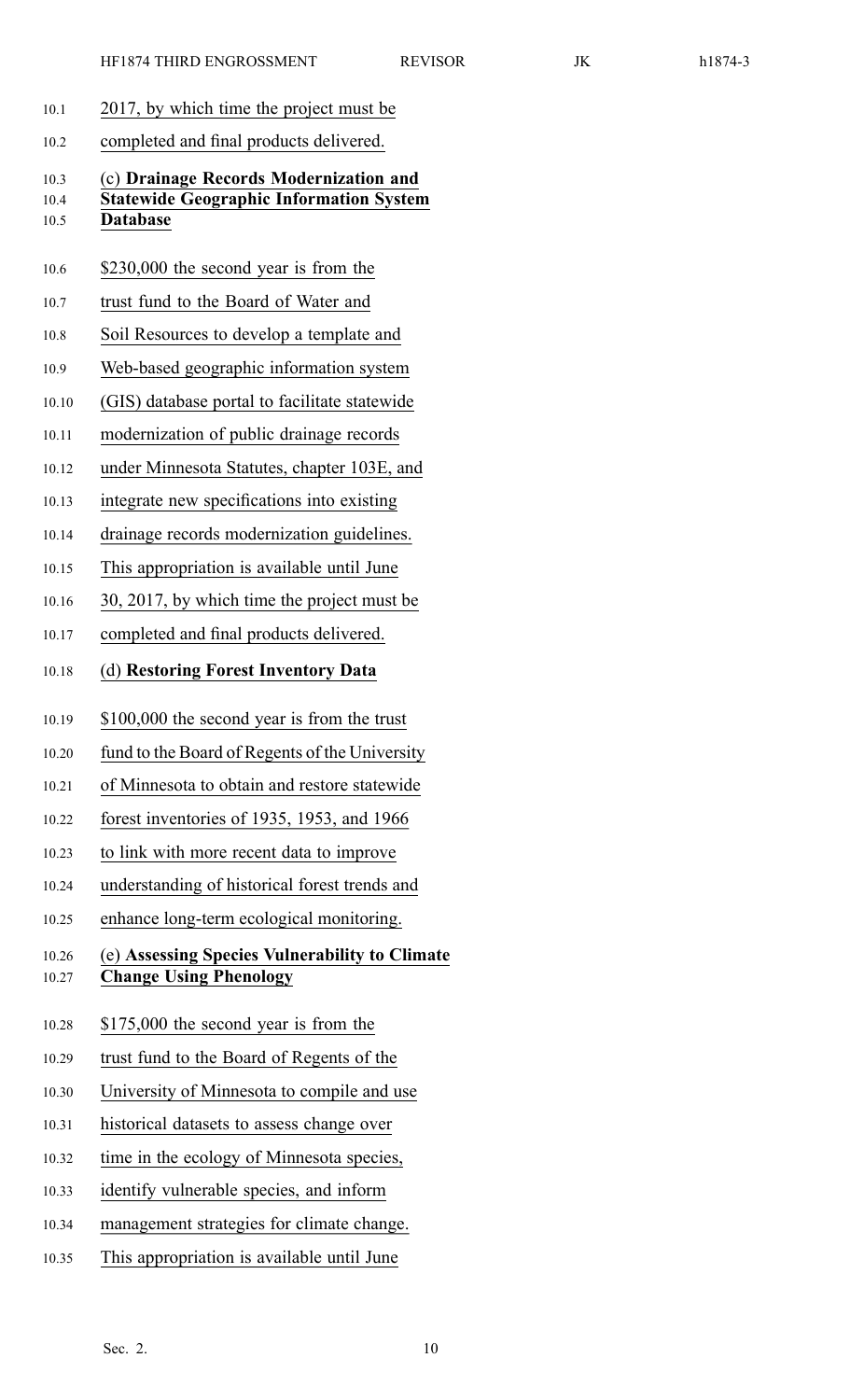- 10.1 2017, by which time the project must be
- 10.2 completed and final products delivered.

## 10.3 (c) **Drainage Records Modernization and** 10.4 **Statewide Geographic Information System** 10.5 **Database**

- 10.6 \$230,000 the second year is from the
- 10.7 trust fund to the Board of Water and
- 10.8 Soil Resources to develop <sup>a</sup> template and
- 10.9 Web-based geographic information system
- 10.10 (GIS) database portal to facilitate statewide
- 10.11 modernization of public drainage records
- 10.12 under Minnesota Statutes, chapter 103E, and
- 10.13 integrate new specifications into existing
- 10.14 drainage records modernization guidelines.
- 10.15 This appropriation is available until June
- 10.16 30, 2017, by which time the project must be
- 10.17 completed and final products delivered.
- 10.18 (d) **Restoring Forest Inventory Data**
- 10.19 \$100,000 the second year is from the trust
- 10.20 fund to the Board of Regents of the University
- 10.21 of Minnesota to obtain and restore statewide
- 10.22 forest inventories of 1935, 1953, and 1966
- 10.23 to link with more recent data to improve
- 10.24 understanding of historical forest trends and
- 10.25 enhance long-term ecological monitoring.

## 10.26 (e) **Assessing Species Vulnerability to Climate** 10.27 **Change Using Phenology**

- 10.28 \$175,000 the second year is from the
- 10.29 trust fund to the Board of Regents of the
- 10.30 University of Minnesota to compile and use
- 10.31 historical datasets to assess change over
- 10.32 time in the ecology of Minnesota species,
- 10.33 identify vulnerable species, and inform
- 10.34 managemen<sup>t</sup> strategies for climate change.
- 10.35 This appropriation is available until June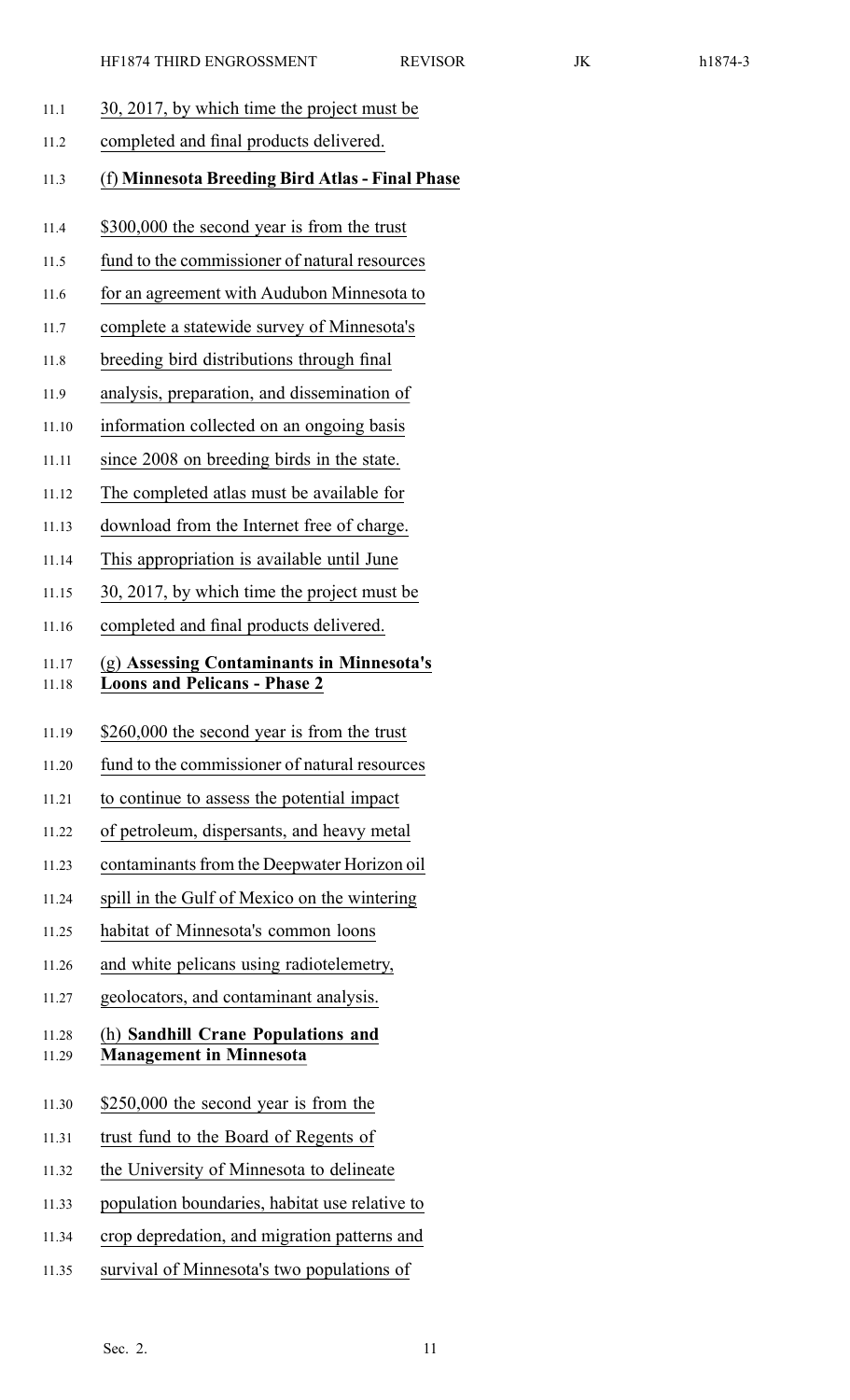- 11.1 30, 2017, by which time the project must be
- 11.2 completed and final products delivered.
- 11.3 (f) **Minnesota Breeding Bird Atlas - Final Phase**
- 11.4 \$300,000 the second year is from the trust
- 11.5 fund to the commissioner of natural resources
- 11.6 for an agreemen<sup>t</sup> with Audubon Minnesota to
- 11.7 complete <sup>a</sup> statewide survey of Minnesota's
- 11.8 breeding bird distributions through final
- 11.9 analysis, preparation, and dissemination of
- 11.10 information collected on an ongoing basis
- 11.11 since 2008 on breeding birds in the state.
- 11.12 The completed atlas must be available for
- 11.13 download from the Internet free of charge.
- 11.14 This appropriation is available until June
- 11.15 30, 2017, by which time the project must be
- 11.16 completed and final products delivered.

## 11.17 (g) **Assessing Contaminants in Minnesota's** 11.18 **Loons and Pelicans - Phase 2**

- 11.19 \$260,000 the second year is from the trust
- 11.20 fund to the commissioner of natural resources
- 11.21 to continue to assess the potential impact
- 11.22 of petroleum, dispersants, and heavy metal
- 11.23 contaminants from the Deepwater Horizon oil
- 11.24 spill in the Gulf of Mexico on the wintering
- 11.25 habitat of Minnesota's common loons
- 11.26 and white pelicans using radiotelemetry,
- 11.27 geolocators, and contaminant analysis.

#### 11.28 (h) **Sandhill Crane Populations and** 11.29 **Management in Minnesota**

- 11.30 \$250,000 the second year is from the
- 11.31 trust fund to the Board of Regents of
- 11.32 the University of Minnesota to delineate
- 11.33 population boundaries, habitat use relative to
- 11.34 crop depredation, and migration patterns and
- 11.35 survival of Minnesota's two populations of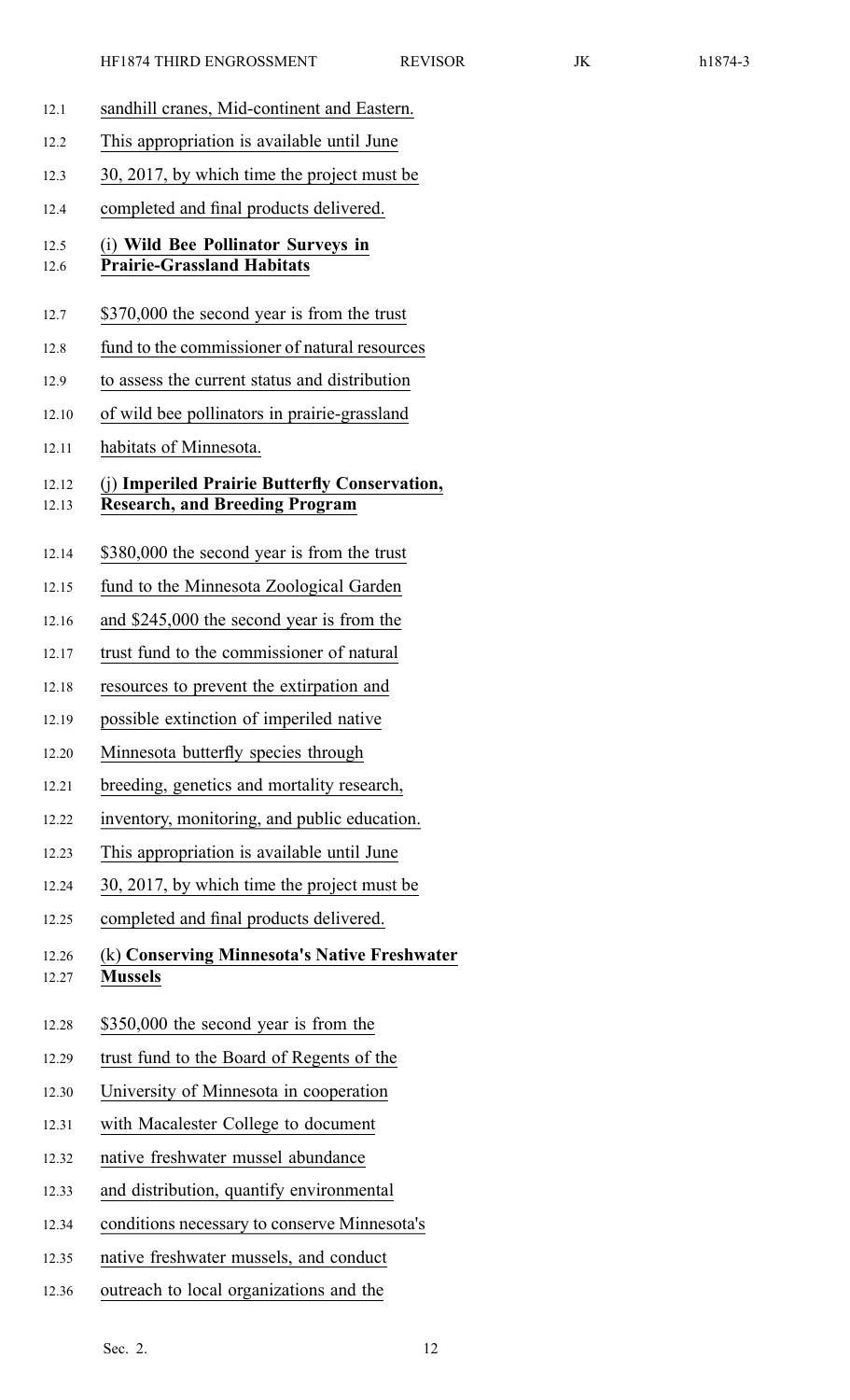| 12.1           | sandhill cranes, Mid-continent and Eastern.                                            |
|----------------|----------------------------------------------------------------------------------------|
| 12.2           | This appropriation is available until June                                             |
| 12.3           | 30, 2017, by which time the project must be                                            |
| 12.4           | completed and final products delivered.                                                |
| 12.5<br>12.6   | (i) Wild Bee Pollinator Surveys in<br><b>Prairie-Grassland Habitats</b>                |
| 12.7           | \$370,000 the second year is from the trust                                            |
| 12.8           | fund to the commissioner of natural resources                                          |
| 12.9           | to assess the current status and distribution                                          |
| 12.10          | of wild bee pollinators in prairie-grassland                                           |
| 12.11          | habitats of Minnesota.                                                                 |
| 12.12<br>12.13 | (j) Imperiled Prairie Butterfly Conservation,<br><b>Research, and Breeding Program</b> |
| 12.14          | \$380,000 the second year is from the trust                                            |
| 12.15          | fund to the Minnesota Zoological Garden                                                |
| 12.16          | and \$245,000 the second year is from the                                              |
| 12.17          | trust fund to the commissioner of natural                                              |
| 12.18          | resources to prevent the extirpation and                                               |
| 12.19          | possible extinction of imperiled native                                                |
| 12.20          | Minnesota butterfly species through                                                    |
| 12.21          | breeding, genetics and mortality research,                                             |
| 12.22          | inventory, monitoring, and public education.                                           |
| 12.23          | This appropriation is available until June                                             |
| 12.24          | 30, 2017, by which time the project must be                                            |
| 12.25          | completed and final products delivered.                                                |
| 12.26<br>12.27 | (k) Conserving Minnesota's Native Freshwater<br><b>Mussels</b>                         |
| 12.28          | \$350,000 the second year is from the                                                  |
| 12.29          | trust fund to the Board of Regents of the                                              |
| 12.30          | University of Minnesota in cooperation                                                 |
| 12.31          | with Macalester College to document                                                    |
| 12.32          | native freshwater mussel abundance                                                     |
| 12.33          | and distribution, quantify environmental                                               |
|                |                                                                                        |

- 12.34 conditions necessary to conserve Minnesota's
- 12.35 native freshwater mussels, and conduct
- 12.36 outreach to local organizations and the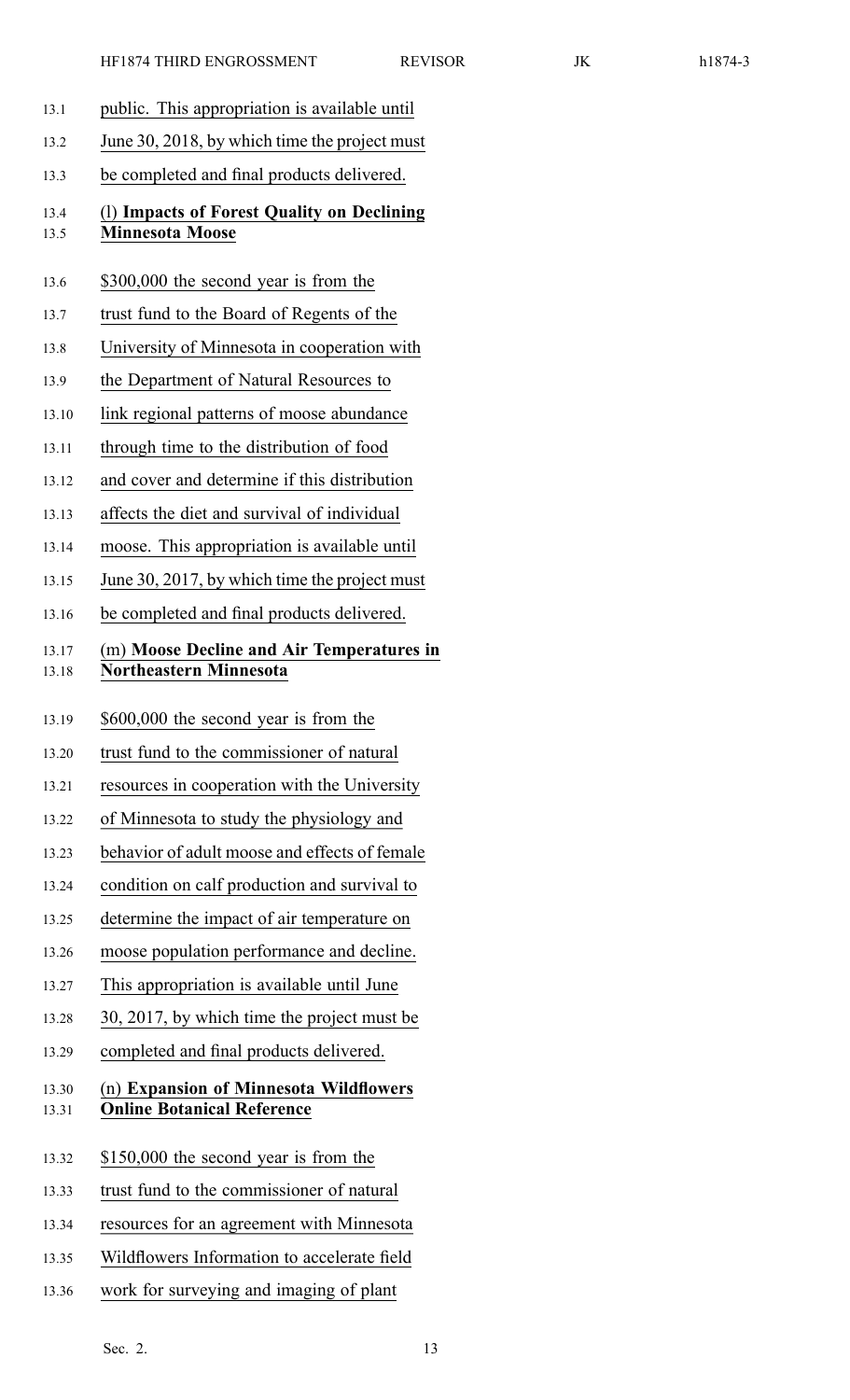HF1874 THIRD ENGROSSMENT REVISOR JK h1874-3 13.1 public. This appropriation is available until 13.2 June 30, 2018, by which time the project must 13.3 be completed and final products delivered. 13.4 (l) **Impacts of Forest Quality on Declining** 13.5 **Minnesota Moose** 13.6 \$300,000 the second year is from the 13.7 trust fund to the Board of Regents of the 13.8 University of Minnesota in cooperation with 13.9 the Department of Natural Resources to 13.10 link regional patterns of moose abundance 13.11 through time to the distribution of food 13.12 and cover and determine if this distribution 13.13 affects the diet and survival of individual 13.14 moose. This appropriation is available until 13.15 June 30, 2017, by which time the project must 13.16 be completed and final products delivered. 13.17 (m) **Moose Decline and Air Temperatures in** 13.18 **Northeastern Minnesota** 13.19 \$600,000 the second year is from the 13.20 trust fund to the commissioner of natural 13.21 resources in cooperation with the University 13.22 of Minnesota to study the physiology and 13.23 behavior of adult moose and effects of female 13.24 condition on calf production and survival to 13.25 determine the impact of air temperature on 13.26 moose population performance and decline. 13.27 This appropriation is available until June 13.28 30, 2017, by which time the project must be 13.29 completed and final products delivered. 13.30 (n) **Expansion of Minnesota Wildflowers** 13.31 **Online Botanical Reference** 13.32 \$150,000 the second year is from the 13.33 trust fund to the commissioner of natural 13.34 resources for an agreemen<sup>t</sup> with Minnesota 13.35 Wildflowers Information to accelerate field 13.36 work for surveying and imaging of plant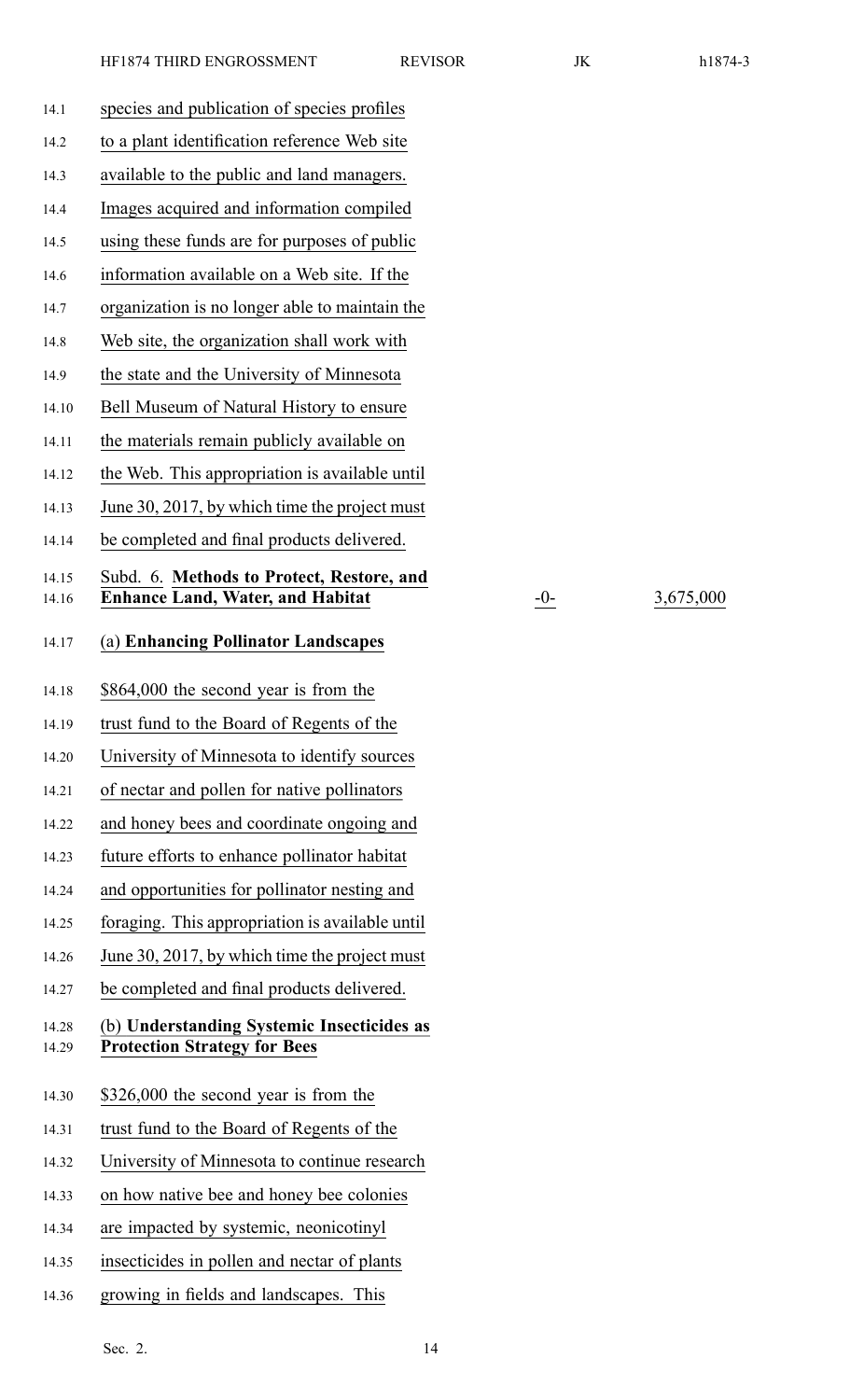| u<br>ັ<br>n i<br>∧ |  |
|--------------------|--|
|--------------------|--|

14.16 **Enhance Land, Water, and Habitat** -0- 3,675,000

| 14.1           | species and publication of species profiles                                       |
|----------------|-----------------------------------------------------------------------------------|
| 14.2           | to a plant identification reference Web site                                      |
| 14.3           | available to the public and land managers.                                        |
| 14.4           | Images acquired and information compiled                                          |
| 14.5           | using these funds are for purposes of public                                      |
| 14.6           | information available on a Web site. If the                                       |
| 14.7           | organization is no longer able to maintain the                                    |
| 14.8           | Web site, the organization shall work with                                        |
| 14.9           | the state and the University of Minnesota                                         |
| 14.10          | Bell Museum of Natural History to ensure                                          |
| 14.11          | the materials remain publicly available on                                        |
| 14.12          | the Web. This appropriation is available until                                    |
| 14.13          | June 30, 2017, by which time the project must                                     |
| 14.14          | be completed and final products delivered.                                        |
| 14.15          | Subd. 6. Methods to Protect, Restore, and                                         |
| 14.16          | <b>Enhance Land, Water, and Habitat</b>                                           |
| 14.17          | (a) Enhancing Pollinator Landscapes                                               |
| 14.18          | \$864,000 the second year is from the                                             |
| 14.19          | trust fund to the Board of Regents of the                                         |
| 14.20          | University of Minnesota to identify sources                                       |
| 14.21          | of nectar and pollen for native pollinators                                       |
| 14.22          | and honey bees and coordinate ongoing and                                         |
| 14.23          | future efforts to enhance pollinator habitat                                      |
| 14.24          | and opportunities for pollinator nesting and                                      |
| 14.25          | foraging. This appropriation is available until                                   |
| 14.26          | June 30, 2017, by which time the project must                                     |
| 14.27          | be completed and final products delivered.                                        |
| 14.28<br>14.29 | (b) Understanding Systemic Insecticides as<br><b>Protection Strategy for Bees</b> |
| 14.30          | \$326,000 the second year is from the                                             |
| 14.31          | trust fund to the Board of Regents of the                                         |
| 14.32          | University of Minnesota to continue research                                      |
| 14.33          | on how native bee and honey bee colonies                                          |
| 14.34          | are impacted by systemic, neonicotinyl                                            |
| 14.35          | insecticides in pollen and nectar of plants                                       |
| 14.36          | growing in fields and landscapes. This                                            |
|                |                                                                                   |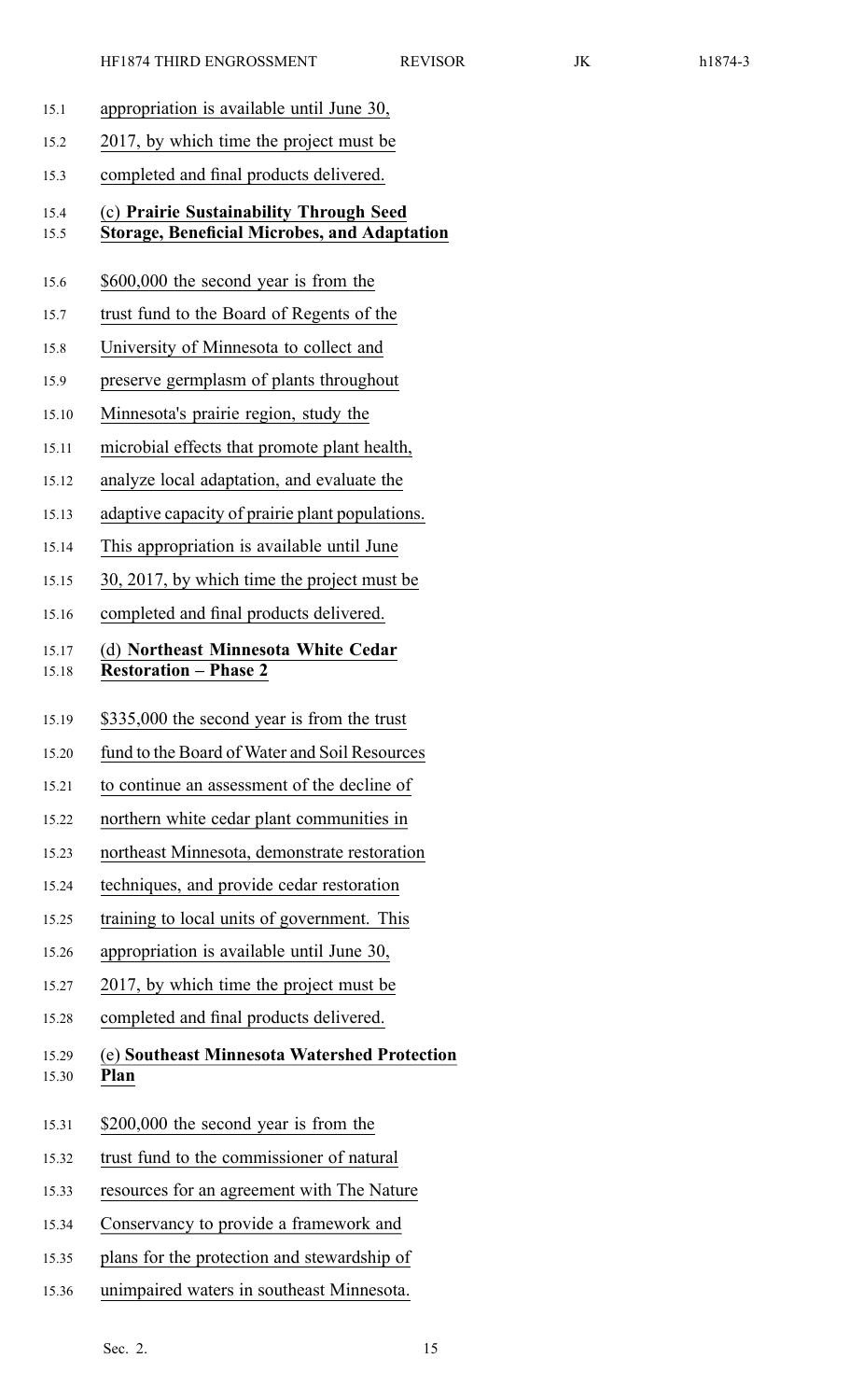- 15.1 appropriation is available until June 30,
- 15.2 2017, by which time the project must be
- 15.3 completed and final products delivered.

#### 15.4 (c) **Prairie Sustainability Through Seed** 15.5 **Storage, Beneficial Microbes, and Adaptation**

- 15.6 \$600,000 the second year is from the
- 15.7 trust fund to the Board of Regents of the
- 15.8 University of Minnesota to collect and
- 15.9 preserve germplasm of plants throughout
- 15.10 Minnesota's prairie region, study the
- 15.11 microbial effects that promote plant health,
- 15.12 analyze local adaptation, and evaluate the
- 15.13 adaptive capacity of prairie plant populations.
- 15.14 This appropriation is available until June
- 15.15 30, 2017, by which time the project must be
- 15.16 completed and final products delivered.

#### 15.17 (d) **Northeast Minnesota White Cedar** 15.18 **Restoration – Phase 2**

- 15.19 \$335,000 the second year is from the trust
- 15.20 fund to the Board of Water and Soil Resources
- 15.21 to continue an assessment of the decline of
- 15.22 northern white cedar plant communities in
- 15.23 northeast Minnesota, demonstrate restoration
- 15.24 techniques, and provide cedar restoration
- 15.25 training to local units of government. This
- 15.26 appropriation is available until June 30,
- 15.27 2017, by which time the project must be
- 15.28 completed and final products delivered.
- 15.29 (e) **Southeast Minnesota Watershed Protection** 15.30 **Plan**
- 15.31 \$200,000 the second year is from the
- 15.32 trust fund to the commissioner of natural
- 15.33 resources for an agreemen<sup>t</sup> with The Nature
- 15.34 Conservancy to provide <sup>a</sup> framework and
- 15.35 plans for the protection and stewardship of
- 15.36 unimpaired waters in southeast Minnesota.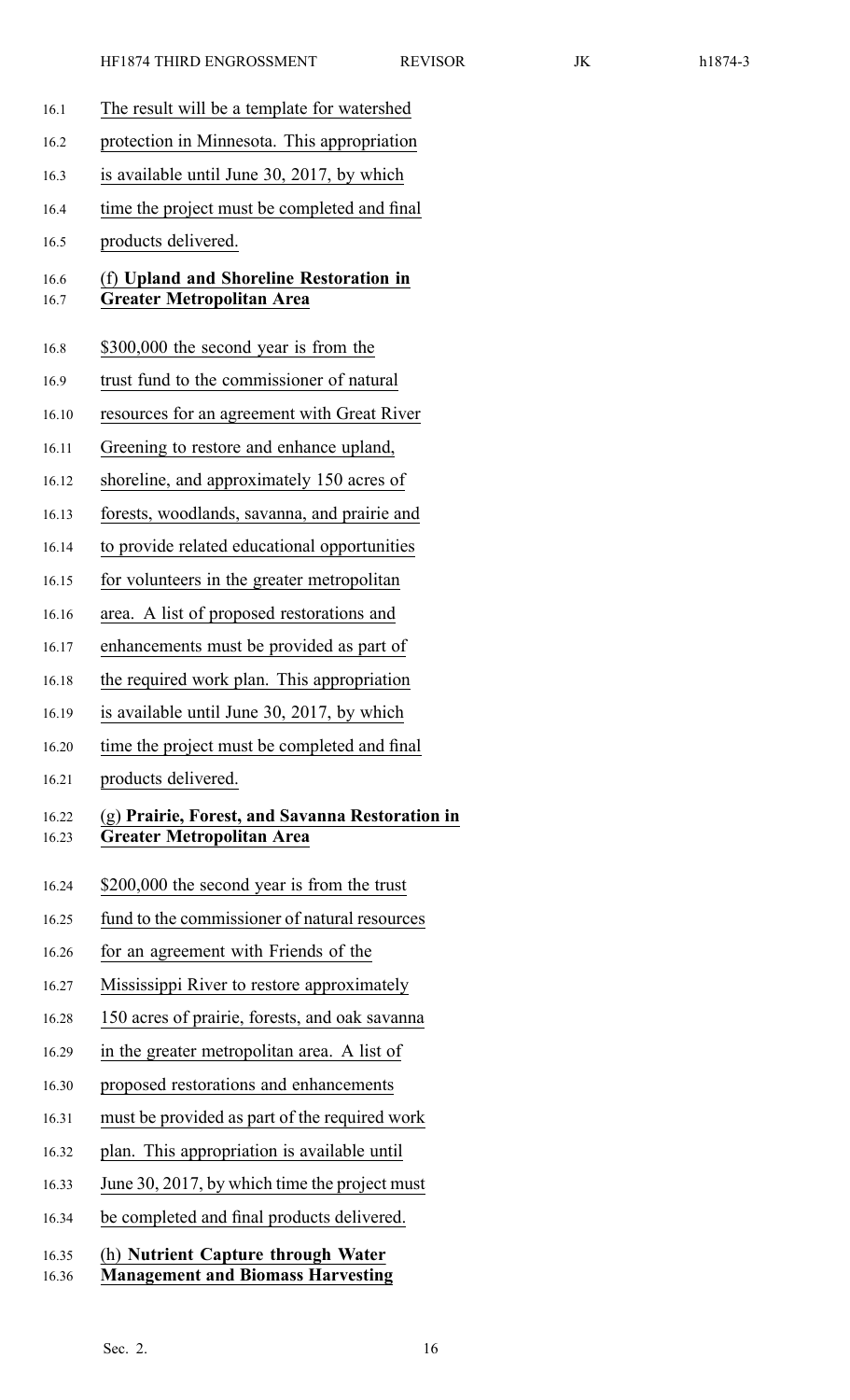| 16.1           | The result will be a template for watershed                                         |
|----------------|-------------------------------------------------------------------------------------|
| 16.2           | protection in Minnesota. This appropriation                                         |
| 16.3           | is available until June 30, 2017, by which                                          |
| 16.4           | time the project must be completed and final                                        |
| 16.5           | products delivered.                                                                 |
| 16.6<br>16.7   | (f) Upland and Shoreline Restoration in<br><b>Greater Metropolitan Area</b>         |
| 16.8           | \$300,000 the second year is from the                                               |
| 16.9           | trust fund to the commissioner of natural                                           |
| 16.10          | resources for an agreement with Great River                                         |
| 16.11          | Greening to restore and enhance upland,                                             |
| 16.12          | shoreline, and approximately 150 acres of                                           |
| 16.13          | forests, woodlands, savanna, and prairie and                                        |
| 16.14          | to provide related educational opportunities                                        |
| 16.15          | for volunteers in the greater metropolitan                                          |
| 16.16          | area. A list of proposed restorations and                                           |
| 16.17          | enhancements must be provided as part of                                            |
| 16.18          | the required work plan. This appropriation                                          |
| 16.19          | is available until June 30, 2017, by which                                          |
| 16.20          | time the project must be completed and final                                        |
| 16.21          | products delivered.                                                                 |
| 16.22<br>16.23 | (g) Prairie, Forest, and Savanna Restoration in<br><b>Greater Metropolitan Area</b> |
| 16.24          | \$200,000 the second year is from the trust                                         |
| 16.25          | fund to the commissioner of natural resources                                       |
| 16.26          | for an agreement with Friends of the                                                |
| 16.27          | Mississippi River to restore approximately                                          |
| 16.28          | 150 acres of prairie, forests, and oak savanna                                      |
| 16.29          | in the greater metropolitan area. A list of                                         |
| 16.30          | proposed restorations and enhancements                                              |
| 16.31          | must be provided as part of the required work                                       |
| 16.32          | plan. This appropriation is available until                                         |
| 16.33          | June 30, 2017, by which time the project must                                       |
| 16.34          | be completed and final products delivered.                                          |
| 16.35<br>16.36 | (h) Nutrient Capture through Water<br><b>Management and Biomass Harvesting</b>      |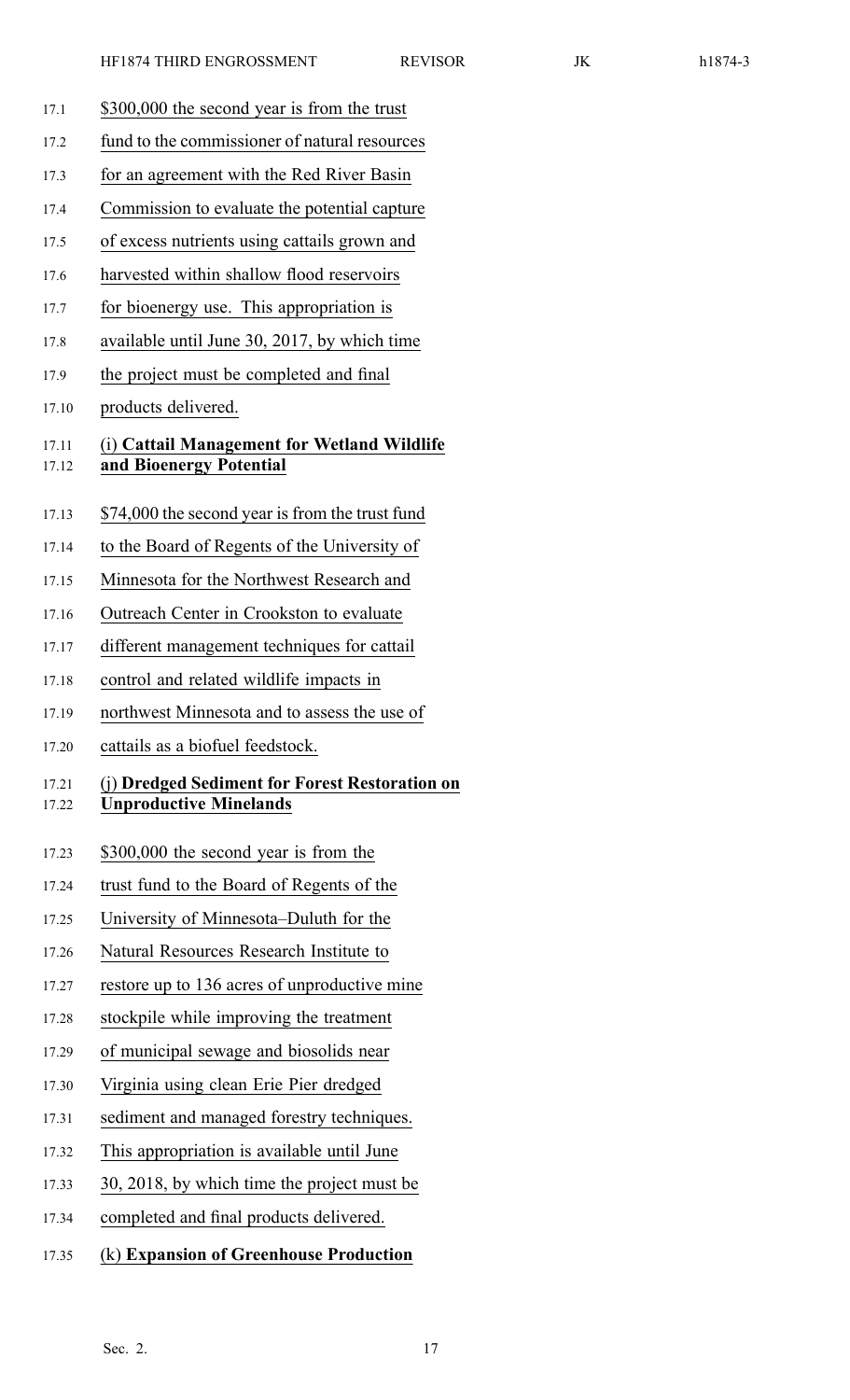- 17.1 \$300,000 the second year is from the trust
- 17.2 fund to the commissioner of natural resources
- 17.3 for an agreemen<sup>t</sup> with the Red River Basin
- 17.4 Commission to evaluate the potential capture
- 17.5 of excess nutrients using cattails grown and
- 17.6 harvested within shallow flood reservoirs
- 17.7 for bioenergy use. This appropriation is
- 17.8 available until June 30, 2017, by which time
- 17.9 the project must be completed and final
- 17.10 products delivered.

#### 17.11 (i) **Cattail Management for Wetland Wildlife** 17.12 **and Bioenergy Potential**

- 17.13 \$74,000 the second year is from the trust fund
- 17.14 to the Board of Regents of the University of
- 17.15 Minnesota for the Northwest Research and
- 17.16 Outreach Center in Crookston to evaluate
- 17.17 different managemen<sup>t</sup> techniques for cattail
- 17.18 control and related wildlife impacts in
- 17.19 northwest Minnesota and to assess the use of
- 17.20 cattails as <sup>a</sup> biofuel feedstock.

#### 17.21 (j) **Dredged Sediment for Forest Restoration on** 17.22 **Unproductive Minelands**

- 17.23 \$300,000 the second year is from the
- 17.24 trust fund to the Board of Regents of the
- 17.25 University of Minnesota–Duluth for the
- 17.26 Natural Resources Research Institute to
- 17.27 restore up to 136 acres of unproductive mine
- 17.28 stockpile while improving the treatment
- 17.29 of municipal sewage and biosolids near
- 17.30 Virginia using clean Erie Pier dredged
- 17.31 sediment and managed forestry techniques.
- 17.32 This appropriation is available until June
- 17.33 30, 2018, by which time the project must be
- 17.34 completed and final products delivered.
- 17.35 (k) **Expansion of Greenhouse Production**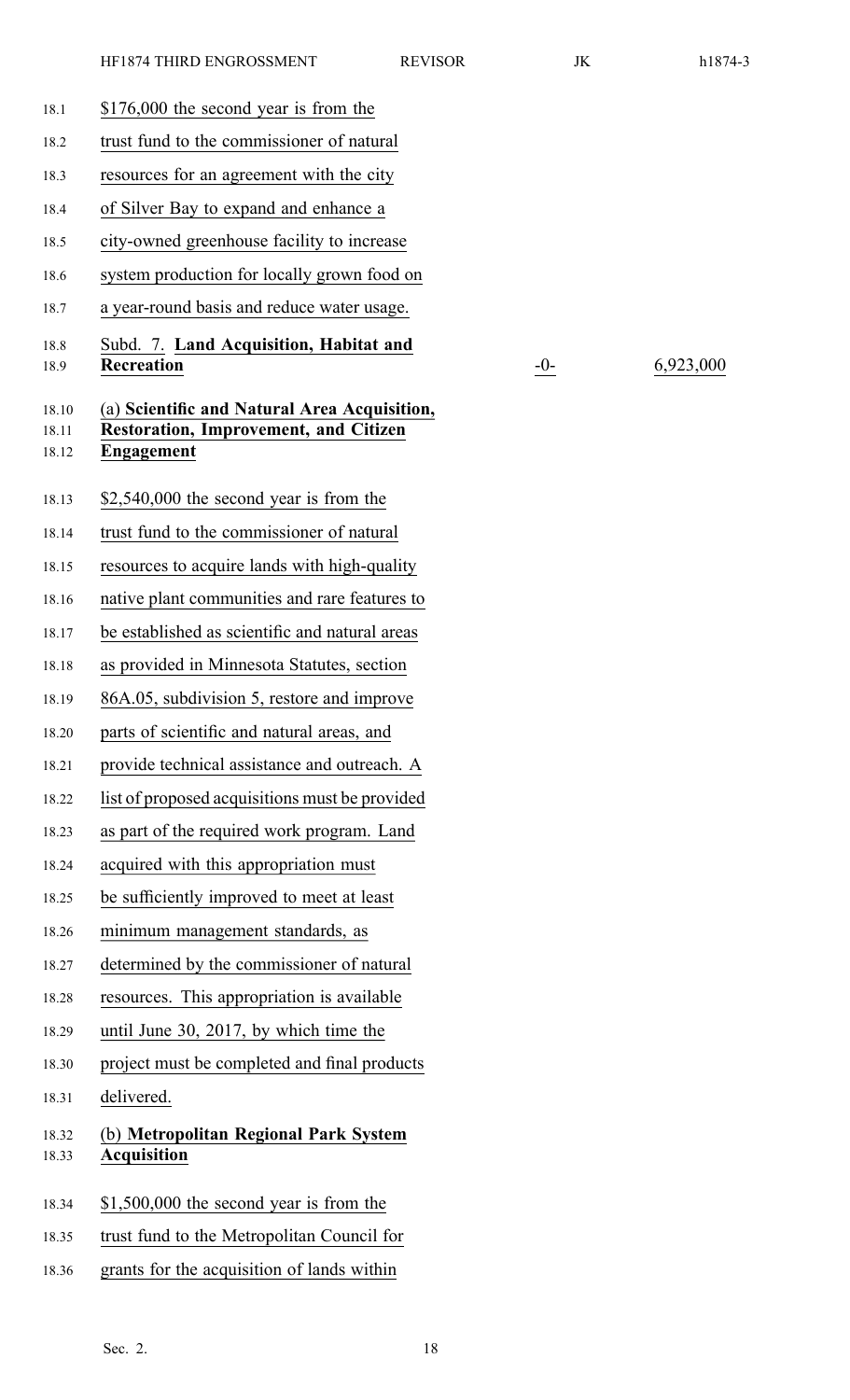| 18.1                    | \$176,000 the second year is from the                                                                      |
|-------------------------|------------------------------------------------------------------------------------------------------------|
| 18.2                    | trust fund to the commissioner of natural                                                                  |
| 18.3                    | resources for an agreement with the city                                                                   |
| 18.4                    | of Silver Bay to expand and enhance a                                                                      |
| 18.5                    | city-owned greenhouse facility to increase                                                                 |
| 18.6                    | system production for locally grown food on                                                                |
| 18.7                    | a year-round basis and reduce water usage.                                                                 |
| 18.8<br>18.9            | Subd. 7. Land Acquisition, Habitat and<br>Recreation                                                       |
| 18.10<br>18.11<br>18.12 | (a) Scientific and Natural Area Acquisition,<br><b>Restoration, Improvement, and Citizen</b><br>Engagement |
| 18.13                   | $$2,540,000$ the second year is from the                                                                   |
| 18.14                   | trust fund to the commissioner of natural                                                                  |
| 18.15                   | resources to acquire lands with high-quality                                                               |
| 18.16                   | native plant communities and rare features to                                                              |
| 18.17                   | be established as scientific and natural areas                                                             |
| 18.18                   | as provided in Minnesota Statutes, section                                                                 |
| 18.19                   | 86A.05, subdivision 5, restore and improve                                                                 |
| 18.20                   | parts of scientific and natural areas, and                                                                 |
| 18.21                   | provide technical assistance and outreach. A                                                               |
| 18.22                   | list of proposed acquisitions must be provided                                                             |
| 18.23                   | as part of the required work program. Land                                                                 |
| 18.24                   | acquired with this appropriation must                                                                      |
| 18.25                   | be sufficiently improved to meet at least                                                                  |
| 18.26                   | minimum management standards, as                                                                           |
| 18.27                   | determined by the commissioner of natural                                                                  |
| 18.28                   | resources. This appropriation is available                                                                 |
| 18.29                   | until June 30, 2017, by which time the                                                                     |
| 18.30                   | project must be completed and final products                                                               |
| 18.31                   | delivered.                                                                                                 |
| 18.32<br>18.33          | (b) Metropolitan Regional Park System<br><b>Acquisition</b>                                                |
|                         |                                                                                                            |
| 18.34                   | $$1,500,000$ the second year is from the                                                                   |
| 18.35                   | trust fund to the Metropolitan Council for                                                                 |

18.36 grants for the acquisition of lands within

10<sup>-</sup> 6,923,000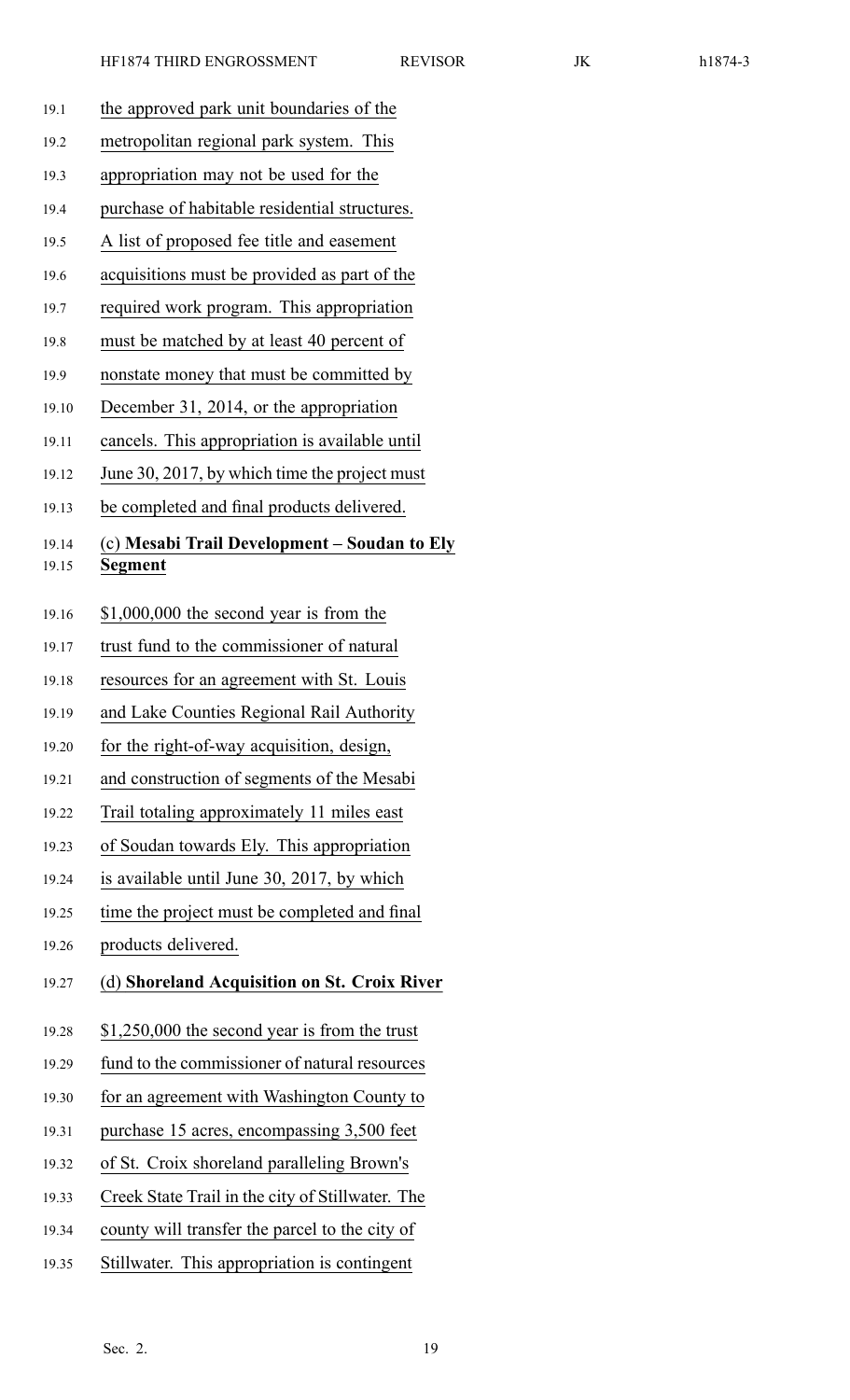| ×<br>וו |  |
|---------|--|
|---------|--|

| 19.1  | the approved park unit boundaries of the         |
|-------|--------------------------------------------------|
| 19.2  | metropolitan regional park system. This          |
| 19.3  | appropriation may not be used for the            |
| 19.4  | purchase of habitable residential structures.    |
| 19.5  | A list of proposed fee title and easement        |
| 19.6  | acquisitions must be provided as part of the     |
| 19.7  | required work program. This appropriation        |
| 19.8  | must be matched by at least 40 percent of        |
| 19.9  | nonstate money that must be committed by         |
| 19.10 | December 31, 2014, or the appropriation          |
| 19.11 | cancels. This appropriation is available until   |
| 19.12 | June 30, 2017, by which time the project must    |
| 19.13 | be completed and final products delivered.       |
| 19.14 | (c) Mesabi Trail Development - Soudan to Ely     |
| 19.15 | Segment                                          |
| 19.16 | \$1,000,000 the second year is from the          |
| 19.17 | trust fund to the commissioner of natural        |
| 19.18 | resources for an agreement with St. Louis        |
| 19.19 | and Lake Counties Regional Rail Authority        |
| 19.20 | for the right-of-way acquisition, design,        |
| 19.21 | and construction of segments of the Mesabi       |
| 19.22 | Trail totaling approximately 11 miles east       |
| 19.23 | of Soudan towards Ely. This appropriation        |
| 19.24 | is available until June 30, 2017, by which       |
| 19.25 | time the project must be completed and final     |
| 19.26 | products delivered.                              |
| 19.27 | (d) Shoreland Acquisition on St. Croix River     |
|       |                                                  |
| 19.28 | $$1,250,000$ the second year is from the trust   |
| 19.29 | fund to the commissioner of natural resources    |
| 19.30 | for an agreement with Washington County to       |
| 19.31 | purchase 15 acres, encompassing 3,500 feet       |
| 19.32 | of St. Croix shoreland paralleling Brown's       |
| 19.33 | Creek State Trail in the city of Stillwater. The |
| 19.34 | county will transfer the parcel to the city of   |
| 19.35 | Stillwater. This appropriation is contingent     |
|       |                                                  |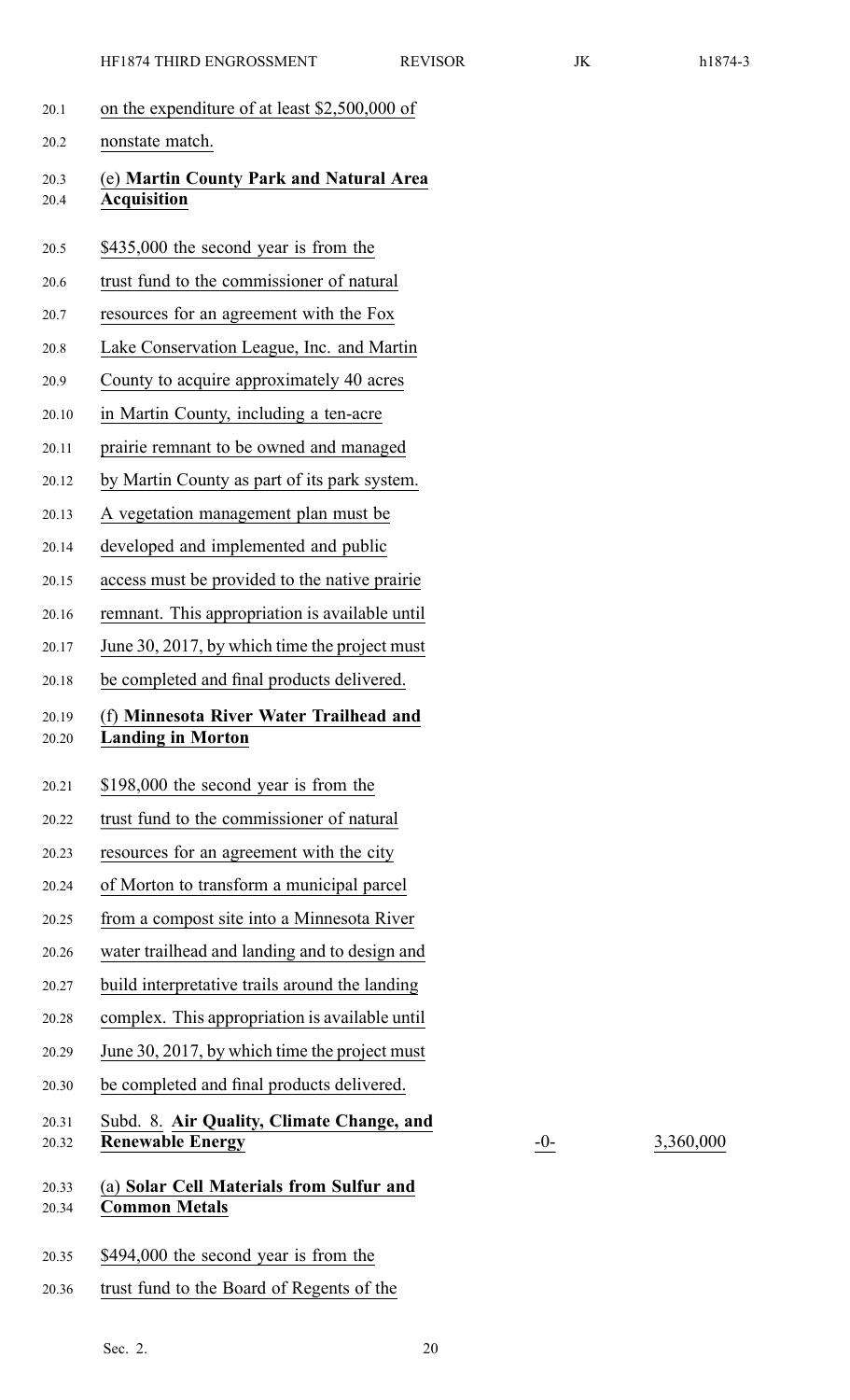| 20.1           | on the expenditure of at least \$2,500,000 of                        |
|----------------|----------------------------------------------------------------------|
| 20.2           | nonstate match.                                                      |
| 20.3<br>20.4   | (e) Martin County Park and Natural Area<br><b>Acquisition</b>        |
| 20.5           | \$435,000 the second year is from the                                |
| 20.6           | trust fund to the commissioner of natural                            |
| 20.7           | resources for an agreement with the Fox                              |
| 20.8           | Lake Conservation League, Inc. and Martin                            |
| 20.9           | County to acquire approximately 40 acres                             |
| 20.10          | in Martin County, including a ten-acre                               |
| 20.11          | prairie remnant to be owned and managed                              |
| 20.12          | by Martin County as part of its park system.                         |
| 20.13          | A vegetation management plan must be                                 |
| 20.14          | developed and implemented and public                                 |
| 20.15          | access must be provided to the native prairie                        |
| 20.16          | remnant. This appropriation is available until                       |
| 20.17          | June 30, 2017, by which time the project must                        |
| 20.18          | be completed and final products delivered.                           |
| 20.19<br>20.20 | (f) Minnesota River Water Trailhead and<br><b>Landing in Morton</b>  |
| 20.21          | \$198,000 the second year is from the                                |
| 20.22          | trust fund to the commissioner of natural                            |
| 20.23          | resources for an agreement with the city                             |
| 20.24          | of Morton to transform a municipal parcel                            |
| 20.25          | from a compost site into a Minnesota River                           |
| 20.26          | water trailhead and landing and to design and                        |
| 20.27          | build interpretative trails around the landing                       |
| 20.28          | complex. This appropriation is available until                       |
| 20.29          | June 30, 2017, by which time the project must                        |
| 20.30          | be completed and final products delivered.                           |
| 20.31<br>20.32 | Subd. 8. Air Quality, Climate Change, and<br><b>Renewable Energy</b> |
| 20.33<br>20.34 | (a) Solar Cell Materials from Sulfur and<br><b>Common Metals</b>     |
| 20.35          | \$494,000 the second year is from the                                |

20.36 trust fund to the Board of Regents of the

20.32 **Renewable Energy** -0- 3,360,000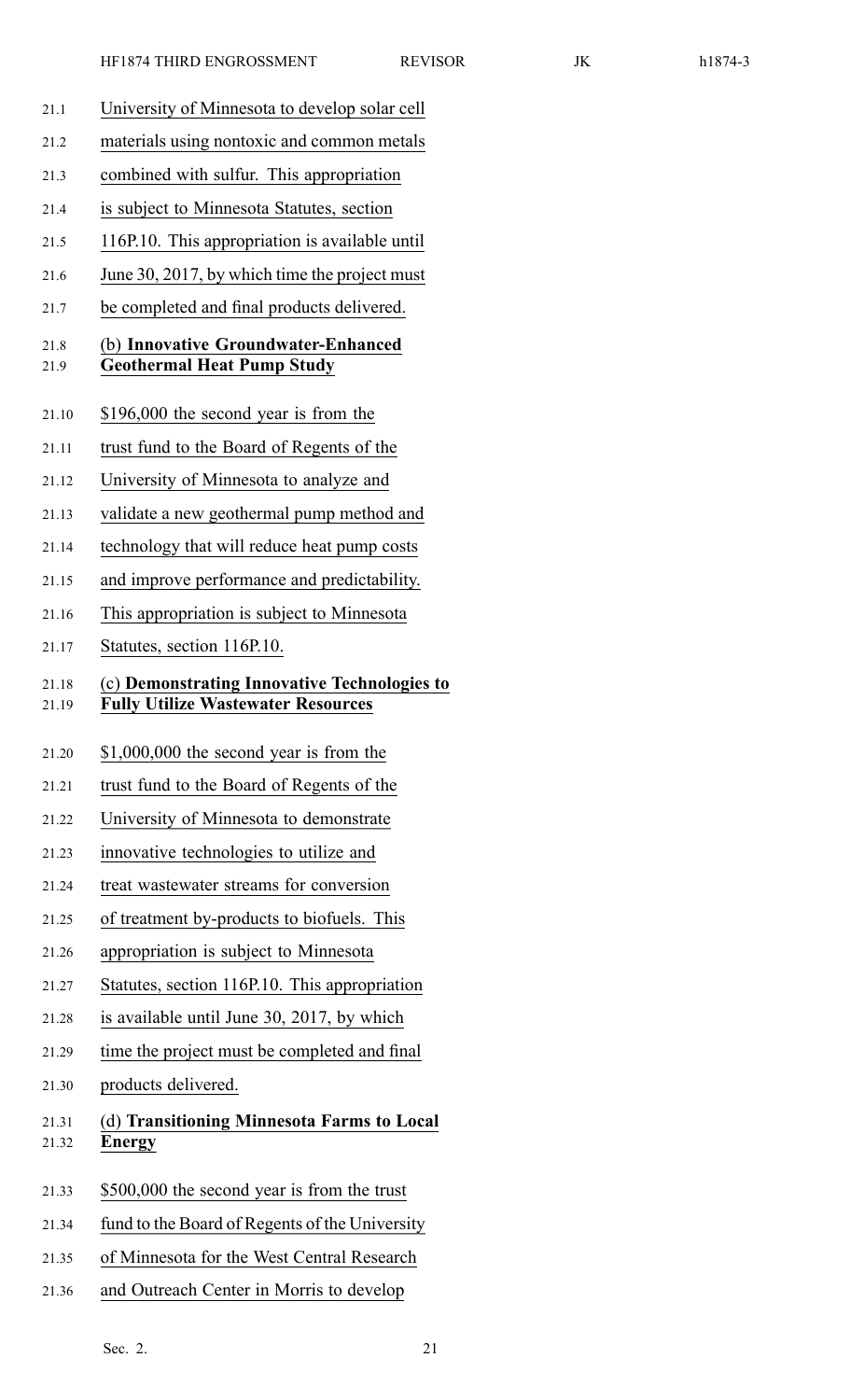- 21.1 University of Minnesota to develop solar cell 21.2 materials using nontoxic and common metals 21.3 combined with sulfur. This appropriation 21.4 is subject to Minnesota Statutes, section 21.5 116P.10. This appropriation is available until 21.6 June 30, 2017, by which time the project must 21.7 be completed and final products delivered. 21.8 (b) **Innovative Groundwater-Enhanced** 21.9 **Geothermal Heat Pump Study** 21.10 \$196,000 the second year is from the 21.11 trust fund to the Board of Regents of the 21.12 University of Minnesota to analyze and 21.13 validate <sup>a</sup> new geothermal pump method and 21.14 technology that will reduce heat pump costs 21.15 and improve performance and predictability. 21.16 This appropriation is subject to Minnesota 21.17 Statutes, section 116P.10. 21.18 (c) **Demonstrating Innovative Technologies to** 21.19 **Fully Utilize Wastewater Resources** 21.20 \$1,000,000 the second year is from the 21.21 trust fund to the Board of Regents of the 21.22 University of Minnesota to demonstrate 21.23 innovative technologies to utilize and 21.24 treat wastewater streams for conversion 21.25 of treatment by-products to biofuels. This 21.26 appropriation is subject to Minnesota 21.27 Statutes, section 116P.10. This appropriation 21.28 is available until June 30, 2017, by which 21.29 time the project must be completed and final
	- 21.30 products delivered.
	- 21.31 (d) **Transitioning Minnesota Farms to Local** 21.32 **Energy**
	- 21.33 \$500,000 the second year is from the trust
	- 21.34 fund to the Board of Regents of the University
	- 21.35 of Minnesota for the West Central Research
	- 21.36 and Outreach Center in Morris to develop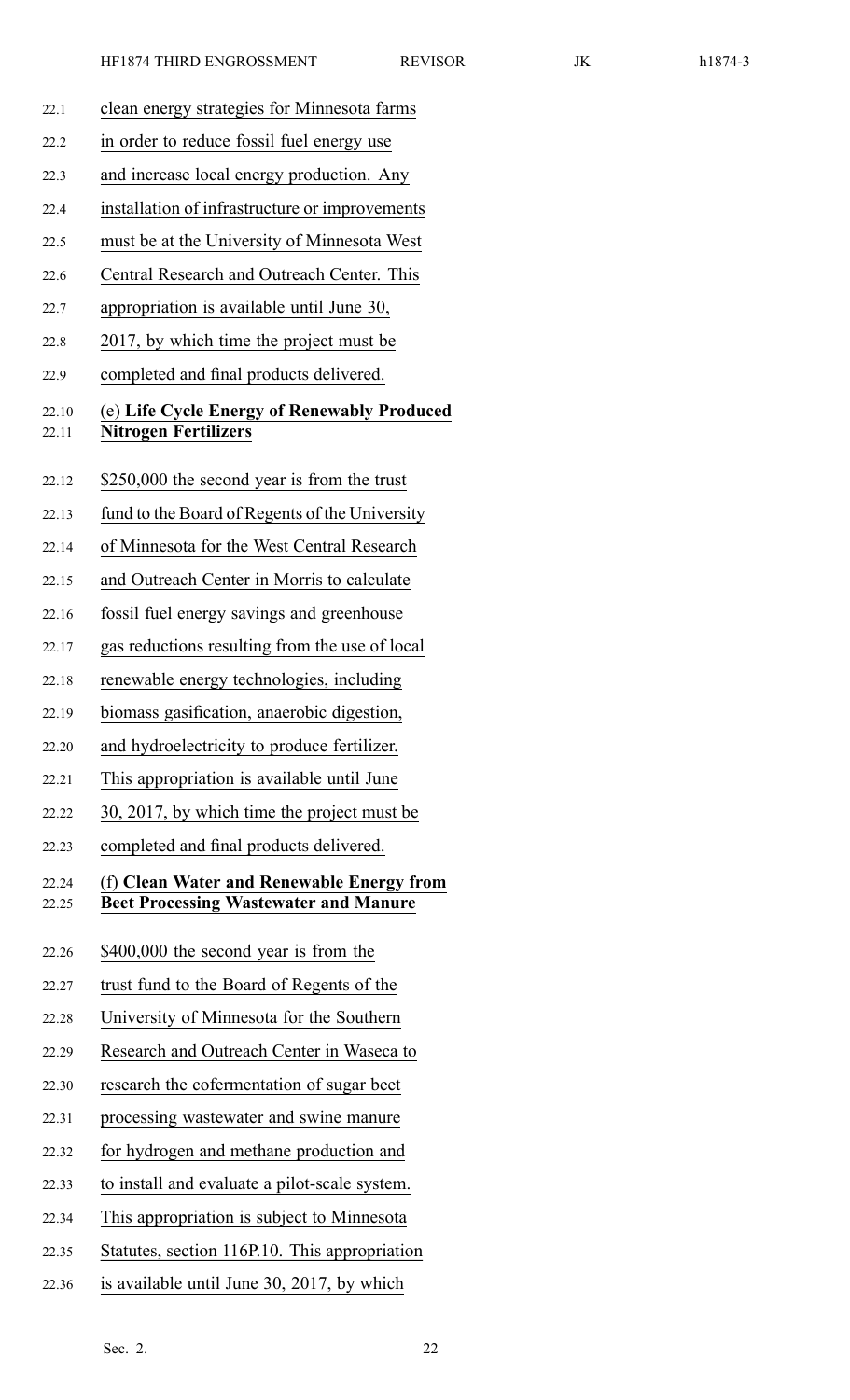| 22.1           | clean energy strategies for Minnesota farms                                               |  |
|----------------|-------------------------------------------------------------------------------------------|--|
| 22.2           | in order to reduce fossil fuel energy use                                                 |  |
| 22.3           | and increase local energy production. Any                                                 |  |
| 22.4           | installation of infrastructure or improvements                                            |  |
| 22.5           | must be at the University of Minnesota West                                               |  |
| 22.6           | Central Research and Outreach Center. This                                                |  |
| 22.7           | appropriation is available until June 30,                                                 |  |
| 22.8           | 2017, by which time the project must be                                                   |  |
| 22.9           | completed and final products delivered.                                                   |  |
| 22.10<br>22.11 | (e) Life Cycle Energy of Renewably Produced<br><b>Nitrogen Fertilizers</b>                |  |
| 22.12          | \$250,000 the second year is from the trust                                               |  |
| 22.13          | fund to the Board of Regents of the University                                            |  |
| 22.14          | of Minnesota for the West Central Research                                                |  |
| 22.15          | and Outreach Center in Morris to calculate                                                |  |
| 22.16          | fossil fuel energy savings and greenhouse                                                 |  |
| 22.17          | gas reductions resulting from the use of local                                            |  |
| 22.18          | renewable energy technologies, including                                                  |  |
| 22.19          | biomass gasification, anaerobic digestion,                                                |  |
| 22.20          | and hydroelectricity to produce fertilizer.                                               |  |
| 22.21          | This appropriation is available until June                                                |  |
| 22.22          | 30, 2017, by which time the project must be                                               |  |
| 22.23          | completed and final products delivered.                                                   |  |
| 22.24<br>22.25 | (f) Clean Water and Renewable Energy from<br><b>Beet Processing Wastewater and Manure</b> |  |
| 22.26          | \$400,000 the second year is from the                                                     |  |
| 22.27          | trust fund to the Board of Regents of the                                                 |  |
| 22.28          | University of Minnesota for the Southern                                                  |  |
| 22.29          | Research and Outreach Center in Waseca to                                                 |  |
| 22.30          | research the cofermentation of sugar beet                                                 |  |
| 22.31          | processing wastewater and swine manure                                                    |  |
| 22.32          | for hydrogen and methane production and                                                   |  |
| 22.33          | to install and evaluate a pilot-scale system.                                             |  |
| 22.34          | This appropriation is subject to Minnesota                                                |  |
| 22.35          | Statutes, section 116P.10. This appropriation                                             |  |
| 22.36          | is available until June 30, 2017, by which                                                |  |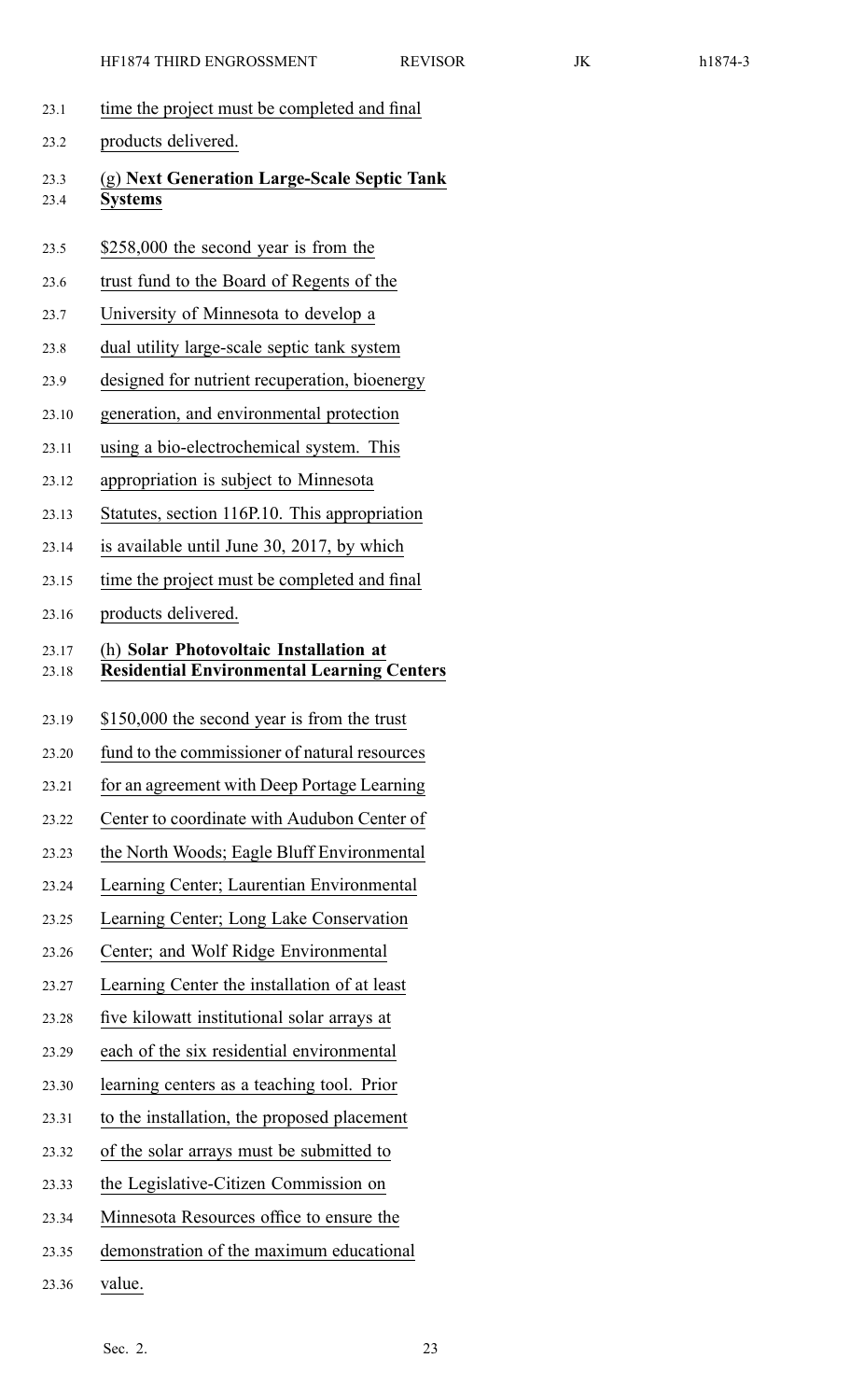- 23.1 time the project must be completed and final
- 23.2 products delivered.
- 23.3 (g) **Next Generation Large-Scale Septic Tank** 23.4 **Systems**
- 23.5 \$258,000 the second year is from the
- 23.6 trust fund to the Board of Regents of the
- 23.7 University of Minnesota to develop <sup>a</sup>
- 23.8 dual utility large-scale septic tank system
- 23.9 designed for nutrient recuperation, bioenergy
- 23.10 generation, and environmental protection
- 23.11 using <sup>a</sup> bio-electrochemical system. This
- 23.12 appropriation is subject to Minnesota
- 23.13 Statutes, section 116P.10. This appropriation
- 23.14 is available until June 30, 2017, by which
- 23.15 time the project must be completed and final
- 23.16 products delivered.

## 23.17 (h) **Solar Photovoltaic Installation at** 23.18 **Residential Environmental Learning Centers**

- 23.19 \$150,000 the second year is from the trust
- 23.20 fund to the commissioner of natural resources
- 23.21 for an agreemen<sup>t</sup> with Deep Portage Learning
- 23.22 Center to coordinate with Audubon Center of
- 23.23 the North Woods; Eagle Bluff Environmental
- 23.24 Learning Center; Laurentian Environmental
- 23.25 Learning Center; Long Lake Conservation
- 23.26 Center; and Wolf Ridge Environmental
- 23.27 Learning Center the installation of at least
- 23.28 five kilowatt institutional solar arrays at
- 23.29 each of the six residential environmental
- 23.30 learning centers as <sup>a</sup> teaching tool. Prior
- 23.31 to the installation, the proposed placement
- 23.32 of the solar arrays must be submitted to
- 23.33 the Legislative-Citizen Commission on
- 23.34 Minnesota Resources office to ensure the
- 23.35 demonstration of the maximum educational
- 23.36 value.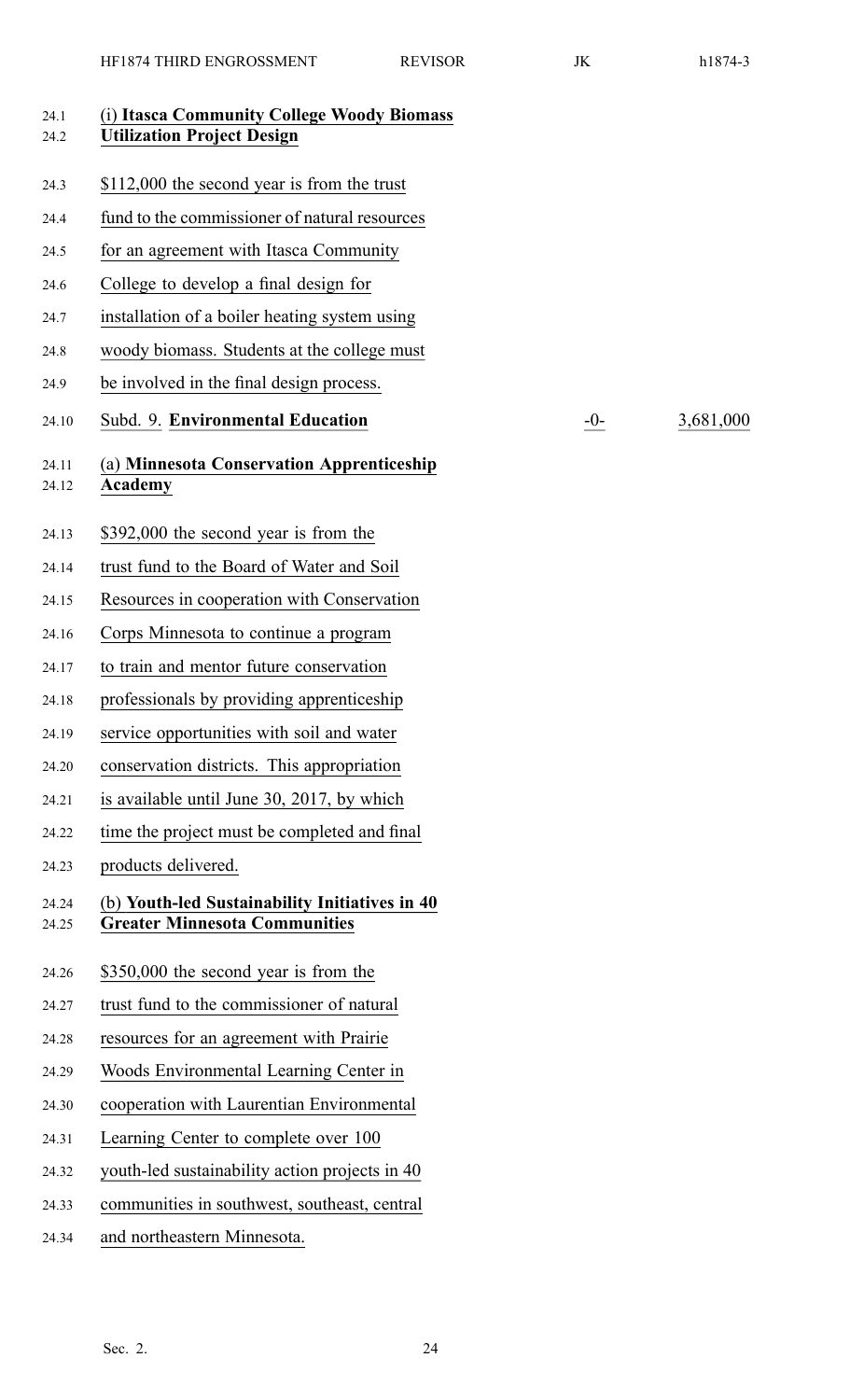| 24.1<br>24.2   | (i) Itasca Community College Woody Biomass<br><b>Utilization Project Design</b>        |       |           |
|----------------|----------------------------------------------------------------------------------------|-------|-----------|
| 24.3           | \$112,000 the second year is from the trust                                            |       |           |
| 24.4           | fund to the commissioner of natural resources                                          |       |           |
| 24.5           | for an agreement with Itasca Community                                                 |       |           |
| 24.6           | College to develop a final design for                                                  |       |           |
| 24.7           | installation of a boiler heating system using                                          |       |           |
| 24.8           | woody biomass. Students at the college must                                            |       |           |
| 24.9           | be involved in the final design process.                                               |       |           |
| 24.10          | Subd. 9. Environmental Education                                                       | $-0-$ | 3,681,000 |
| 24.11<br>24.12 | (a) Minnesota Conservation Apprenticeship<br><b>Academy</b>                            |       |           |
| 24.13          | \$392,000 the second year is from the                                                  |       |           |
| 24.14          | trust fund to the Board of Water and Soil                                              |       |           |
| 24.15          | Resources in cooperation with Conservation                                             |       |           |
| 24.16          | Corps Minnesota to continue a program                                                  |       |           |
| 24.17          | to train and mentor future conservation                                                |       |           |
| 24.18          | professionals by providing apprenticeship                                              |       |           |
| 24.19          | service opportunities with soil and water                                              |       |           |
| 24.20          | conservation districts. This appropriation                                             |       |           |
| 24.21          | is available until June 30, 2017, by which                                             |       |           |
| 24.22          | time the project must be completed and final                                           |       |           |
| 24.23          | products delivered.                                                                    |       |           |
| 24.24<br>24.25 | (b) Youth-led Sustainability Initiatives in 40<br><b>Greater Minnesota Communities</b> |       |           |
| 24.26          | \$350,000 the second year is from the                                                  |       |           |
| 24.27          | trust fund to the commissioner of natural                                              |       |           |
| 24.28          | resources for an agreement with Prairie                                                |       |           |
| 24.29          | Woods Environmental Learning Center in                                                 |       |           |
| 24.30          | cooperation with Laurentian Environmental                                              |       |           |
| 24.31          | Learning Center to complete over 100                                                   |       |           |
| 24.32          | youth-led sustainability action projects in 40                                         |       |           |
| 24.33          | communities in southwest, southeast, central                                           |       |           |
| 24.34          | and northeastern Minnesota.                                                            |       |           |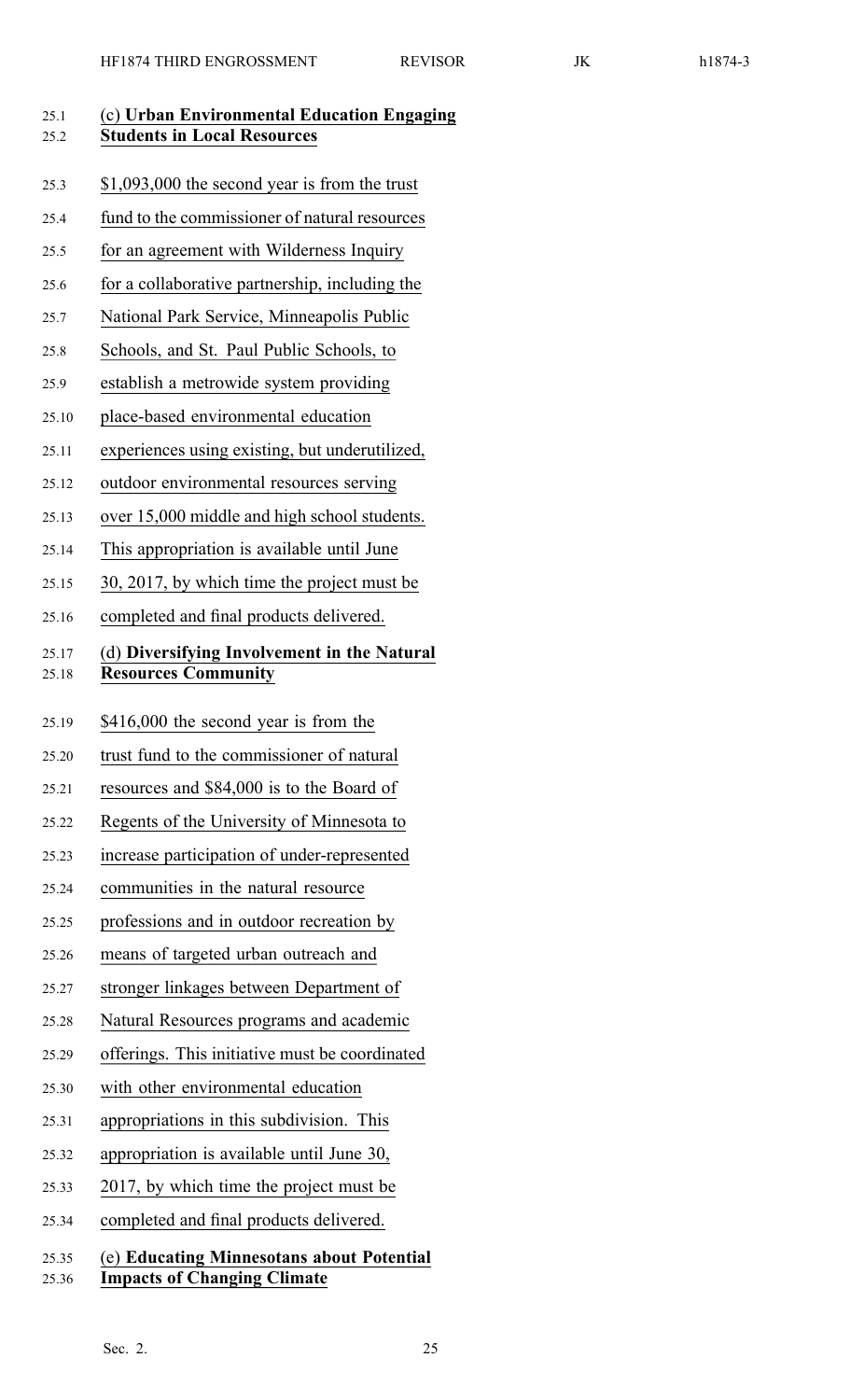| 25.1<br>25.2   | (c) Urban Environmental Education Engaging<br><b>Students in Local Resources</b> |
|----------------|----------------------------------------------------------------------------------|
| 25.3           | \$1,093,000 the second year is from the trust                                    |
| 25.4           | fund to the commissioner of natural resources                                    |
| 25.5           | for an agreement with Wilderness Inquiry                                         |
| 25.6           | for a collaborative partnership, including the                                   |
| 25.7           | National Park Service, Minneapolis Public                                        |
| 25.8           | Schools, and St. Paul Public Schools, to                                         |
| 25.9           | establish a metrowide system providing                                           |
| 25.10          | place-based environmental education                                              |
| 25.11          | experiences using existing, but underutilized,                                   |
| 25.12          | outdoor environmental resources serving                                          |
| 25.13          | over 15,000 middle and high school students.                                     |
| 25.14          | This appropriation is available until June                                       |
| 25.15          | 30, 2017, by which time the project must be                                      |
| 25.16          | completed and final products delivered.                                          |
| 25.17<br>25.18 | (d) Diversifying Involvement in the Natural<br><b>Resources Community</b>        |
| 25.19          | \$416,000 the second year is from the                                            |
| 25.20          | trust fund to the commissioner of natural                                        |
| 25.21          | resources and \$84,000 is to the Board of                                        |
| 25.22          | Regents of the University of Minnesota to                                        |
| 25.23          | increase participation of under-represented                                      |
| 25.24          | communities in the natural resource                                              |
| 25.25          | professions and in outdoor recreation by                                         |
| 25.26          | means of targeted urban outreach and                                             |
| 25.27          | stronger linkages between Department of                                          |
| 25.28          | Natural Resources programs and academic                                          |
| 25.29          | offerings. This initiative must be coordinated                                   |
| 25.30          | with other environmental education                                               |
| 25.31          | appropriations in this subdivision. This                                         |
| 25.32          | appropriation is available until June 30,                                        |
| 25.33          | 2017, by which time the project must be                                          |
| 25.34          | completed and final products delivered.                                          |
| 25.35<br>25.36 | (e) Educating Minnesotans about Potential<br><b>Impacts of Changing Climate</b>  |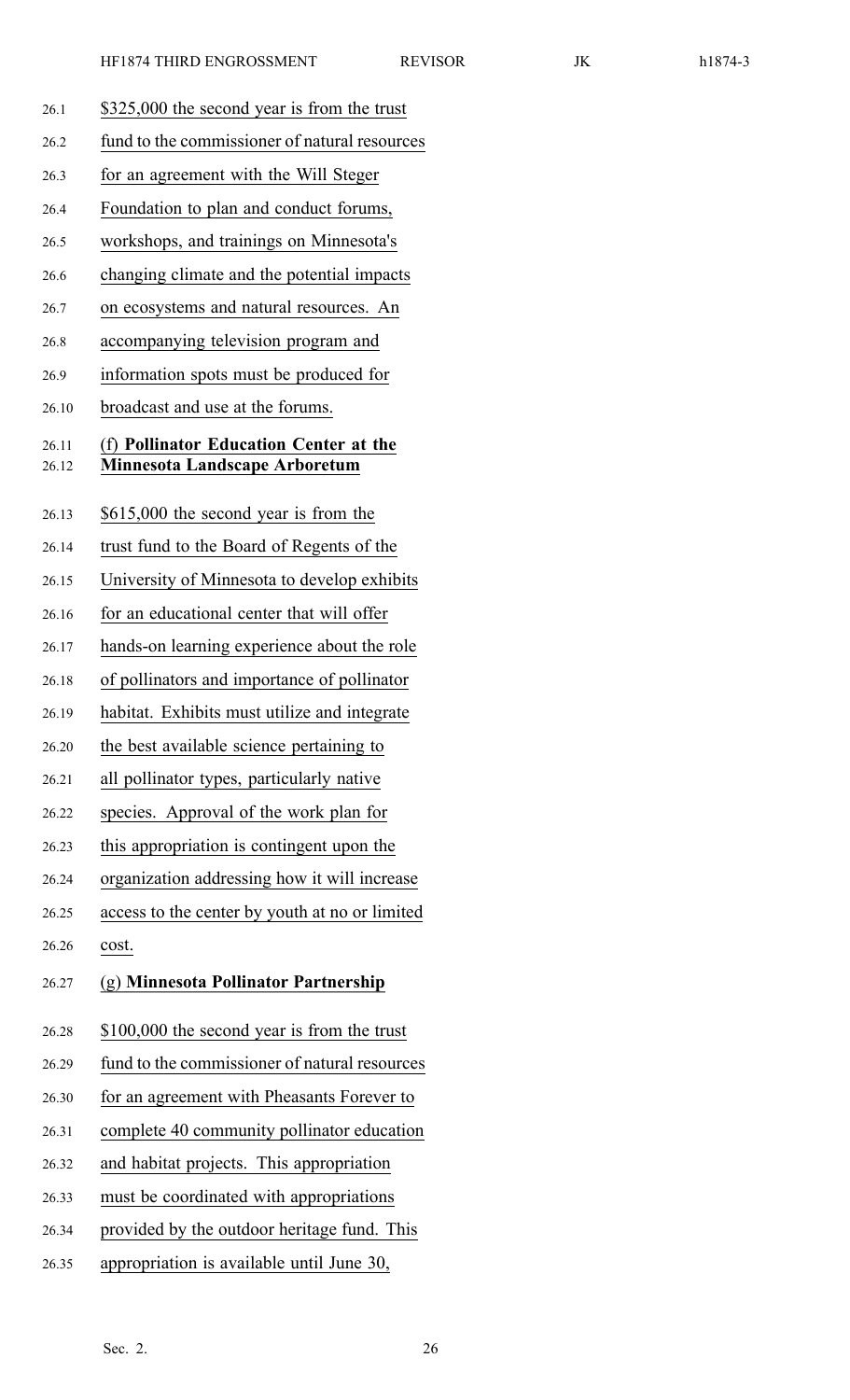| 26.1           | \$325,000 the second year is from the trust                                    |
|----------------|--------------------------------------------------------------------------------|
| 26.2           | fund to the commissioner of natural resources                                  |
| 26.3           | for an agreement with the Will Steger                                          |
| 26.4           | Foundation to plan and conduct forums,                                         |
| 26.5           | workshops, and trainings on Minnesota's                                        |
| 26.6           | changing climate and the potential impacts                                     |
| 26.7           | on ecosystems and natural resources. An                                        |
| 26.8           | accompanying television program and                                            |
| 26.9           | information spots must be produced for                                         |
| 26.10          | broadcast and use at the forums.                                               |
| 26.11<br>26.12 | (f) Pollinator Education Center at the<br><b>Minnesota Landscape Arboretum</b> |
| 26.13          | \$615,000 the second year is from the                                          |
| 26.14          | trust fund to the Board of Regents of the                                      |
| 26.15          | University of Minnesota to develop exhibits                                    |
| 26.16          | for an educational center that will offer                                      |
| 26.17          | hands-on learning experience about the role                                    |
| 26.18          | of pollinators and importance of pollinator                                    |
| 26.19          | habitat. Exhibits must utilize and integrate                                   |
| 26.20          | the best available science pertaining to                                       |
| 26.21          | all pollinator types, particularly native                                      |
| 26.22          | species. Approval of the work plan for                                         |
| 26.23          | this appropriation is contingent upon the                                      |
| 26.24          | organization addressing how it will increase                                   |
| 26.25          | access to the center by youth at no or limited                                 |
| 26.26          | cost.                                                                          |
| 26.27          | (g) Minnesota Pollinator Partnership                                           |
| 26.28          | \$100,000 the second year is from the trust                                    |
| 26.29          | fund to the commissioner of natural resources                                  |
| 26.30          | for an agreement with Pheasants Forever to                                     |
| 26.31          | complete 40 community pollinator education                                     |
| 26.32          | and habitat projects. This appropriation                                       |
| 26.33          | must be coordinated with appropriations                                        |
| 26.34          | provided by the outdoor heritage fund. This                                    |
| 26.35          | appropriation is available until June 30,                                      |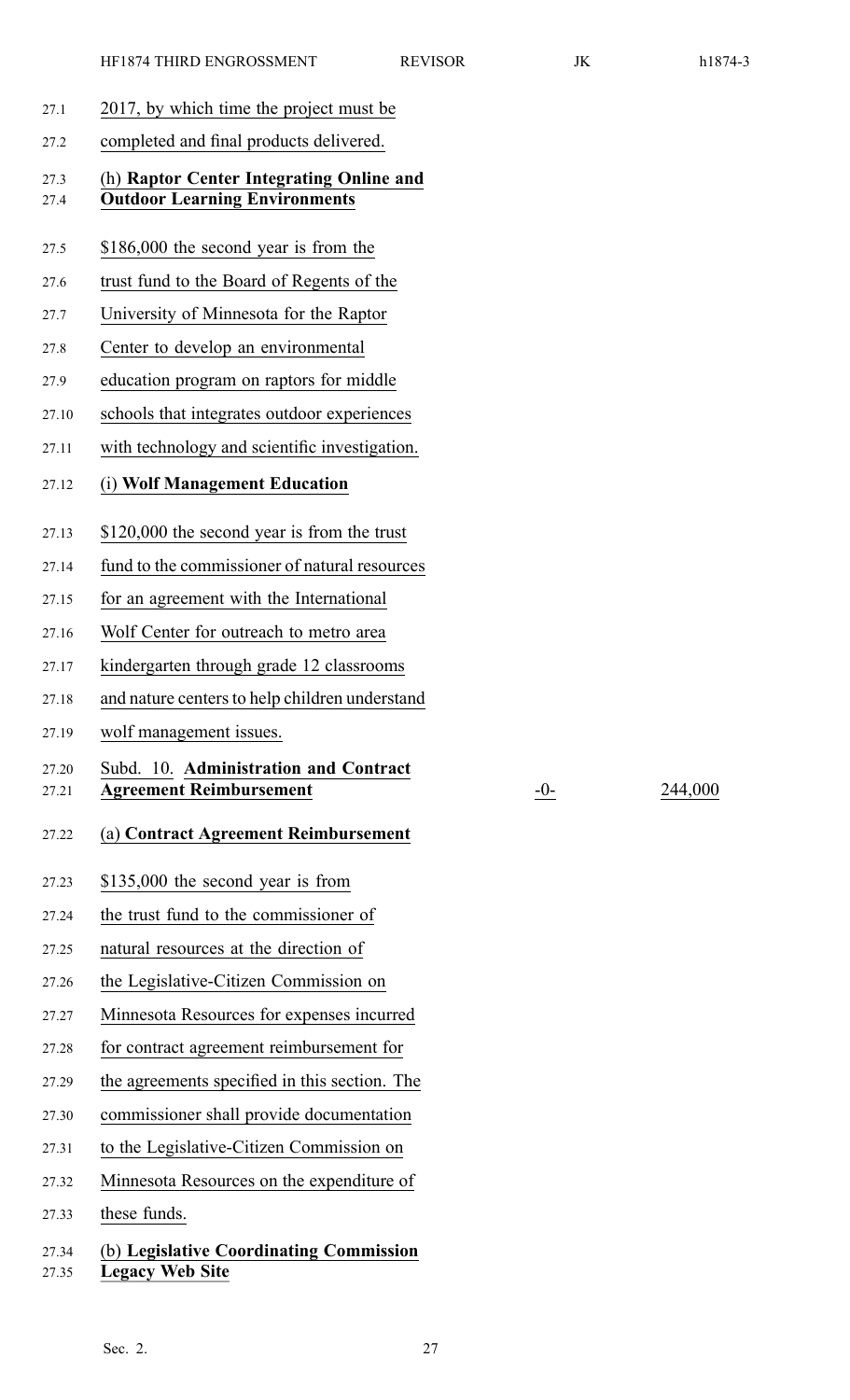- 27.1 2017, by which time the project must be
- 27.2 completed and final products delivered.

#### 27.3 (h) **Raptor Center Integrating Online and** 27.4 **Outdoor Learning Environments**

- 27.5 \$186,000 the second year is from the
- 27.6 trust fund to the Board of Regents of the
- 27.7 University of Minnesota for the Raptor
- 27.8 Center to develop an environmental
- 27.9 education program on raptors for middle
- 27.10 schools that integrates outdoor experiences
- 27.11 with technology and scientific investigation.
- 27.12 (i) **Wolf Management Education**
- 27.13 \$120,000 the second year is from the trust
- 27.14 fund to the commissioner of natural resources
- 27.15 for an agreemen<sup>t</sup> with the International
- 27.16 Wolf Center for outreach to metro area
- 27.17 kindergarten through grade 12 classrooms
- 27.18 and nature centers to help children understand
- 27.19 wolf managemen<sup>t</sup> issues.

#### 27.20 Subd. 10. **Administration and Contract** 27.21 **Agreement Reimbursement** -0- 244,000

#### 27.22 (a) **Contract Agreement Reimbursement**

- 27.23 \$135,000 the second year is from
- 27.24 the trust fund to the commissioner of
- 27.25 natural resources at the direction of
- 27.26 the Legislative-Citizen Commission on
- 27.27 Minnesota Resources for expenses incurred
- 27.28 for contract agreemen<sup>t</sup> reimbursement for
- 27.29 the agreements specified in this section. The
- 27.30 commissioner shall provide documentation
- 27.31 to the Legislative-Citizen Commission on
- 27.32 Minnesota Resources on the expenditure of
- 27.33 these funds.

## 27.34 (b) **Legislative Coordinating Commission** 27.35 **Legacy Web Site**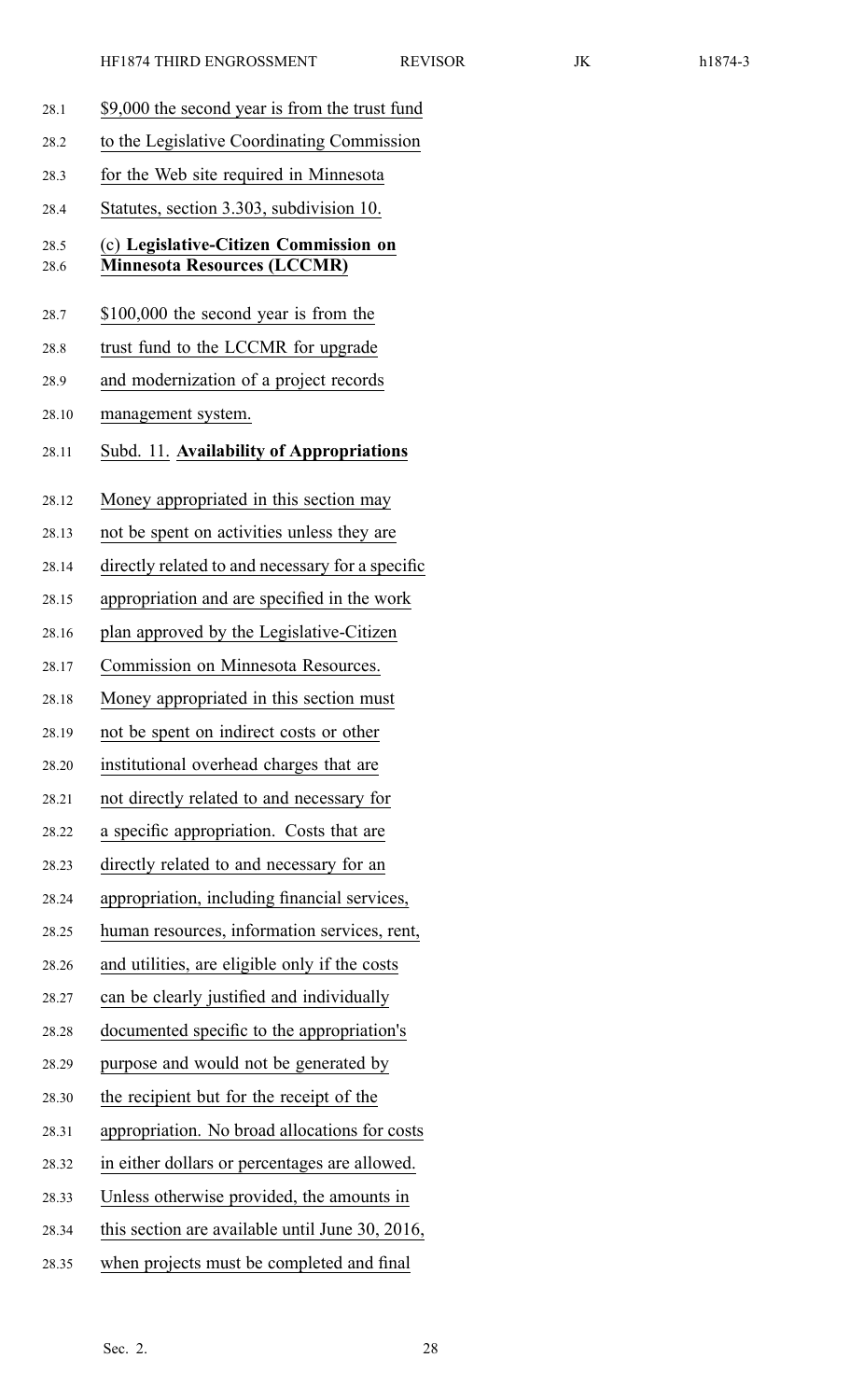| וו<br>L | x |  |
|---------|---|--|
|         |   |  |

| 28.1         | \$9,000 the second year is from the trust fund                              |
|--------------|-----------------------------------------------------------------------------|
| 28.2         | to the Legislative Coordinating Commission                                  |
| 28.3         | for the Web site required in Minnesota                                      |
| 28.4         | Statutes, section 3.303, subdivision 10.                                    |
| 28.5<br>28.6 | (c) Legislative-Citizen Commission on<br><b>Minnesota Resources (LCCMR)</b> |
| 28.7         | \$100,000 the second year is from the                                       |
| 28.8         | trust fund to the LCCMR for upgrade                                         |
| 28.9         | and modernization of a project records                                      |
| 28.10        | management system.                                                          |
| 28.11        | Subd. 11. Availability of Appropriations                                    |
| 28.12        | Money appropriated in this section may                                      |
| 28.13        | not be spent on activities unless they are                                  |
| 28.14        | directly related to and necessary for a specific                            |
| 28.15        | appropriation and are specified in the work                                 |
| 28.16        | plan approved by the Legislative-Citizen                                    |
| 28.17        | Commission on Minnesota Resources.                                          |
| 28.18        | Money appropriated in this section must                                     |
| 28.19        | not be spent on indirect costs or other                                     |
| 28.20        | institutional overhead charges that are                                     |
| 28.21        | not directly related to and necessary for                                   |
| 28.22        | a specific appropriation. Costs that are                                    |
| 28.23        | directly related to and necessary for an                                    |
| 28.24        | appropriation, including financial services,                                |
| 28.25        | human resources, information services, rent,                                |
| 28.26        | and utilities, are eligible only if the costs                               |
| 28.27        | can be clearly justified and individually                                   |
| 28.28        | documented specific to the appropriation's                                  |
| 28.29        | purpose and would not be generated by                                       |
| 28.30        | the recipient but for the receipt of the                                    |
| 28.31        | appropriation. No broad allocations for costs                               |
| 28.32        | in either dollars or percentages are allowed.                               |
| 28.33        | Unless otherwise provided, the amounts in                                   |
| 28.34        | this section are available until June 30, 2016,                             |
| 28.35        | when projects must be completed and final                                   |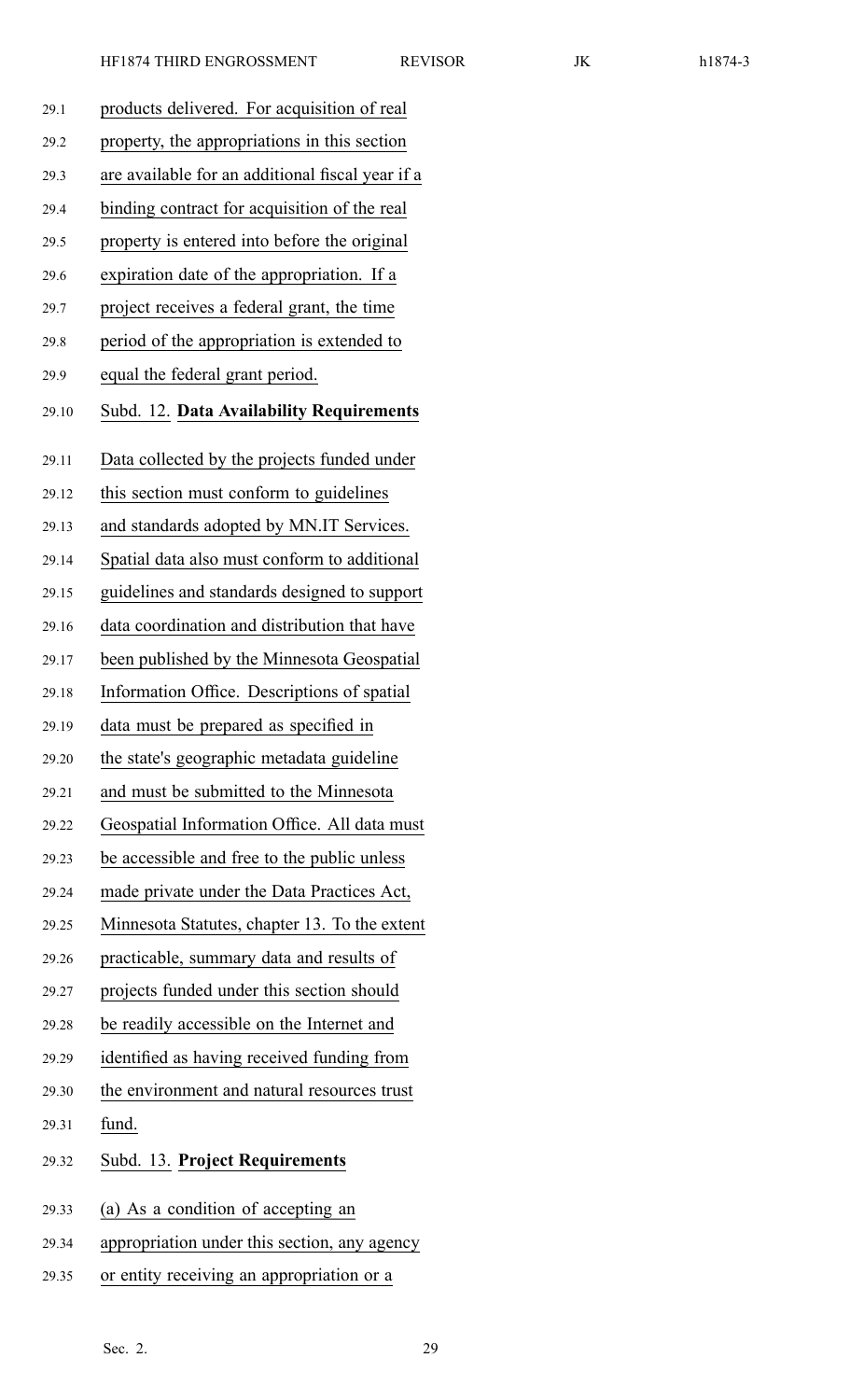| 29.1  | products delivered. For acquisition of real      |
|-------|--------------------------------------------------|
| 29.2  | property, the appropriations in this section     |
| 29.3  | are available for an additional fiscal year if a |
| 29.4  | binding contract for acquisition of the real     |
| 29.5  | property is entered into before the original     |
| 29.6  | expiration date of the appropriation. If a       |
| 29.7  | project receives a federal grant, the time       |
| 29.8  | period of the appropriation is extended to       |
| 29.9  | equal the federal grant period.                  |
| 29.10 | Subd. 12. Data Availability Requirements         |
| 29.11 | Data collected by the projects funded under      |
| 29.12 | this section must conform to guidelines          |
| 29.13 | and standards adopted by MN.IT Services.         |
| 29.14 | Spatial data also must conform to additional     |
| 29.15 | guidelines and standards designed to support     |
| 29.16 | data coordination and distribution that have     |
| 29.17 | been published by the Minnesota Geospatial       |
| 29.18 | Information Office. Descriptions of spatial      |
| 29.19 | data must be prepared as specified in            |
| 29.20 | the state's geographic metadata guideline        |
| 29.21 | and must be submitted to the Minnesota           |
| 29.22 | Geospatial Information Office. All data must     |
| 29.23 | be accessible and free to the public unless      |
| 29.24 | made private under the Data Practices Act,       |
| 29.25 | Minnesota Statutes, chapter 13. To the extent    |
| 29.26 | practicable, summary data and results of         |
| 29.27 | projects funded under this section should        |
| 29.28 | be readily accessible on the Internet and        |
| 29.29 | identified as having received funding from       |
| 29.30 | the environment and natural resources trust      |
| 29.31 | fund.                                            |
| 29.32 | Subd. 13. Project Requirements                   |
| 29.33 | (a) As a condition of accepting an               |
| 29.34 | appropriation under this section, any agency     |
| 29.35 | or entity receiving an appropriation or a        |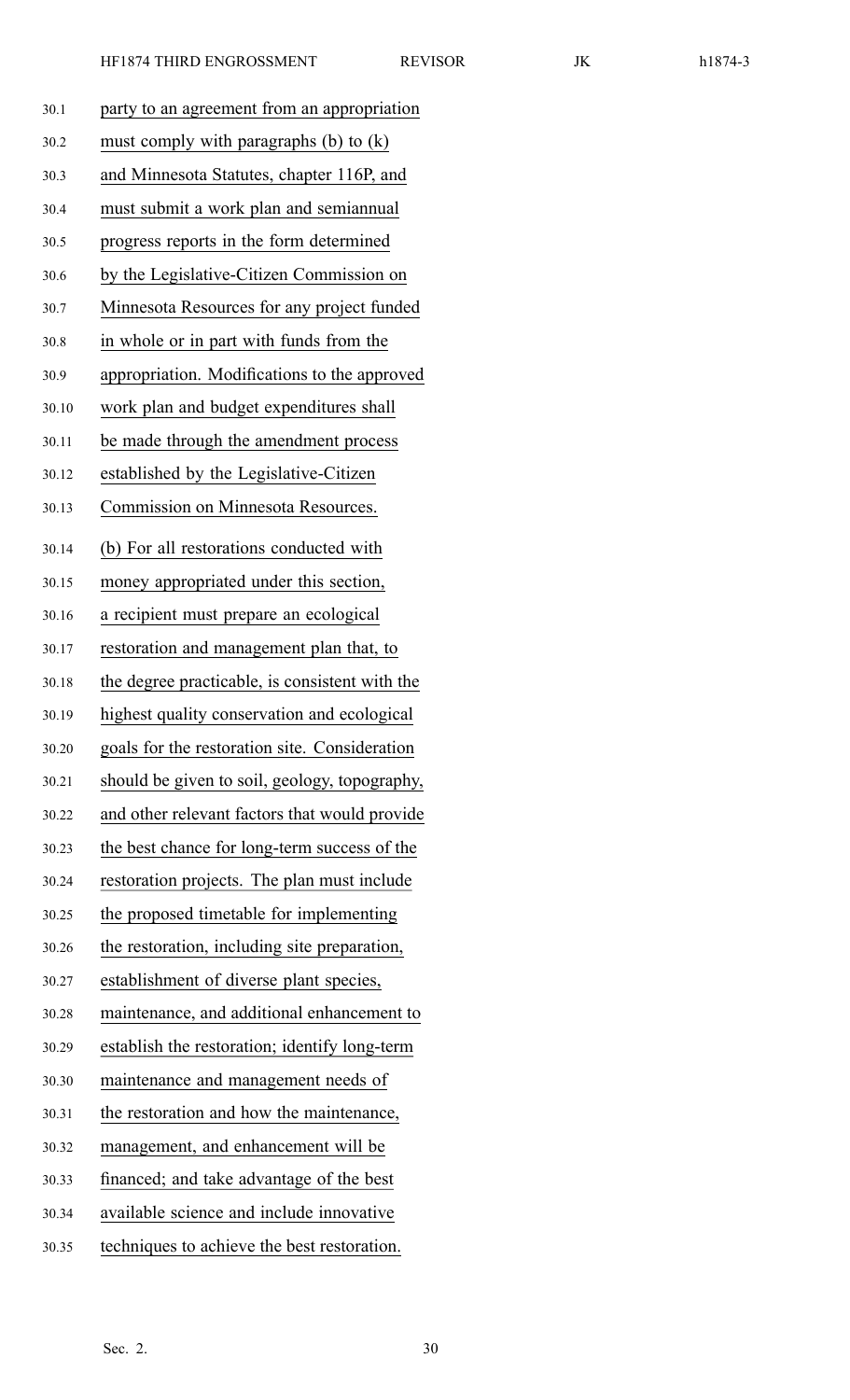| 30.1  | party to an agreement from an appropriation    |
|-------|------------------------------------------------|
| 30.2  | must comply with paragraphs $(b)$ to $(k)$     |
| 30.3  | and Minnesota Statutes, chapter 116P, and      |
| 30.4  | must submit a work plan and semiannual         |
| 30.5  | progress reports in the form determined        |
| 30.6  | by the Legislative-Citizen Commission on       |
| 30.7  | Minnesota Resources for any project funded     |
| 30.8  | in whole or in part with funds from the        |
| 30.9  | appropriation. Modifications to the approved   |
| 30.10 | work plan and budget expenditures shall        |
| 30.11 | be made through the amendment process          |
| 30.12 | established by the Legislative-Citizen         |
| 30.13 | Commission on Minnesota Resources.             |
| 30.14 | (b) For all restorations conducted with        |
| 30.15 | money appropriated under this section,         |
| 30.16 | a recipient must prepare an ecological         |
| 30.17 | restoration and management plan that, to       |
| 30.18 | the degree practicable, is consistent with the |
| 30.19 | highest quality conservation and ecological    |
| 30.20 | goals for the restoration site. Consideration  |
| 30.21 | should be given to soil, geology, topography,  |
| 30.22 | and other relevant factors that would provide  |
| 30.23 | the best chance for long-term success of the   |
| 30.24 | restoration projects. The plan must include    |
| 30.25 | the proposed timetable for implementing        |
| 30.26 | the restoration, including site preparation,   |
| 30.27 | establishment of diverse plant species,        |
| 30.28 | maintenance, and additional enhancement to     |
| 30.29 | establish the restoration; identify long-term  |
| 30.30 | maintenance and management needs of            |
| 30.31 | the restoration and how the maintenance,       |
| 30.32 | management, and enhancement will be            |
| 30.33 | financed; and take advantage of the best       |
| 30.34 | available science and include innovative       |
| 30.35 | techniques to achieve the best restoration.    |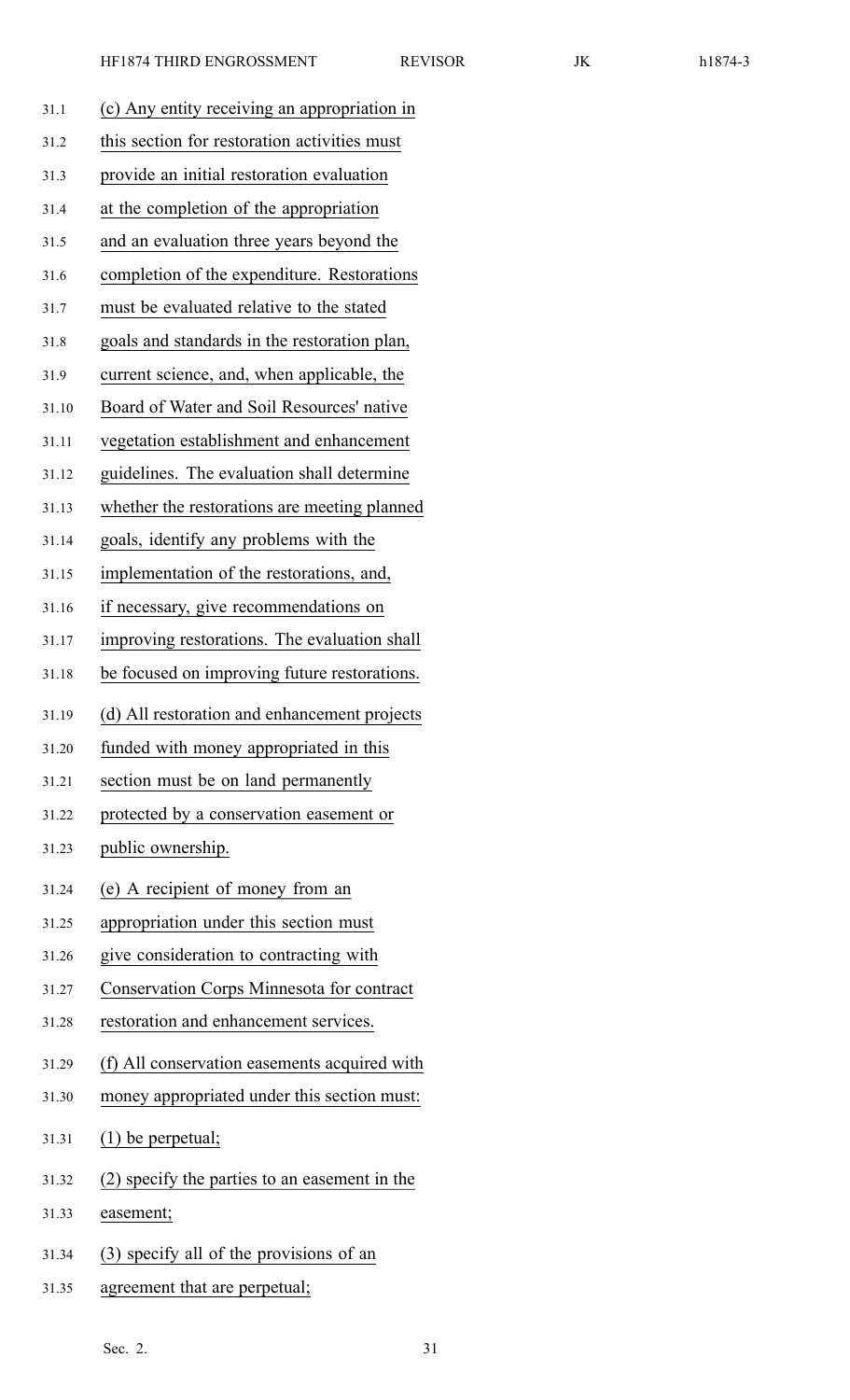| 31.1  | (c) Any entity receiving an appropriation in     |
|-------|--------------------------------------------------|
| 31.2  | this section for restoration activities must     |
| 31.3  | provide an initial restoration evaluation        |
| 31.4  | at the completion of the appropriation           |
| 31.5  | and an evaluation three years beyond the         |
| 31.6  | completion of the expenditure. Restorations      |
| 31.7  | must be evaluated relative to the stated         |
| 31.8  | goals and standards in the restoration plan,     |
| 31.9  | current science, and, when applicable, the       |
| 31.10 | Board of Water and Soil Resources' native        |
| 31.11 | vegetation establishment and enhancement         |
| 31.12 | guidelines. The evaluation shall determine       |
| 31.13 | whether the restorations are meeting planned     |
| 31.14 | goals, identify any problems with the            |
| 31.15 | implementation of the restorations, and,         |
| 31.16 | if necessary, give recommendations on            |
| 31.17 | improving restorations. The evaluation shall     |
| 31.18 | be focused on improving future restorations.     |
|       |                                                  |
| 31.19 | (d) All restoration and enhancement projects     |
| 31.20 | funded with money appropriated in this           |
| 31.21 | section must be on land permanently              |
| 31.22 | protected by a conservation easement or          |
| 31.23 | public ownership.                                |
| 31.24 | (e) A recipient of money from an                 |
| 31.25 | appropriation under this section must            |
| 31.26 | give consideration to contracting with           |
| 31.27 | <b>Conservation Corps Minnesota for contract</b> |
| 31.28 | restoration and enhancement services.            |
| 31.29 | (f) All conservation easements acquired with     |
| 31.30 | money appropriated under this section must:      |
| 31.31 | $(1)$ be perpetual;                              |
| 31.32 | (2) specify the parties to an easement in the    |
| 31.33 | easement;                                        |
| 31.34 | (3) specify all of the provisions of an          |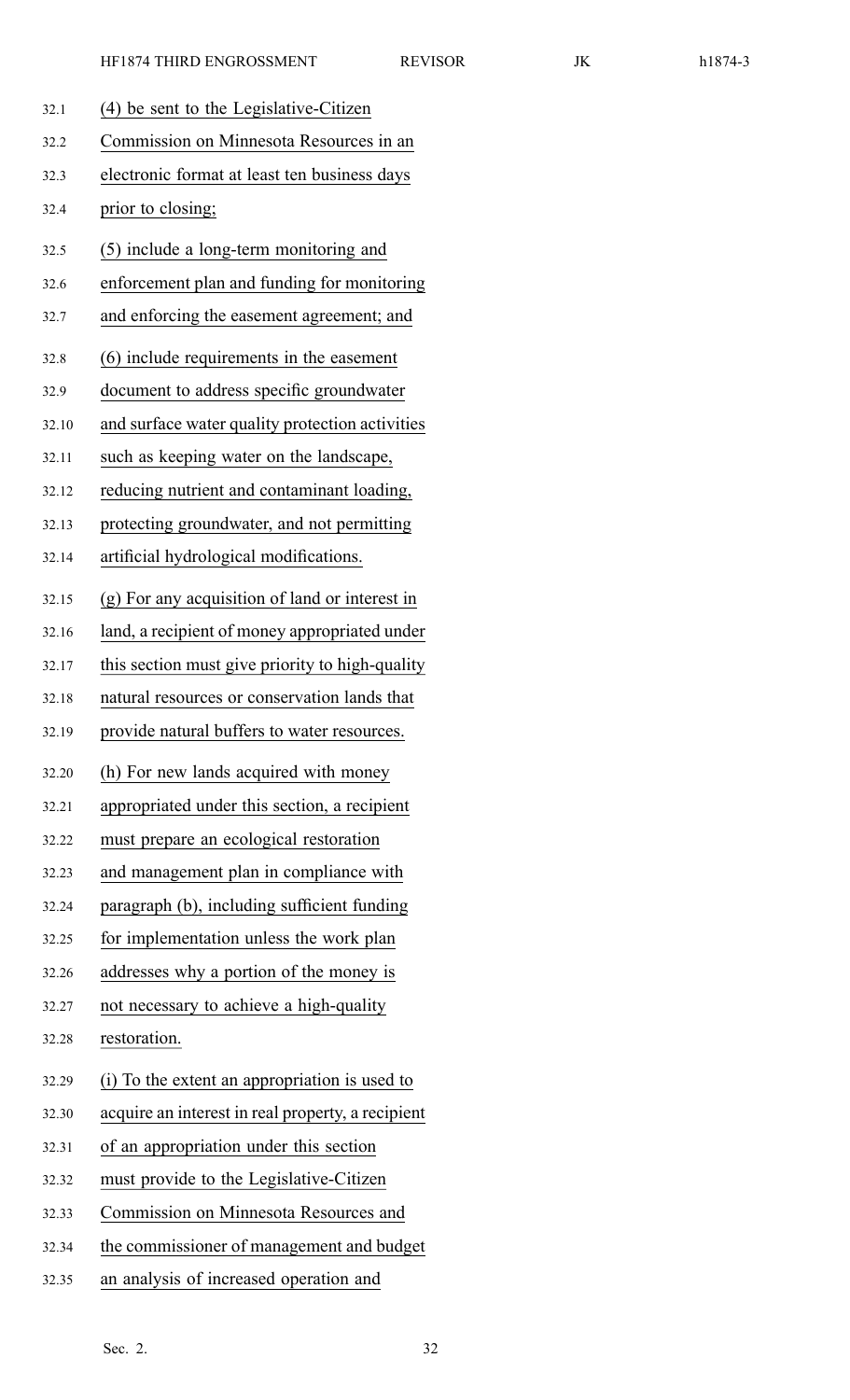| 32.1  | (4) be sent to the Legislative-Citizen            |
|-------|---------------------------------------------------|
|       | Commission on Minnesota Resources in an           |
| 32.2  |                                                   |
| 32.3  | electronic format at least ten business days      |
| 32.4  | prior to closing;                                 |
| 32.5  | (5) include a long-term monitoring and            |
| 32.6  | enforcement plan and funding for monitoring       |
| 32.7  | and enforcing the easement agreement; and         |
| 32.8  | (6) include requirements in the easement          |
| 32.9  | document to address specific groundwater          |
| 32.10 | and surface water quality protection activities   |
| 32.11 | such as keeping water on the landscape,           |
| 32.12 | reducing nutrient and contaminant loading,        |
| 32.13 | protecting groundwater, and not permitting        |
| 32.14 | artificial hydrological modifications.            |
| 32.15 | (g) For any acquisition of land or interest in    |
| 32.16 | land, a recipient of money appropriated under     |
| 32.17 | this section must give priority to high-quality   |
| 32.18 | natural resources or conservation lands that      |
| 32.19 | provide natural buffers to water resources.       |
| 32.20 | (h) For new lands acquired with money             |
| 32.21 | appropriated under this section, a recipient      |
| 32.22 | must prepare an ecological restoration            |
| 32.23 | and management plan in compliance with            |
| 32.24 | paragraph (b), including sufficient funding       |
| 32.25 | for implementation unless the work plan           |
| 32.26 | addresses why a portion of the money is           |
| 32.27 | not necessary to achieve a high-quality           |
| 32.28 | restoration.                                      |
| 32.29 | (i) To the extent an appropriation is used to     |
| 32.30 | acquire an interest in real property, a recipient |
| 32.31 | of an appropriation under this section            |
| 32.32 | must provide to the Legislative-Citizen           |
| 32.33 | Commission on Minnesota Resources and             |
| 32.34 | the commissioner of management and budget         |
| 32.35 | an analysis of increased operation and            |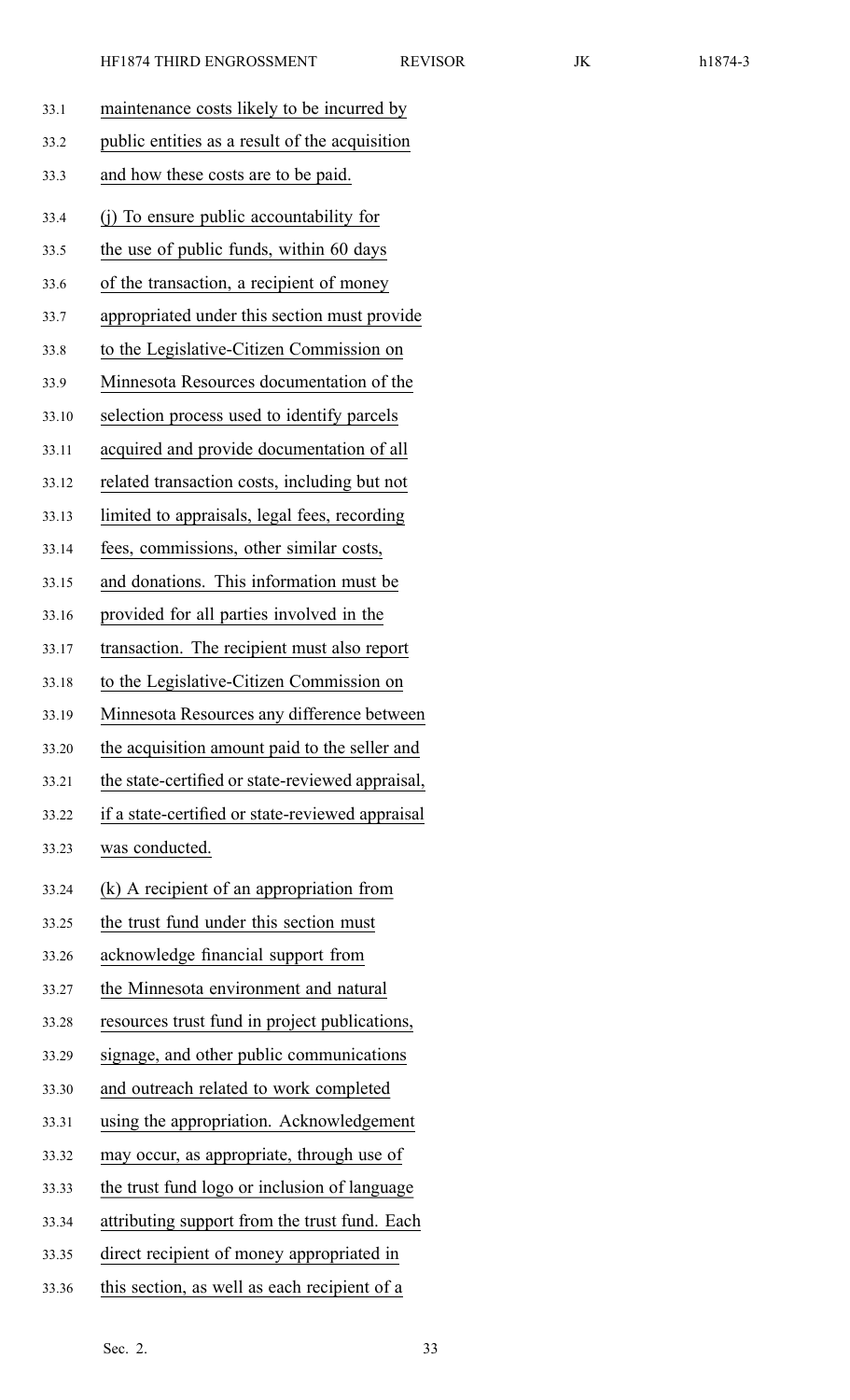| 33.1  | maintenance costs likely to be incurred by       |
|-------|--------------------------------------------------|
| 33.2  | public entities as a result of the acquisition   |
| 33.3  | and how these costs are to be paid.              |
| 33.4  | (i) To ensure public accountability for          |
| 33.5  | the use of public funds, within 60 days          |
| 33.6  | of the transaction, a recipient of money         |
| 33.7  | appropriated under this section must provide     |
| 33.8  | to the Legislative-Citizen Commission on         |
| 33.9  | Minnesota Resources documentation of the         |
| 33.10 | selection process used to identify parcels       |
| 33.11 | acquired and provide documentation of all        |
| 33.12 | related transaction costs, including but not     |
| 33.13 | limited to appraisals, legal fees, recording     |
| 33.14 | fees, commissions, other similar costs,          |
| 33.15 | and donations. This information must be          |
| 33.16 | provided for all parties involved in the         |
| 33.17 | transaction. The recipient must also report      |
| 33.18 | to the Legislative-Citizen Commission on         |
| 33.19 | Minnesota Resources any difference between       |
| 33.20 | the acquisition amount paid to the seller and    |
| 33.21 | the state-certified or state-reviewed appraisal, |
| 33.22 | if a state-certified or state-reviewed appraisal |
| 33.23 | was conducted.                                   |
| 33.24 | (k) A recipient of an appropriation from         |
| 33.25 | the trust fund under this section must           |
| 33.26 | acknowledge financial support from               |
| 33.27 | the Minnesota environment and natural            |
| 33.28 | resources trust fund in project publications,    |
| 33.29 | signage, and other public communications         |
| 33.30 | and outreach related to work completed           |
| 33.31 | using the appropriation. Acknowledgement         |
| 33.32 | may occur, as appropriate, through use of        |
| 33.33 | the trust fund logo or inclusion of language     |
| 33.34 | attributing support from the trust fund. Each    |
| 33.35 | direct recipient of money appropriated in        |
| 33.36 | this section, as well as each recipient of a     |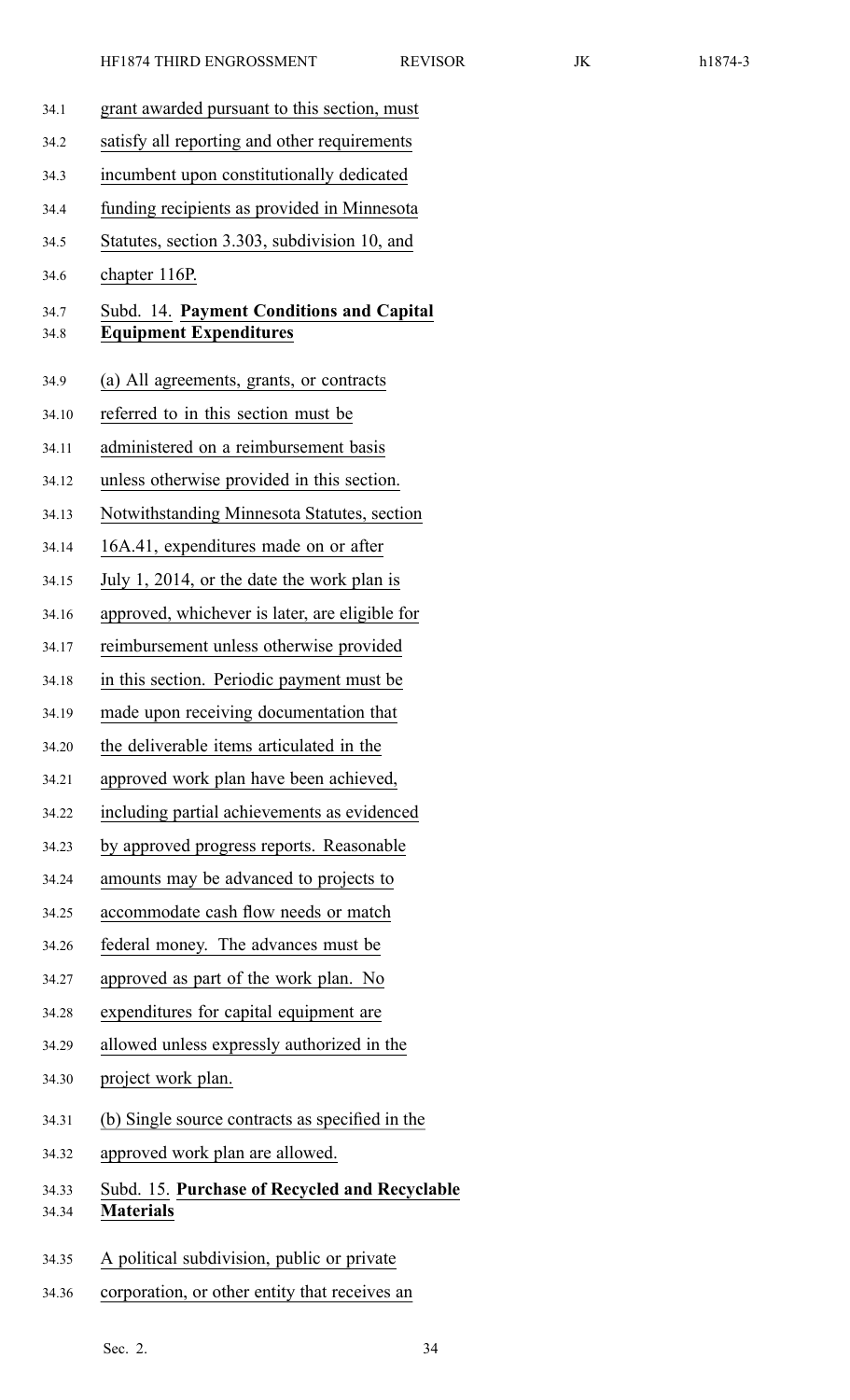| 34.1         | grant awarded pursuant to this section, must                              |
|--------------|---------------------------------------------------------------------------|
| 34.2         | satisfy all reporting and other requirements                              |
| 34.3         | incumbent upon constitutionally dedicated                                 |
| 34.4         | funding recipients as provided in Minnesota                               |
| 34.5         | Statutes, section 3.303, subdivision 10, and                              |
| 34.6         | chapter 116P.                                                             |
| 34.7<br>34.8 | Subd. 14. Payment Conditions and Capital<br><b>Equipment Expenditures</b> |
| 34.9         | (a) All agreements, grants, or contracts                                  |
| 34.10        | referred to in this section must be                                       |
| 34.11        | administered on a reimbursement basis                                     |
| 34.12        | unless otherwise provided in this section.                                |
| 34.13        | Notwithstanding Minnesota Statutes, section                               |
| 34.14        | 16A.41, expenditures made on or after                                     |
| 34.15        | July 1, 2014, or the date the work plan is                                |
| 34.16        | approved, whichever is later, are eligible for                            |
| 34.17        | reimbursement unless otherwise provided                                   |
| 34.18        | in this section. Periodic payment must be                                 |
| 34.19        | made upon receiving documentation that                                    |
| 34.20        | the deliverable items articulated in the                                  |
| 34.21        | approved work plan have been achieved,                                    |
| 34.22        | including partial achievements as evidenced                               |
| 34.23        | by approved progress reports. Reasonable                                  |
| 34.24        | amounts may be advanced to projects to                                    |
| 34.25        | accommodate cash flow needs or match                                      |
| 34.26        | federal money. The advances must be                                       |
| 34.27        | approved as part of the work plan. No                                     |
| 34.28        | expenditures for capital equipment are                                    |
| 34.29        | allowed unless expressly authorized in the                                |
| 34.30        | project work plan.                                                        |
| 34.31        | (b) Single source contracts as specified in the                           |
| 34.32        | approved work plan are allowed.                                           |
| 34.33        | Subd. 15. Purchase of Recycled and Recyclable<br><b>Materials</b>         |
| 34.34        |                                                                           |
| 34.35        | A political subdivision, public or private                                |
| 34.36        | corporation, or other entity that receives an                             |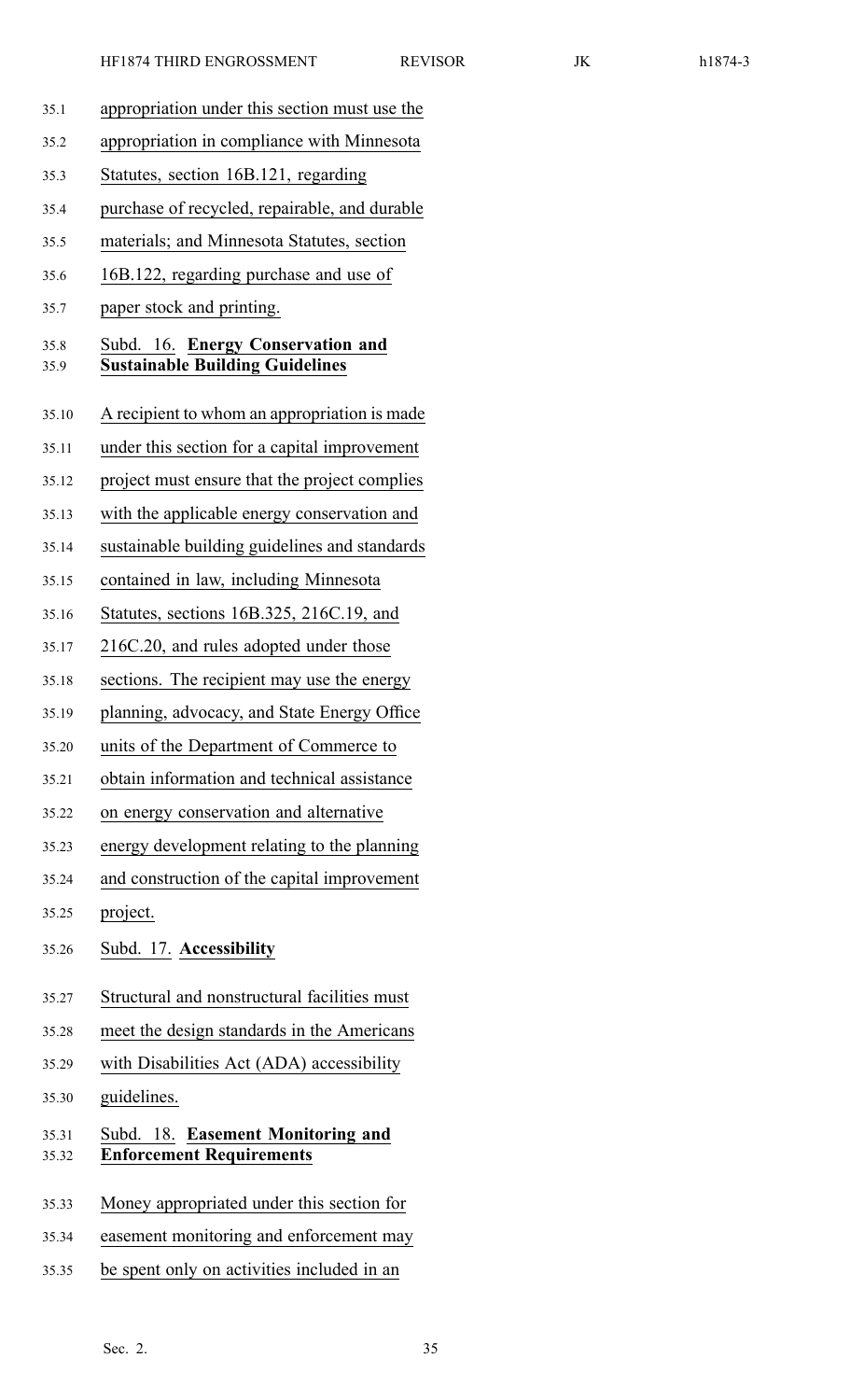35.1 appropriation under this section must use the 35.2 appropriation in compliance with Minnesota 35.3 Statutes, section 16B.121, regarding 35.4 purchase of recycled, repairable, and durable 35.5 materials; and Minnesota Statutes, section 35.6 16B.122, regarding purchase and use of 35.7 paper stock and printing. 35.8 Subd. 16. **Energy Conservation and** 35.9 **Sustainable Building Guidelines** 35.10 A recipient to whom an appropriation is made 35.11 under this section for <sup>a</sup> capital improvement 35.12 project must ensure that the project complies 35.13 with the applicable energy conservation and 35.14 sustainable building guidelines and standards 35.15 contained in law, including Minnesota 35.16 Statutes, sections 16B.325, 216C.19, and 35.17 216C.20, and rules adopted under those 35.18 sections. The recipient may use the energy 35.19 planning, advocacy, and State Energy Office 35.20 units of the Department of Commerce to 35.21 obtain information and technical assistance 35.22 on energy conservation and alternative 35.23 energy development relating to the planning 35.24 and construction of the capital improvement 35.25 project. 35.26 Subd. 17. **Accessibility** 35.27 Structural and nonstructural facilities must 35.28 meet the design standards in the Americans 35.29 with Disabilities Act (ADA) accessibility 35.30 guidelines. 35.31 Subd. 18. **Easement Monitoring and** 35.32 **Enforcement Requirements** 35.33 Money appropriated under this section for 35.34 easement monitoring and enforcement may 35.35 be spen<sup>t</sup> only on activities included in an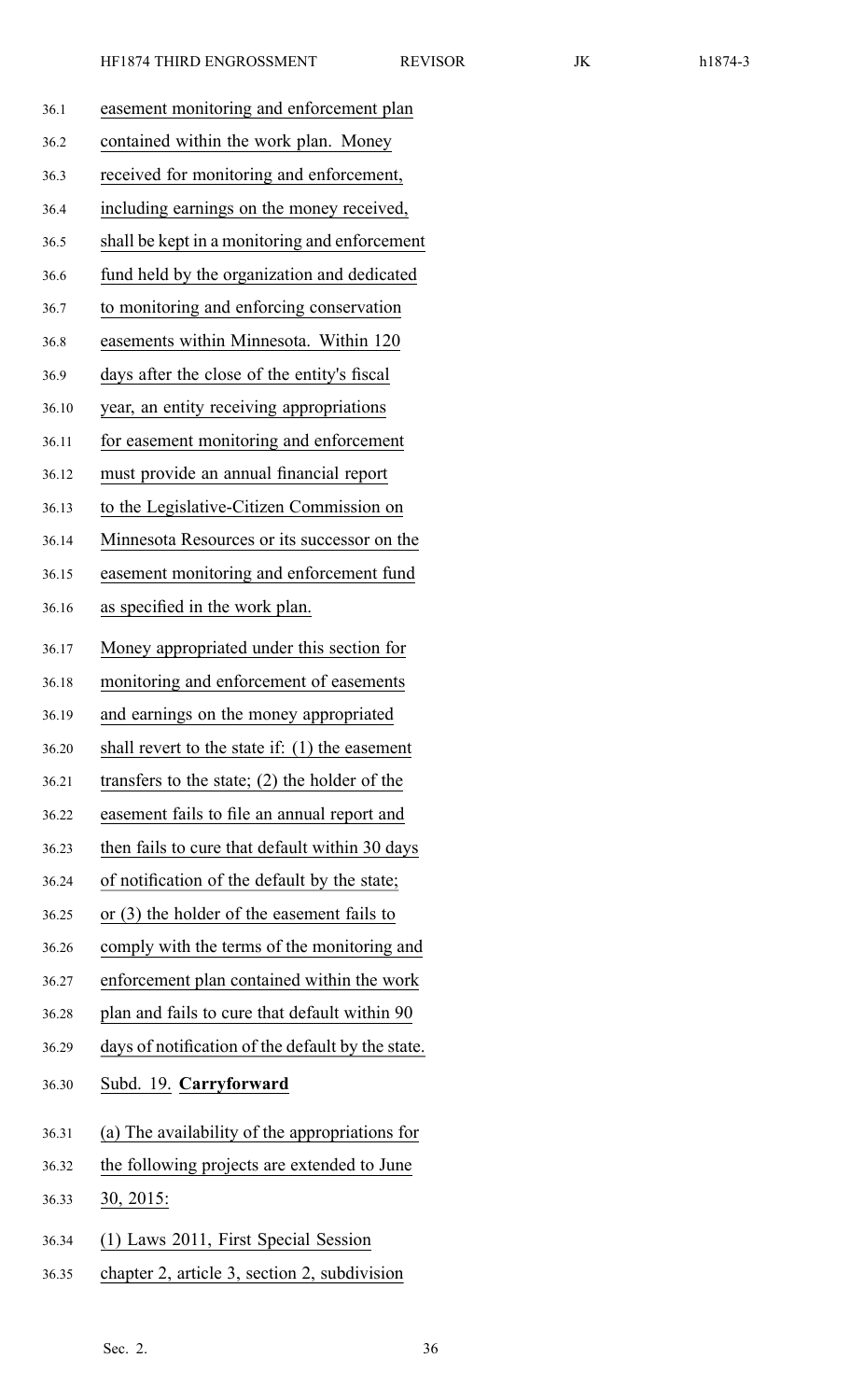| 36.1  | easement monitoring and enforcement plan          |
|-------|---------------------------------------------------|
| 36.2  | contained within the work plan. Money             |
| 36.3  | received for monitoring and enforcement,          |
| 36.4  | including earnings on the money received,         |
| 36.5  | shall be kept in a monitoring and enforcement     |
| 36.6  | fund held by the organization and dedicated       |
| 36.7  | to monitoring and enforcing conservation          |
| 36.8  | easements within Minnesota. Within 120            |
| 36.9  | days after the close of the entity's fiscal       |
| 36.10 | year, an entity receiving appropriations          |
| 36.11 | for easement monitoring and enforcement           |
| 36.12 | must provide an annual financial report           |
| 36.13 | to the Legislative-Citizen Commission on          |
| 36.14 | Minnesota Resources or its successor on the       |
| 36.15 | easement monitoring and enforcement fund          |
| 36.16 | as specified in the work plan.                    |
| 36.17 | Money appropriated under this section for         |
| 36.18 | monitoring and enforcement of easements           |
| 36.19 | and earnings on the money appropriated            |
| 36.20 | shall revert to the state if: $(1)$ the easement  |
| 36.21 | transfers to the state; $(2)$ the holder of the   |
| 36.22 | easement fails to file an annual report and       |
| 36.23 | then fails to cure that default within 30 days    |
| 36.24 | of notification of the default by the state;      |
| 36.25 | or $(3)$ the holder of the easement fails to      |
| 36.26 | comply with the terms of the monitoring and       |
| 36.27 | enforcement plan contained within the work        |
| 36.28 | plan and fails to cure that default within 90     |
| 36.29 | days of notification of the default by the state. |
| 36.30 | Subd. 19. Carryforward                            |
| 36.31 | (a) The availability of the appropriations for    |
| 36.32 | the following projects are extended to June       |
| 36.33 | <u>30, 2015:</u>                                  |
| 36.34 | (1) Laws 2011, First Special Session              |
| 36.35 | chapter 2, article 3, section 2, subdivision      |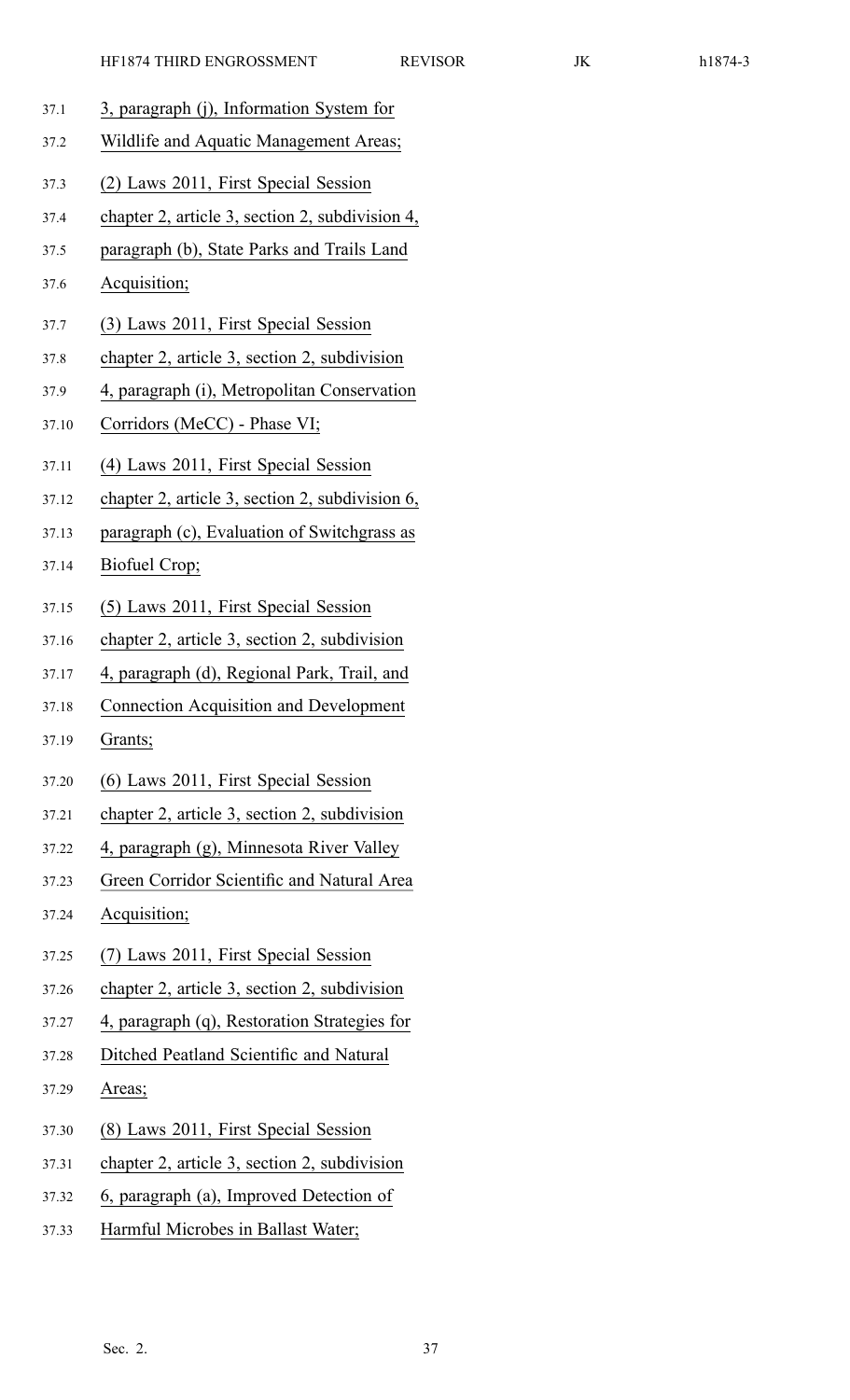- 37.1 3, paragraph (j), Information System for
- 37.2 Wildlife and Aquatic Management Areas;
- 37.3 (2) Laws 2011, First Special Session
- 37.4 chapter 2, article 3, section 2, subdivision 4,
- 37.5 paragraph (b), State Parks and Trails Land
- 37.6 Acquisition;
- 37.7 (3) Laws 2011, First Special Session
- 37.8 chapter 2, article 3, section 2, subdivision
- 37.9 4, paragraph (i), Metropolitan Conservation
- 37.10 Corridors (MeCC) Phase VI;
- 37.11 (4) Laws 2011, First Special Session
- 37.12 chapter 2, article 3, section 2, subdivision 6,
- 37.13 paragraph (c), Evaluation of Switchgrass as
- 37.14 Biofuel Crop;
- 37.15 (5) Laws 2011, First Special Session
- 37.16 chapter 2, article 3, section 2, subdivision
- 37.17 4, paragraph (d), Regional Park, Trail, and
- 37.18 Connection Acquisition and Development
- 37.19 Grants;
- 37.20 (6) Laws 2011, First Special Session
- 37.21 chapter 2, article 3, section 2, subdivision
- 37.22 4, paragraph (g), Minnesota River Valley
- 37.23 Green Corridor Scientific and Natural Area
- 37.24 Acquisition;
- 37.25 (7) Laws 2011, First Special Session
- 37.26 chapter 2, article 3, section 2, subdivision
- 37.27 4, paragraph (q), Restoration Strategies for
- 37.28 Ditched Peatland Scientific and Natural
- 37.29 Areas;
- 37.30 (8) Laws 2011, First Special Session
- 37.31 chapter 2, article 3, section 2, subdivision
- 37.32 6, paragraph (a), Improved Detection of
- 37.33 Harmful Microbes in Ballast Water;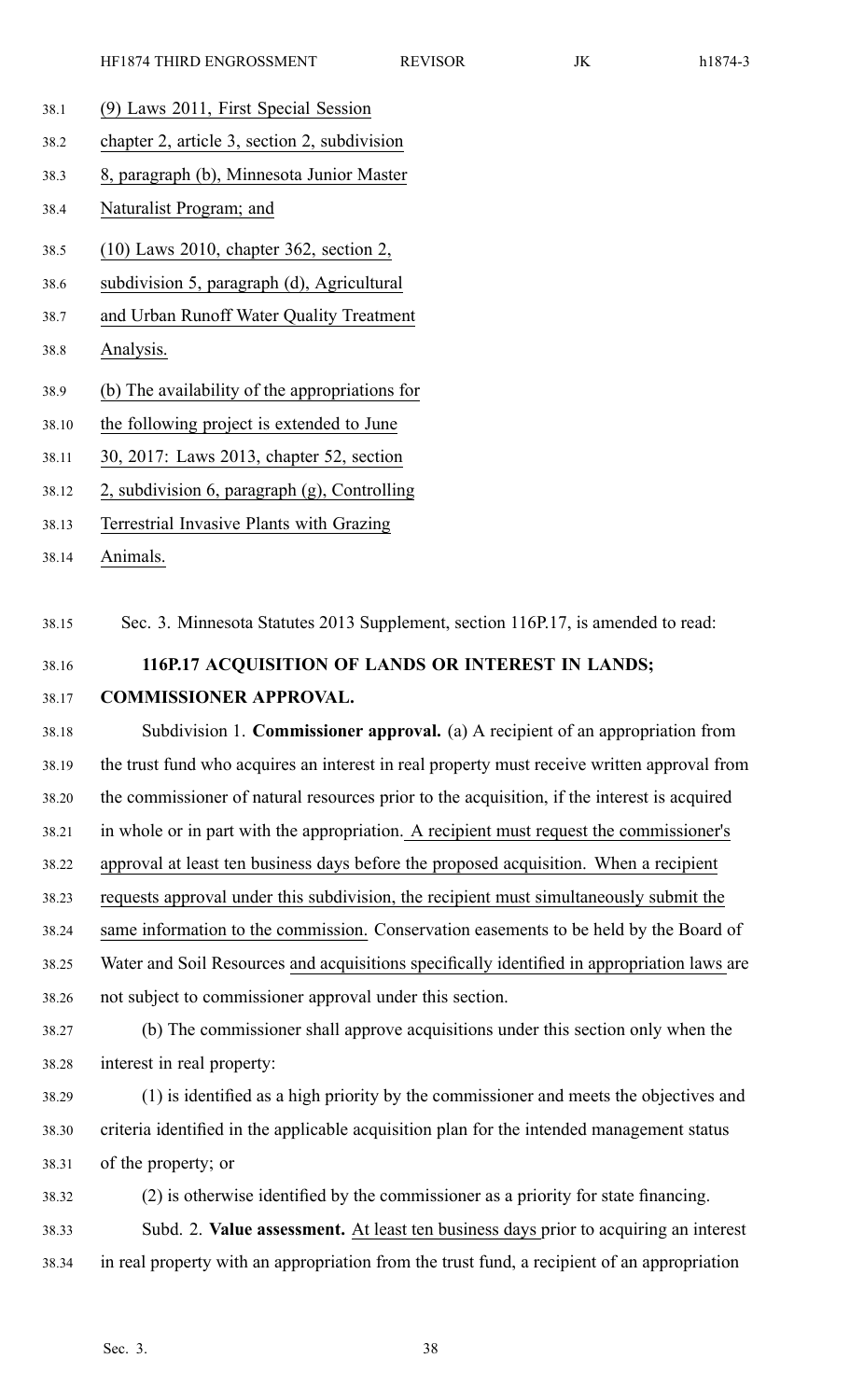- 38.1 (9) Laws 2011, First Special Session
- 38.2 chapter 2, article 3, section 2, subdivision
- 38.3 8, paragraph (b), Minnesota Junior Master
- 38.4 Naturalist Program; and
- 38.5 (10) Laws 2010, chapter 362, section 2,
- 38.6 subdivision 5, paragraph (d), Agricultural
- 38.7 and Urban Runoff Water Quality Treatment
- 38.8 Analysis.
- 38.9 (b) The availability of the appropriations for
- 38.10 the following project is extended to June
- 38.11 30, 2017: Laws 2013, chapter 52, section
- 38.12 2, subdivision 6, paragraph (g), Controlling
- 38.13 Terrestrial Invasive Plants with Grazing
- 38.14 Animals.

38.15 Sec. 3. Minnesota Statutes 2013 Supplement, section 116P.17, is amended to read:

- 38.16 **116P.17 ACQUISITION OF LANDS OR INTEREST IN LANDS;**
- 38.17 **COMMISSIONER APPROVAL.**

38.18 Subdivision 1. **Commissioner approval.** (a) A recipient of an appropriation from 38.19 the trust fund who acquires an interest in real property must receive written approval from 38.20 the commissioner of natural resources prior to the acquisition, if the interest is acquired 38.21 in whole or in par<sup>t</sup> with the appropriation. A recipient must reques<sup>t</sup> the commissioner's 38.22 approval at least ten business days before the proposed acquisition. When <sup>a</sup> recipient 38.23 requests approval under this subdivision, the recipient must simultaneously submit the 38.24 same information to the commission. Conservation easements to be held by the Board of 38.25 Water and Soil Resources and acquisitions specifically identified in appropriation laws are 38.26 not subject to commissioner approval under this section.

- 38.27 (b) The commissioner shall approve acquisitions under this section only when the 38.28 interest in real property:
- 38.29 (1) is identified as <sup>a</sup> high priority by the commissioner and meets the objectives and 38.30 criteria identified in the applicable acquisition plan for the intended managemen<sup>t</sup> status 38.31 of the property; or
- 38.32 (2) is otherwise identified by the commissioner as <sup>a</sup> priority for state financing. 38.33 Subd. 2. **Value assessment.** At least ten business days prior to acquiring an interest 38.34 in real property with an appropriation from the trust fund, <sup>a</sup> recipient of an appropriation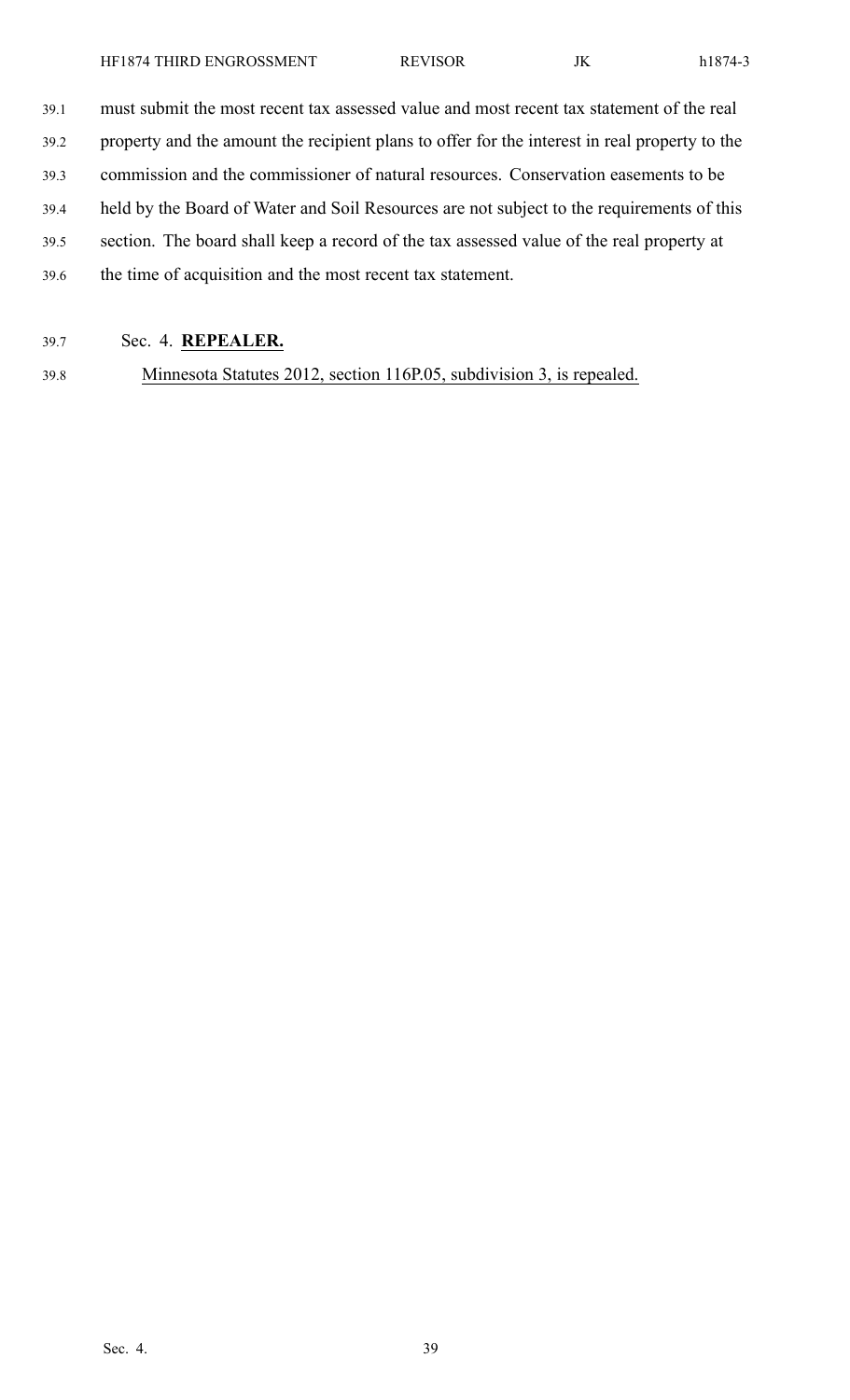39.1 must submit the most recent tax assessed value and most recent tax statement of the real

39.2 property and the amount the recipient plans to offer for the interest in real property to the

39.3 commission and the commissioner of natural resources. Conservation easements to be

- 39.4 held by the Board of Water and Soil Resources are not subject to the requirements of this
- 39.5 section. The board shall keep <sup>a</sup> record of the tax assessed value of the real property at
- 39.6 the time of acquisition and the most recent tax statement.
- 39.7 Sec. 4. **REPEALER.**

39.8 Minnesota Statutes 2012, section 116P.05, subdivision 3, is repealed.